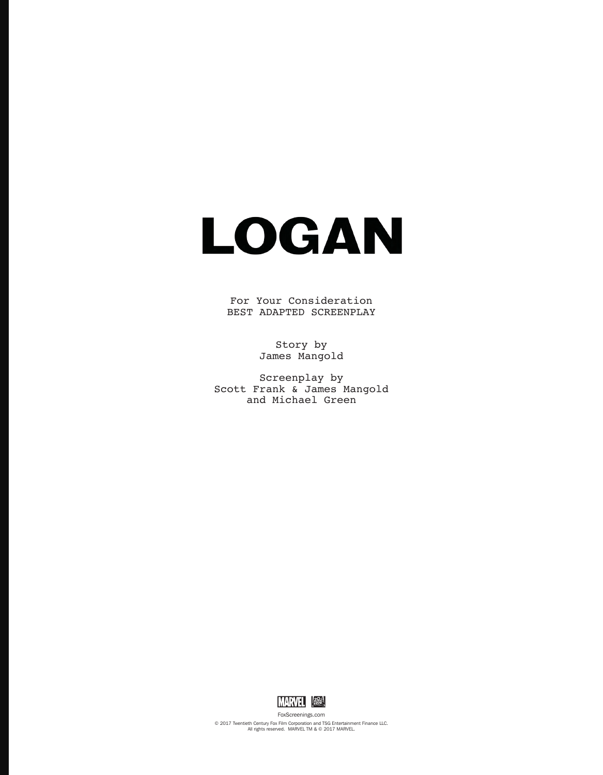

For Your Consideration BEST ADAPTED SCREENPLAY

> Story by James Mangold

Screenplay by Scott Frank & James Mangold and Michael Green



FoxScreenings.com © 2017 Twentieth Century Fox Film Corporation and TSG Entertainment Finance LLC. All rights reserved. MARVEL TM & © 2017 MARVEL.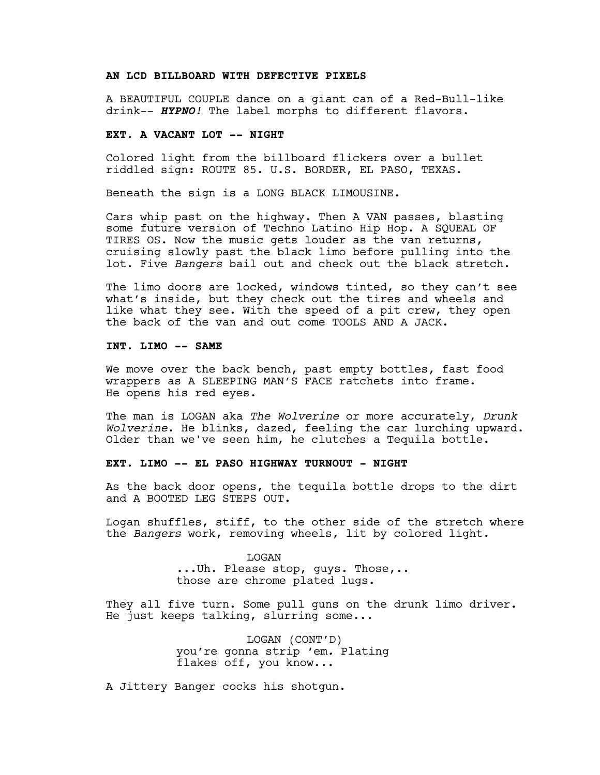## **AN LCD BILLBOARD WITH DEFECTIVE PIXELS**

A BEAUTIFUL COUPLE dance on a giant can of a Red-Bull-like drink-- *HYPNO!* The label morphs to different flavors.

#### **EXT. A VACANT LOT -- NIGHT**

Colored light from the billboard flickers over a bullet riddled sign: ROUTE 85. U.S. BORDER, EL PASO, TEXAS.

Beneath the sign is a LONG BLACK LIMOUSINE.

Cars whip past on the highway. Then A VAN passes, blasting some future version of Techno Latino Hip Hop. A SQUEAL OF TIRES OS. Now the music gets louder as the van returns, cruising slowly past the black limo before pulling into the lot. Five *Bangers* bail out and check out the black stretch.

The limo doors are locked, windows tinted, so they can't see what's inside, but they check out the tires and wheels and like what they see. With the speed of a pit crew, they open the back of the van and out come TOOLS AND A JACK.

#### **INT. LIMO -- SAME**

We move over the back bench, past empty bottles, fast food wrappers as A SLEEPING MAN'S FACE ratchets into frame. He opens his red eyes.

The man is LOGAN aka *The Wolverine* or more accurately, *Drunk Wolverine*. He blinks, dazed, feeling the car lurching upward. Older than we've seen him, he clutches a Tequila bottle.

## **EXT. LIMO -- EL PASO HIGHWAY TURNOUT - NIGHT**

As the back door opens, the tequila bottle drops to the dirt and A BOOTED LEG STEPS OUT.

Logan shuffles, stiff, to the other side of the stretch where the *Bangers* work, removing wheels, lit by colored light.

> LOGAN ...Uh. Please stop, guys. Those,.. those are chrome plated lugs.

They all five turn. Some pull guns on the drunk limo driver. He just keeps talking, slurring some...

> LOGAN (CONT'D) you're gonna strip 'em*.* Plating flakes off, you know...

A Jittery Banger cocks his shotgun.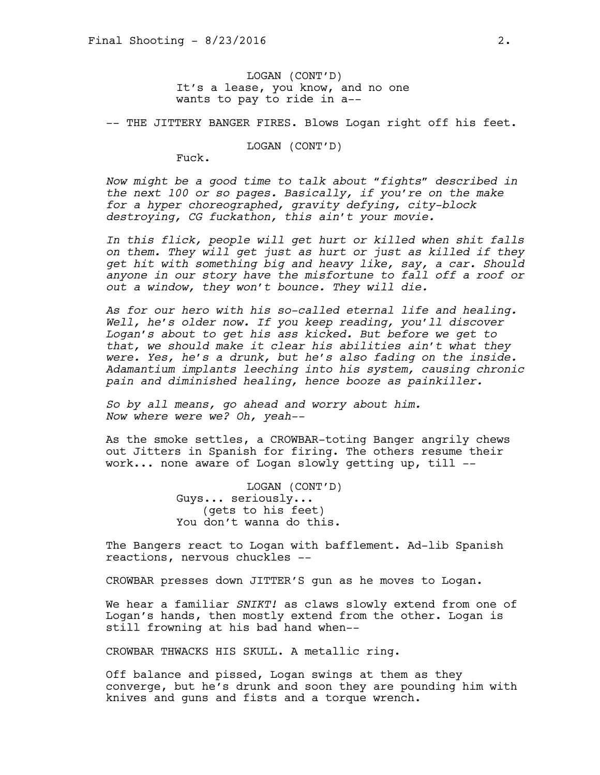LOGAN (CONT'D) It's a lease, you know, and no one wants to pay to ride in a--

-- THE JITTERY BANGER FIRES. Blows Logan right off his feet.

LOGAN (CONT'D)

Fuck.

*Now might be a good time to talk about "fights" described in the next 100 or so pages. Basically, if you're on the make for a hyper choreographed, gravity defying, city-block destroying, CG fuckathon, this ain't your movie.* 

*In this flick, people will get hurt or killed when shit falls on them. They will get just as hurt or just as killed if they get hit with something big and heavy like, say, a car. Should anyone in our story have the misfortune to fall off a roof or out a window, they won't bounce. They will die.* 

*As for our hero with his so-called eternal life and healing. Well, he's older now. If you keep reading, you'll discover Logan's about to get his ass kicked. But before we get to that, we should make it clear his abilities ain't what they were. Yes, he's a drunk, but he's also fading on the inside. Adamantium implants leeching into his system, causing chronic pain and diminished healing, hence booze as painkiller.* 

*So by all means, go ahead and worry about him. Now where were we? Oh, yeah--*

As the smoke settles, a CROWBAR-toting Banger angrily chews out Jitters in Spanish for firing. The others resume their work... none aware of Logan slowly getting up, till --

> LOGAN (CONT'D) Guys... seriously... (gets to his feet) You don't wanna do this.

The Bangers react to Logan with bafflement. Ad-lib Spanish reactions, nervous chuckles --

CROWBAR presses down JITTER'S gun as he moves to Logan.

We hear a familiar *SNIKT!* as claws slowly extend from one of Logan's hands, then mostly extend from the other. Logan is still frowning at his bad hand when--

CROWBAR THWACKS HIS SKULL. A metallic ring.

Off balance and pissed, Logan swings at them as they converge, but he's drunk and soon they are pounding him with knives and guns and fists and a torque wrench.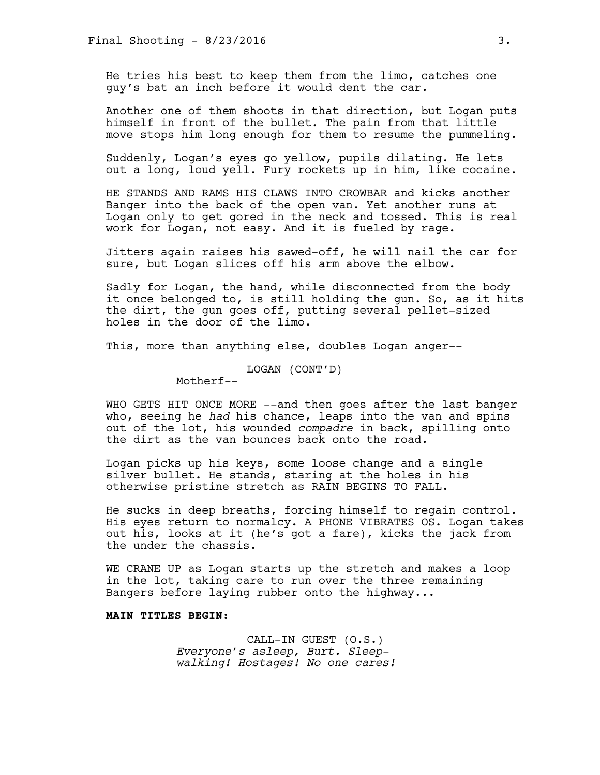He tries his best to keep them from the limo, catches one guy's bat an inch before it would dent the car.

Another one of them shoots in that direction, but Logan puts himself in front of the bullet. The pain from that little move stops him long enough for them to resume the pummeling.

Suddenly, Logan's eyes go yellow, pupils dilating. He lets out a long, loud yell. Fury rockets up in him, like cocaine.

HE STANDS AND RAMS HIS CLAWS INTO CROWBAR and kicks another Banger into the back of the open van. Yet another runs at Logan only to get gored in the neck and tossed. This is real work for Logan, not easy. And it is fueled by rage.

Jitters again raises his sawed-off, he will nail the car for sure, but Logan slices off his arm above the elbow.

Sadly for Logan, the hand, while disconnected from the body it once belonged to, is still holding the gun. So, as it hits the dirt, the gun goes off, putting several pellet-sized holes in the door of the limo.

This, more than anything else, doubles Logan anger--

LOGAN (CONT'D)

Motherf--

WHO GETS HIT ONCE MORE --and then goes after the last banger who, seeing he *had* his chance, leaps into the van and spins out of the lot, his wounded *compadre* in back, spilling onto the dirt as the van bounces back onto the road.

Logan picks up his keys, some loose change and a single silver bullet. He stands, staring at the holes in his otherwise pristine stretch as RAIN BEGINS TO FALL.

He sucks in deep breaths, forcing himself to regain control. His eyes return to normalcy. A PHONE VIBRATES OS. Logan takes out his, looks at it (he's got a fare), kicks the jack from the under the chassis.

WE CRANE UP as Logan starts up the stretch and makes a loop in the lot, taking care to run over the three remaining Bangers before laying rubber onto the highway...

# **MAIN TITLES BEGIN:**

CALL-IN GUEST (O.S.) *Everyone's asleep, Burt. Sleepwalking! Hostages! No one cares!*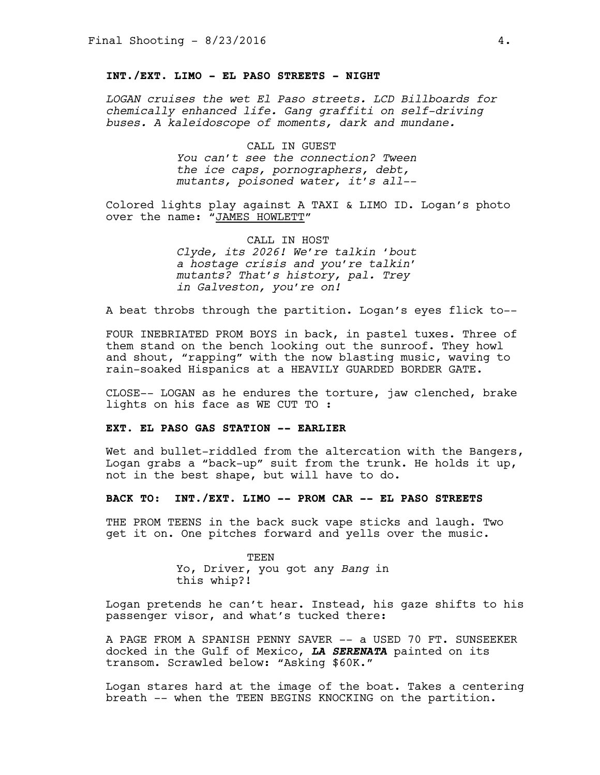# **INT./EXT. LIMO - EL PASO STREETS - NIGHT**

*LOGAN cruises the wet El Paso streets. LCD Billboards for chemically enhanced life. Gang graffiti on self-driving buses. A kaleidoscope of moments, dark and mundane.* 

> CALL IN GUEST *You can't see the connection? Tween the ice caps, pornographers, debt, mutants, poisoned water, it's all-–*

Colored lights play against A TAXI & LIMO ID. Logan's photo over the name: "JAMES HOWLETT"

> CALL IN HOST *Clyde, its 2026! We're talkin 'bout a hostage crisis and you're talkin' mutants? That's history, pal. Trey in Galveston, you're on!*

A beat throbs through the partition. Logan's eyes flick to--

FOUR INEBRIATED PROM BOYS in back, in pastel tuxes. Three of them stand on the bench looking out the sunroof. They howl and shout, "rapping" with the now blasting music, waving to rain-soaked Hispanics at a HEAVILY GUARDED BORDER GATE.

CLOSE-- LOGAN as he endures the torture, jaw clenched, brake lights on his face as WE CUT TO :

#### **EXT. EL PASO GAS STATION -- EARLIER**

Wet and bullet-riddled from the altercation with the Bangers, Logan grabs a "back-up" suit from the trunk. He holds it up, not in the best shape, but will have to do.

#### **BACK TO: INT./EXT. LIMO -- PROM CAR -- EL PASO STREETS**

THE PROM TEENS in the back suck vape sticks and laugh. Two get it on. One pitches forward and yells over the music.

> TEEN Yo, Driver, you got any *Bang* in this whip?!

Logan pretends he can't hear. Instead, his gaze shifts to his passenger visor, and what's tucked there:

A PAGE FROM A SPANISH PENNY SAVER -- a USED 70 FT. SUNSEEKER docked in the Gulf of Mexico, *LA SERENATA* painted on its transom. Scrawled below: "Asking \$60K."

Logan stares hard at the image of the boat. Takes a centering breath -- when the TEEN BEGINS KNOCKING on the partition.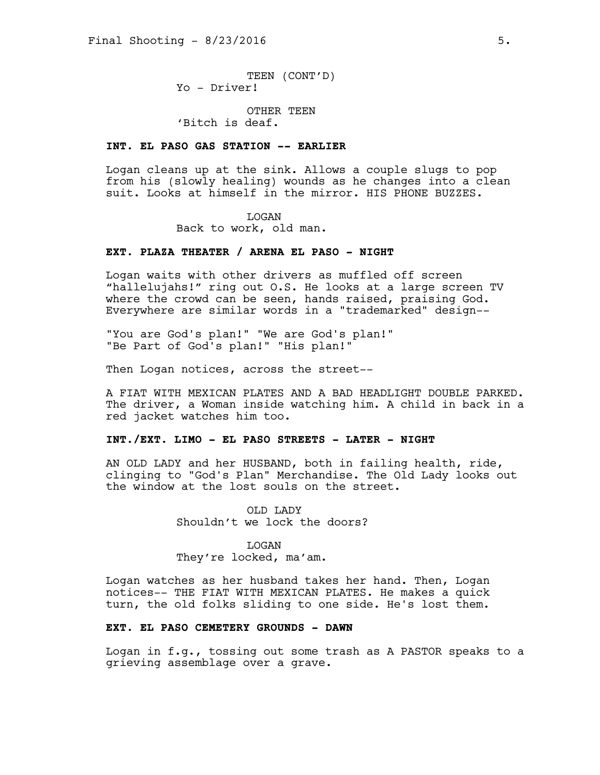TEEN (CONT'D) Yo - Driver!

OTHER TEEN 'Bitch is deaf.

## **INT. EL PASO GAS STATION -- EARLIER**

Logan cleans up at the sink. Allows a couple slugs to pop from his (slowly healing) wounds as he changes into a clean suit. Looks at himself in the mirror. HIS PHONE BUZZES.

#### LOGAN

Back to work, old man.

## **EXT. PLAZA THEATER / ARENA EL PASO - NIGHT**

Logan waits with other drivers as muffled off screen "hallelujahs!" ring out O.S. He looks at a large screen TV where the crowd can be seen, hands raised, praising God. Everywhere are similar words in a "trademarked" design--

"You are God's plan!" "We are God's plan!" "Be Part of God's plan!" "His plan!"

Then Logan notices, across the street--

A FIAT WITH MEXICAN PLATES AND A BAD HEADLIGHT DOUBLE PARKED. The driver, a Woman inside watching him. A child in back in a red jacket watches him too.

#### **INT./EXT. LIMO - EL PASO STREETS - LATER - NIGHT**

AN OLD LADY and her HUSBAND, both in failing health, ride, clinging to "God's Plan" Merchandise. The Old Lady looks out the window at the lost souls on the street.

> OLD LADY Shouldn't we lock the doors?

> > LOGAN

They're locked, ma'am.

Logan watches as her husband takes her hand. Then, Logan notices-- THE FIAT WITH MEXICAN PLATES. He makes a quick turn, the old folks sliding to one side. He's lost them.

#### **EXT. EL PASO CEMETERY GROUNDS - DAWN**

Logan in f.g., tossing out some trash as A PASTOR speaks to a grieving assemblage over a grave.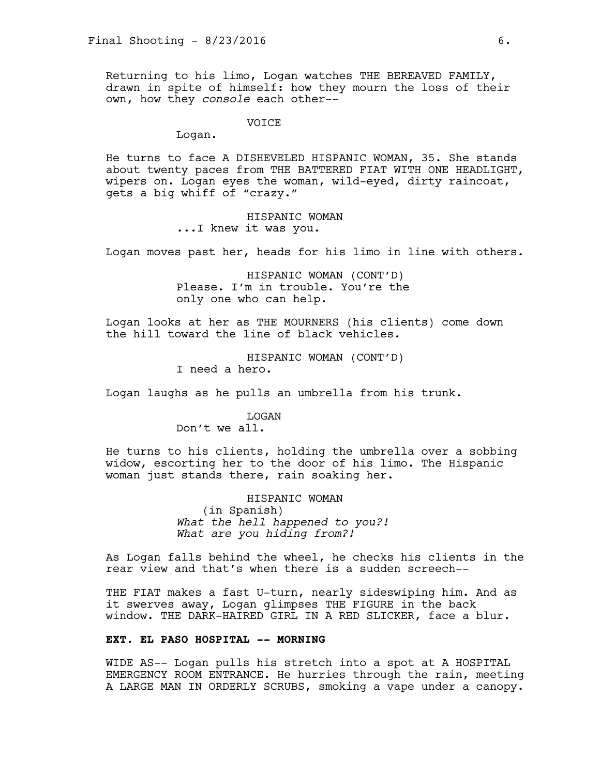Returning to his limo, Logan watches THE BEREAVED FAMILY, drawn in spite of himself: how they mourn the loss of their own, how they *console* each other--

VOICE

Logan.

He turns to face A DISHEVELED HISPANIC WOMAN, 35. She stands about twenty paces from THE BATTERED FIAT WITH ONE HEADLIGHT, wipers on. Logan eyes the woman, wild-eyed, dirty raincoat, gets a big whiff of "crazy."

> HISPANIC WOMAN ...I knew it was you.

Logan moves past her, heads for his limo in line with others.

HISPANIC WOMAN (CONT'D) Please. I'm in trouble. You're the only one who can help.

Logan looks at her as THE MOURNERS (his clients) come down the hill toward the line of black vehicles.

> HISPANIC WOMAN (CONT'D) I need a hero.

Logan laughs as he pulls an umbrella from his trunk.

#### LOGAN

Don't we all.

He turns to his clients, holding the umbrella over a sobbing widow, escorting her to the door of his limo. The Hispanic woman just stands there, rain soaking her.

> HISPANIC WOMAN (in Spanish) *What the hell happened to you?! What are you hiding from?!*

As Logan falls behind the wheel, he checks his clients in the rear view and that's when there is a sudden screech--

THE FIAT makes a fast U-turn, nearly sideswiping him. And as it swerves away, Logan glimpses THE FIGURE in the back window. THE DARK-HAIRED GIRL IN A RED SLICKER, face a blur.

## **EXT. EL PASO HOSPITAL -- MORNING**

WIDE AS-- Logan pulls his stretch into a spot at A HOSPITAL EMERGENCY ROOM ENTRANCE. He hurries through the rain, meeting A LARGE MAN IN ORDERLY SCRUBS, smoking a vape under a canopy.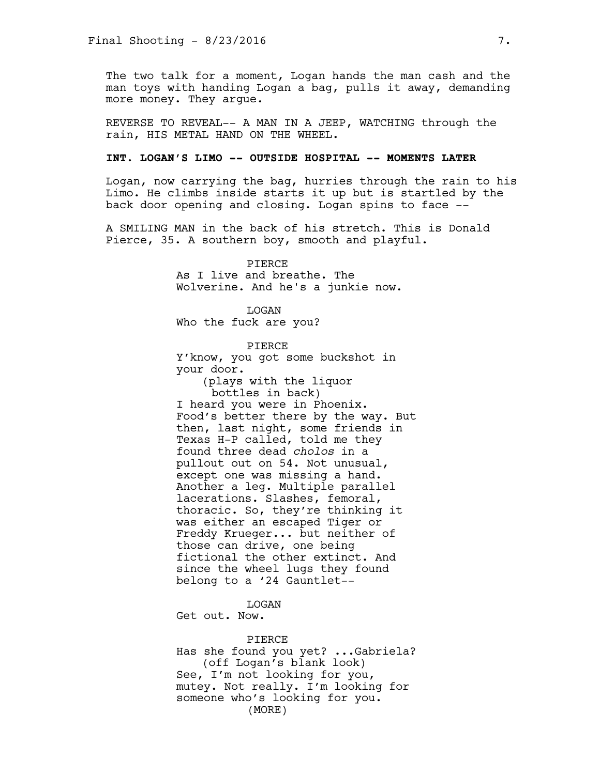The two talk for a moment, Logan hands the man cash and the man toys with handing Logan a bag, pulls it away, demanding more money. They argue.

REVERSE TO REVEAL-- A MAN IN A JEEP, WATCHING through the rain, HIS METAL HAND ON THE WHEEL.

#### **INT. LOGAN'S LIMO -- OUTSIDE HOSPITAL -- MOMENTS LATER**

Logan, now carrying the bag, hurries through the rain to his Limo. He climbs inside starts it up but is startled by the back door opening and closing. Logan spins to face --

A SMILING MAN in the back of his stretch. This is Donald Pierce, 35. A southern boy, smooth and playful.

> PIERCE As I live and breathe. The Wolverine. And he's a junkie now.

LOGAN Who the fuck are you?

PIERCE Y'know, you got some buckshot in your door.

(plays with the liquor bottles in back) I heard you were in Phoenix. Food's better there by the way. But then, last night, some friends in Texas H-P called, told me they found three dead *cholos* in a pullout out on 54. Not unusual, except one was missing a hand. Another a leg. Multiple parallel lacerations. Slashes, femoral, thoracic. So, they're thinking it was either an escaped Tiger or Freddy Krueger... but neither of those can drive, one being fictional the other extinct. And since the wheel lugs they found belong to a '24 Gauntlet--

LOGAN

Get out. Now.

#### PIERCE

Has she found you yet? ...Gabriela? (off Logan's blank look) See, I'm not looking for you, mutey. Not really. I'm looking for someone who's looking for you. (MORE)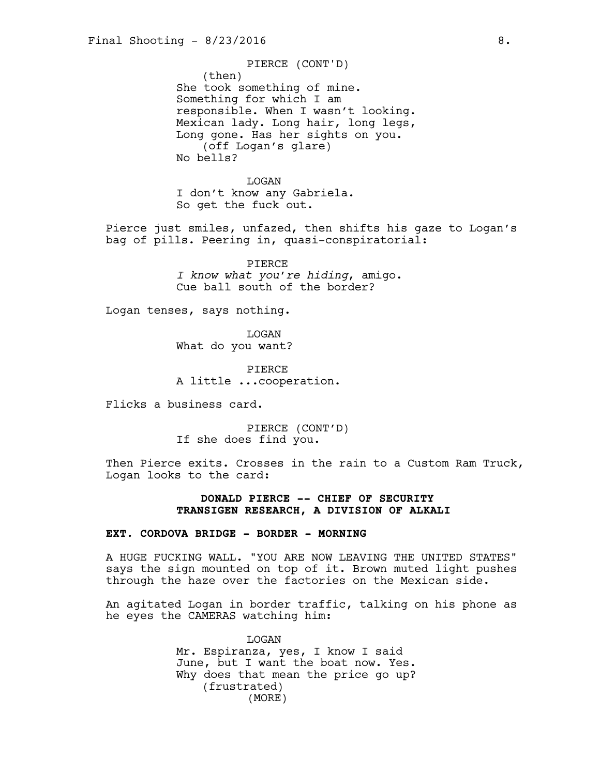(then) She took something of mine. Something for which I am responsible. When I wasn't looking. Mexican lady. Long hair, long legs, Long gone. Has her sights on you. (off Logan's glare) No bells? PIERCE (CONT'D)

LOGAN I don't know any Gabriela. So get the fuck out.

Pierce just smiles, unfazed, then shifts his gaze to Logan's bag of pills. Peering in, quasi-conspiratorial:

> PIERCE *I know what you're hiding*, amigo. Cue ball south of the border?

Logan tenses, says nothing.

LOGAN What do you want?

PIERCE A little ...cooperation.

Flicks a business card.

PIERCE (CONT'D) If she does find you.

Then Pierce exits. Crosses in the rain to a Custom Ram Truck, Logan looks to the card:

## **DONALD PIERCE -- CHIEF OF SECURITY TRANSIGEN RESEARCH, A DIVISION OF ALKALI**

# **EXT. CORDOVA BRIDGE - BORDER - MORNING**

A HUGE FUCKING WALL. "YOU ARE NOW LEAVING THE UNITED STATES" says the sign mounted on top of it. Brown muted light pushes through the haze over the factories on the Mexican side.

An agitated Logan in border traffic, talking on his phone as he eyes the CAMERAS watching him:

> LOGAN Mr. Espiranza, yes, I know I said June, but I want the boat now. Yes. Why does that mean the price go up? (frustrated) (MORE)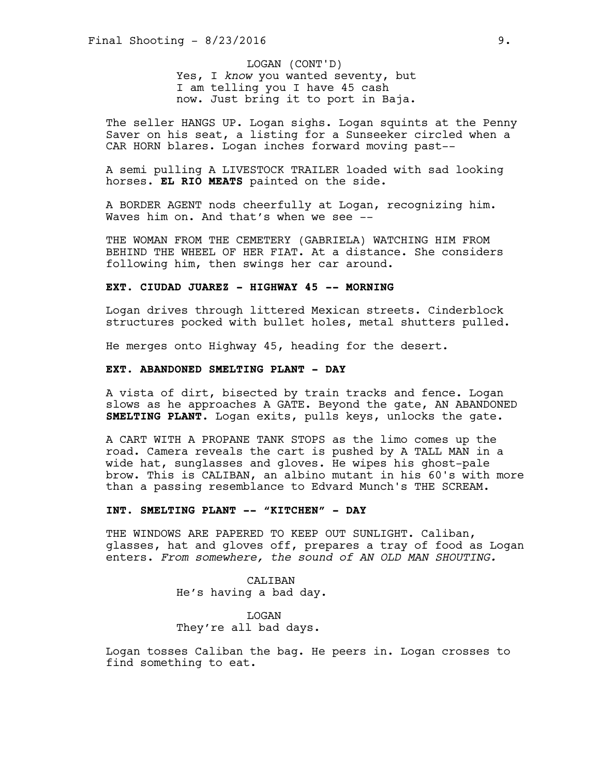Yes, I *know* you wanted seventy, but I am telling you I have 45 cash now. Just bring it to port in Baja. LOGAN (CONT'D)

The seller HANGS UP. Logan sighs. Logan squints at the Penny Saver on his seat, a listing for a Sunseeker circled when a CAR HORN blares. Logan inches forward moving past--

A semi pulling A LIVESTOCK TRAILER loaded with sad looking horses. **EL RIO MEATS** painted on the side.

A BORDER AGENT nods cheerfully at Logan, recognizing him. Waves him on. And that's when we see --

THE WOMAN FROM THE CEMETERY (GABRIELA) WATCHING HIM FROM BEHIND THE WHEEL OF HER FIAT. At a distance. She considers following him, then swings her car around.

## **EXT. CIUDAD JUAREZ - HIGHWAY 45 -- MORNING**

Logan drives through littered Mexican streets. Cinderblock structures pocked with bullet holes, metal shutters pulled.

He merges onto Highway 45, heading for the desert.

#### **EXT. ABANDONED SMELTING PLANT - DAY**

A vista of dirt, bisected by train tracks and fence. Logan slows as he approaches A GATE. Beyond the gate, AN ABANDONED **SMELTING PLANT**. Logan exits, pulls keys, unlocks the gate.

A CART WITH A PROPANE TANK STOPS as the limo comes up the road. Camera reveals the cart is pushed by A TALL MAN in a wide hat, sunglasses and gloves. He wipes his ghost-pale brow. This is CALIBAN, an albino mutant in his 60's with more than a passing resemblance to Edvard Munch's THE SCREAM.

#### **INT. SMELTING PLANT -- "KITCHEN" - DAY**

THE WINDOWS ARE PAPERED TO KEEP OUT SUNLIGHT. Caliban, glasses, hat and gloves off, prepares a tray of food as Logan enters. *From somewhere, the sound of AN OLD MAN SHOUTING.* 

> CALIBAN He's having a bad day.

LOGAN They're all bad days.

Logan tosses Caliban the bag. He peers in. Logan crosses to find something to eat.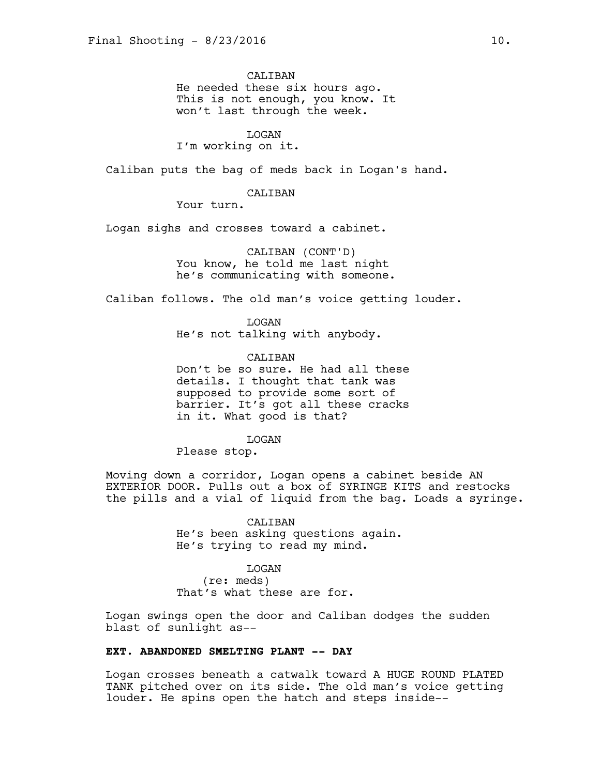CALIBAN He needed these six hours ago. This is not enough, you know. It won't last through the week.

#### LOGAN

I'm working on it.

Caliban puts the bag of meds back in Logan's hand.

#### CALIBAN

Your turn.

Logan sighs and crosses toward a cabinet.

CALIBAN (CONT'D) You know, he told me last night he's communicating with someone.

Caliban follows. The old man's voice getting louder.

LOGAN He's not talking with anybody.

CALIBAN Don't be so sure. He had all these details. I thought that tank was supposed to provide some sort of barrier. It's got all these cracks in it. What good is that?

#### **T<sub>I</sub>OGAN**

Please stop.

Moving down a corridor, Logan opens a cabinet beside AN EXTERIOR DOOR. Pulls out a box of SYRINGE KITS and restocks the pills and a vial of liquid from the bag. Loads a syringe.

> CALIBAN He's been asking questions again. He's trying to read my mind.

#### LOGAN

(re: meds) That's what these are for.

Logan swings open the door and Caliban dodges the sudden blast of sunlight as--

#### **EXT. ABANDONED SMELTING PLANT -- DAY**

Logan crosses beneath a catwalk toward A HUGE ROUND PLATED TANK pitched over on its side. The old man's voice getting louder. He spins open the hatch and steps inside--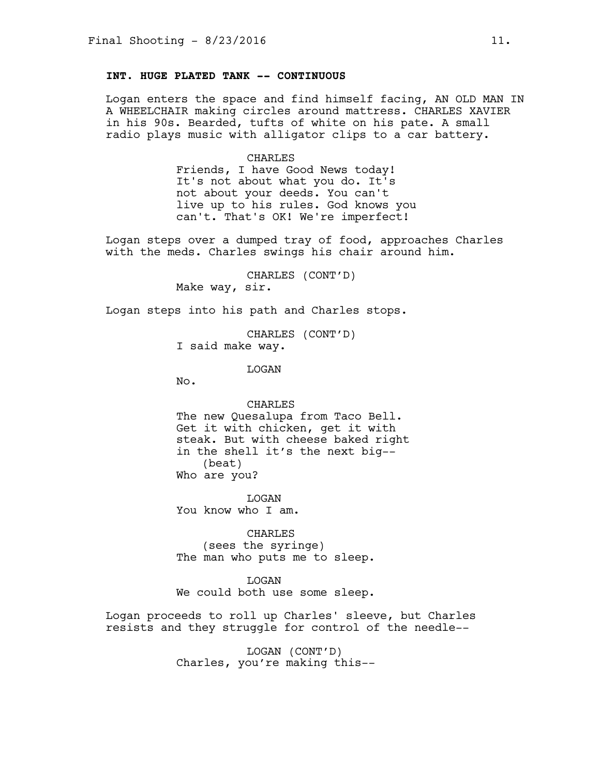# **INT. HUGE PLATED TANK -- CONTINUOUS**

Logan enters the space and find himself facing, AN OLD MAN IN A WHEELCHAIR making circles around mattress. CHARLES XAVIER in his 90s. Bearded, tufts of white on his pate. A small radio plays music with alligator clips to a car battery.

#### CHARLES

Friends, I have Good News today! It's not about what you do. It's not about your deeds. You can't live up to his rules. God knows you can't. That's OK! We're imperfect!

Logan steps over a dumped tray of food, approaches Charles with the meds. Charles swings his chair around him.

> CHARLES (CONT'D) Make way, sir.

Logan steps into his path and Charles stops.

CHARLES (CONT'D) I said make way.

LOGAN

No.

CHARLES The new Quesalupa from Taco Bell. Get it with chicken, get it with steak. But with cheese baked right in the shell it's the next big-- (beat) Who are you?

LOGAN You know who I am.

CHARLES (sees the syringe) The man who puts me to sleep.

LOGAN We could both use some sleep.

Logan proceeds to roll up Charles' sleeve, but Charles resists and they struggle for control of the needle--

> LOGAN (CONT'D) Charles, you're making this--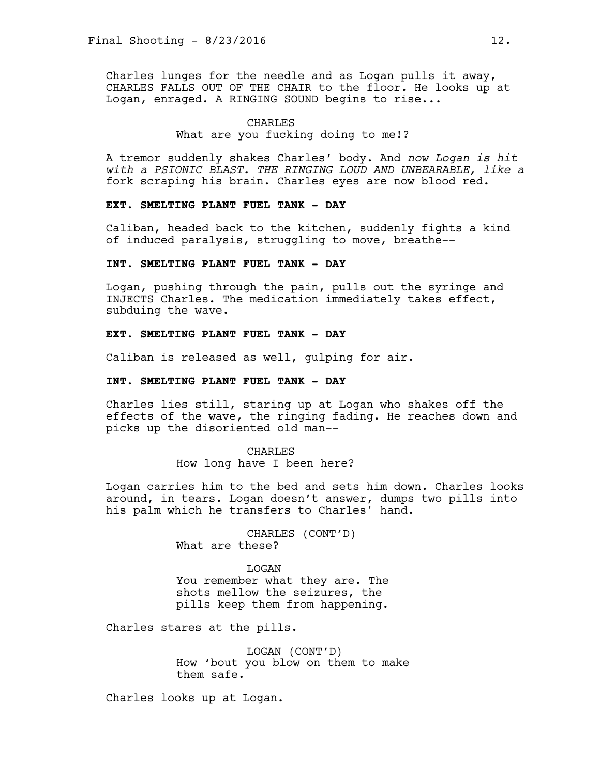Charles lunges for the needle and as Logan pulls it away, CHARLES FALLS OUT OF THE CHAIR to the floor. He looks up at Logan, enraged. A RINGING SOUND begins to rise...

#### CHARLES

## What are you fucking doing to me!?

A tremor suddenly shakes Charles' body. And *now Logan is hit with a PSIONIC BLAST. THE RINGING LOUD AND UNBEARABLE, like a* fork scraping his brain. Charles eyes are now blood red.

# **EXT. SMELTING PLANT FUEL TANK - DAY**

Caliban, headed back to the kitchen, suddenly fights a kind of induced paralysis, struggling to move, breathe--

## **INT. SMELTING PLANT FUEL TANK - DAY**

Logan, pushing through the pain, pulls out the syringe and INJECTS Charles. The medication immediately takes effect, subduing the wave.

# **EXT. SMELTING PLANT FUEL TANK - DAY**

Caliban is released as well, gulping for air.

## **INT. SMELTING PLANT FUEL TANK - DAY**

Charles lies still, staring up at Logan who shakes off the effects of the wave, the ringing fading. He reaches down and picks up the disoriented old man--

> CHARLES How long have I been here?

Logan carries him to the bed and sets him down. Charles looks around, in tears. Logan doesn't answer, dumps two pills into his palm which he transfers to Charles' hand.

> CHARLES (CONT'D) What are these?

**T<sub>I</sub>OGAN** You remember what they are. The shots mellow the seizures, the pills keep them from happening.

Charles stares at the pills.

LOGAN (CONT'D) How 'bout you blow on them to make them safe.

Charles looks up at Logan.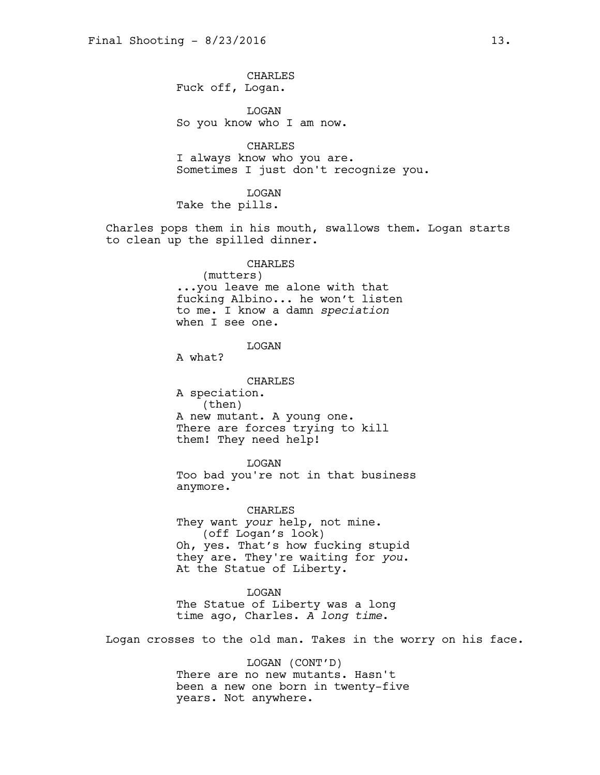CHARLES Fuck off, Logan.

LOGAN So you know who I am now.

CHARLES I always know who you are. Sometimes I just don't recognize you.

LOGAN Take the pills.

Charles pops them in his mouth, swallows them. Logan starts to clean up the spilled dinner.

CHARLES

(mutters) ...you leave me alone with that fucking Albino... he won't listen to me. I know a damn *speciation*  when I see one.

#### LOGAN

A what?

CHARLES A speciation. (then) A new mutant. A young one. There are forces trying to kill them! They need help!

LOGAN Too bad you're not in that business anymore.

CHARLES They want *your* help, not mine. (off Logan's look) Oh, yes. That's how fucking stupid they are. They're waiting for *you*. At the Statue of Liberty.

**T<sub>I</sub>OGAN** The Statue of Liberty was a long time ago, Charles. *A long time*.

Logan crosses to the old man. Takes in the worry on his face.

LOGAN (CONT'D) There are no new mutants. Hasn't been a new one born in twenty-five years. Not anywhere.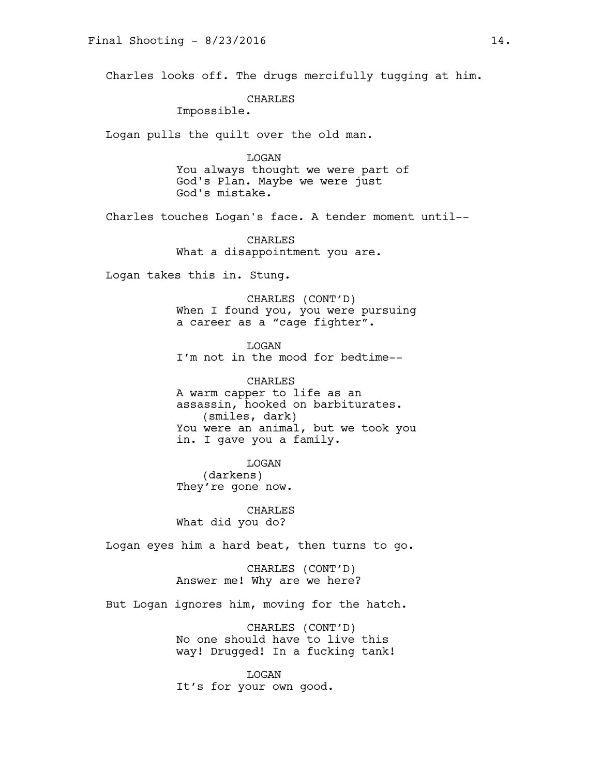Charles looks off. The drugs mercifully tugging at him.

CHARLES

Impossible.

Logan pulls the quilt over the old man.

LOGAN You always thought we were part of God's Plan. Maybe we were just God's mistake.

Charles touches Logan's face. A tender moment until--

CHARLES What a disappointment you are.

Logan takes this in. Stung.

CHARLES (CONT'D) When I found you, you were pursuing a career as a "cage fighter".

LOGAN I'm not in the mood for bedtime--

CHARLES A warm capper to life as an assassin, hooked on barbiturates. (smiles, dark) You were an animal, but we took you in. I gave you a family.

LOGAN (darkens) They're gone now.

CHARLES What did you do?

Logan eyes him a hard beat, then turns to go.

CHARLES (CONT'D) Answer me! Why are we here?

But Logan ignores him, moving for the hatch.

CHARLES (CONT'D) No one should have to live this way! Drugged! In a fucking tank!

LOGAN It's for your own good.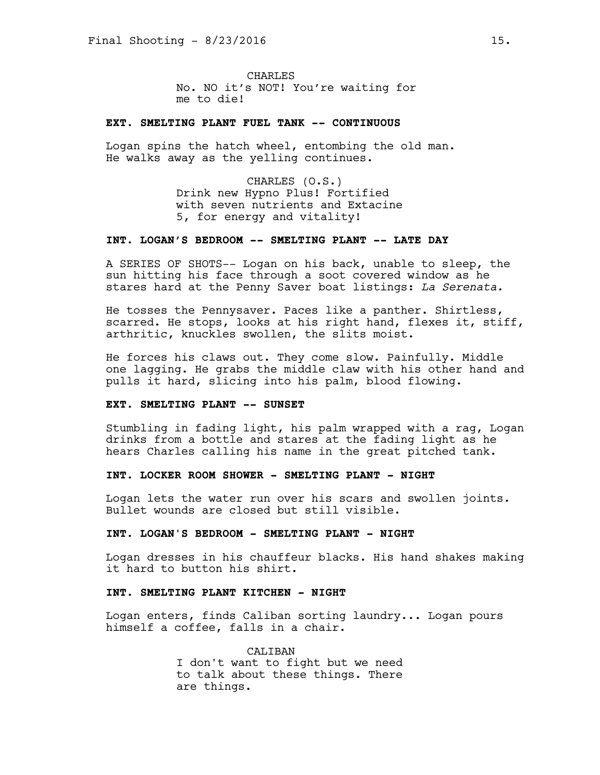**CHARLES** No. NO it's NOT! You're waiting for me to die!

## **EXT. SMELTING PLANT FUEL TANK -- CONTINUOUS**

Logan spins the hatch wheel, entombing the old man. He walks away as the yelling continues.

> CHARLES (O.S.) Drink new Hypno Plus! Fortified with seven nutrients and Extacine 5, for energy and vitality!

#### **INT. LOGAN'S BEDROOM -- SMELTING PLANT -- LATE DAY**

A SERIES OF SHOTS-- Logan on his back, unable to sleep, the sun hitting his face through a soot covered window as he stares hard at the Penny Saver boat listings: *La Serenata.*

He tosses the Pennysaver. Paces like a panther. Shirtless, scarred. He stops, looks at his right hand, flexes it, stiff, arthritic, knuckles swollen, the slits moist.

He forces his claws out. They come slow. Painfully. Middle one lagging. He grabs the middle claw with his other hand and pulls it hard, slicing into his palm, blood flowing.

## **EXT. SMELTING PLANT -- SUNSET**

Stumbling in fading light, his palm wrapped with a rag, Logan drinks from a bottle and stares at the fading light as he hears Charles calling his name in the great pitched tank.

## **INT. LOCKER ROOM SHOWER - SMELTING PLANT - NIGHT**

Logan lets the water run over his scars and swollen joints. Bullet wounds are closed but still visible.

## **INT. LOGAN'S BEDROOM - SMELTING PLANT - NIGHT**

Logan dresses in his chauffeur blacks. His hand shakes making it hard to button his shirt.

## **INT. SMELTING PLANT KITCHEN - NIGHT**

Logan enters, finds Caliban sorting laundry... Logan pours himself a coffee, falls in a chair.

> CALIBAN I don't want to fight but we need to talk about these things. There are things.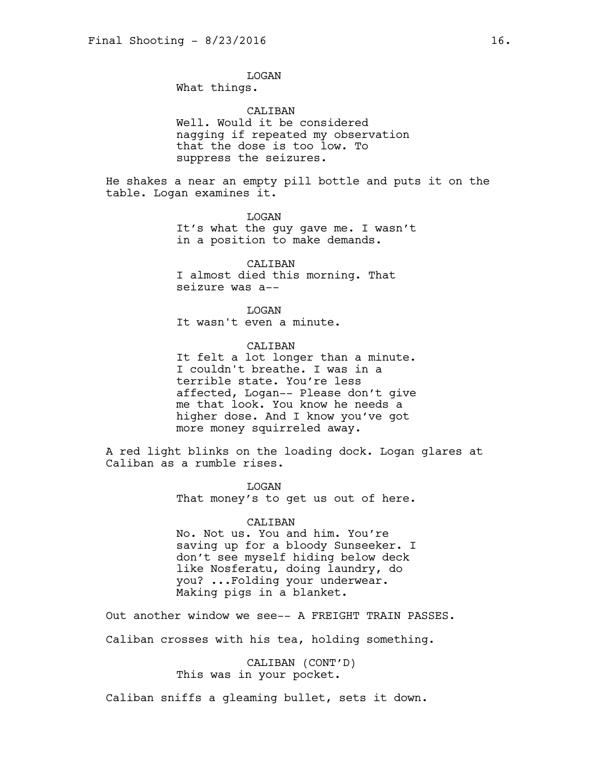LOGAN What things.

CALIBAN Well. Would it be considered nagging if repeated my observation that the dose is too low. To suppress the seizures.

He shakes a near an empty pill bottle and puts it on the table. Logan examines it.

> LOGAN It's what the guy gave me. I wasn't in a position to make demands.

CALIBAN I almost died this morning. That seizure was a--

LOGAN It wasn't even a minute.

CALIBAN It felt a lot longer than a minute. I couldn't breathe. I was in a terrible state. You're less affected, Logan-- Please don't give me that look. You know he needs a higher dose. And I know you've got more money squirreled away.

A red light blinks on the loading dock. Logan glares at Caliban as a rumble rises.

> LOGAN That money's to get us out of here.

CALIBAN No. Not us. You and him. You're saving up for a bloody Sunseeker. I don't see myself hiding below deck like Nosferatu, doing laundry, do you? ...Folding your underwear. Making pigs in a blanket.

Out another window we see-- A FREIGHT TRAIN PASSES. Caliban crosses with his tea, holding something.

> CALIBAN (CONT'D) This was in your pocket.

Caliban sniffs a gleaming bullet, sets it down.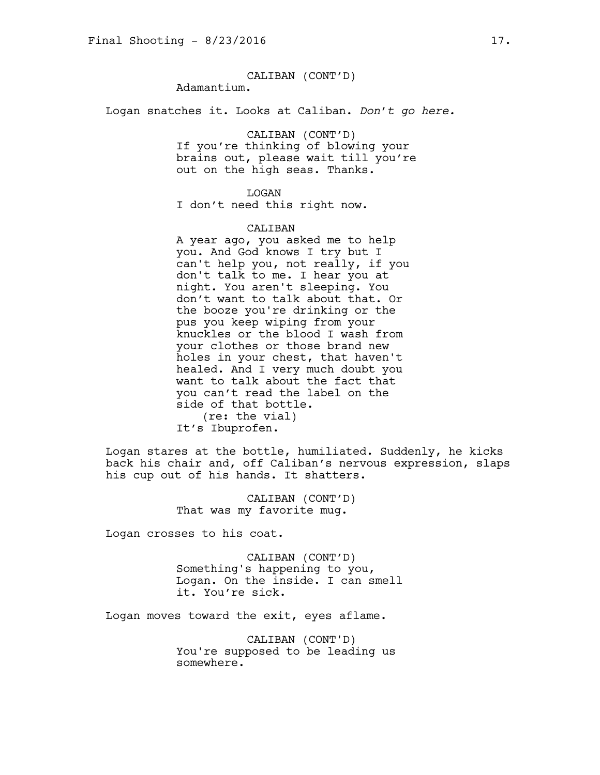# CALIBAN (CONT'D)

Adamantium.

Logan snatches it. Looks at Caliban. *Don't go here.*

CALIBAN (CONT'D)

If you're thinking of blowing your brains out, please wait till you're out on the high seas. Thanks.

LOGAN

I don't need this right now.

#### CALIBAN

A year ago, you asked me to help you. And God knows I try but I can't help you, not really, if you don't talk to me. I hear you at night. You aren't sleeping. You don't want to talk about that. Or the booze you're drinking or the pus you keep wiping from your knuckles or the blood I wash from your clothes or those brand new holes in your chest, that haven't healed. And I very much doubt you want to talk about the fact that you can't read the label on the side of that bottle. (re: the vial) It's Ibuprofen.

Logan stares at the bottle, humiliated. Suddenly, he kicks back his chair and, off Caliban's nervous expression, slaps his cup out of his hands. It shatters.

> CALIBAN (CONT'D) That was my favorite mug.

Logan crosses to his coat.

CALIBAN (CONT'D) Something's happening to you, Logan. On the inside. I can smell it. You're sick.

Logan moves toward the exit, eyes aflame.

CALIBAN (CONT'D) You're supposed to be leading us somewhere.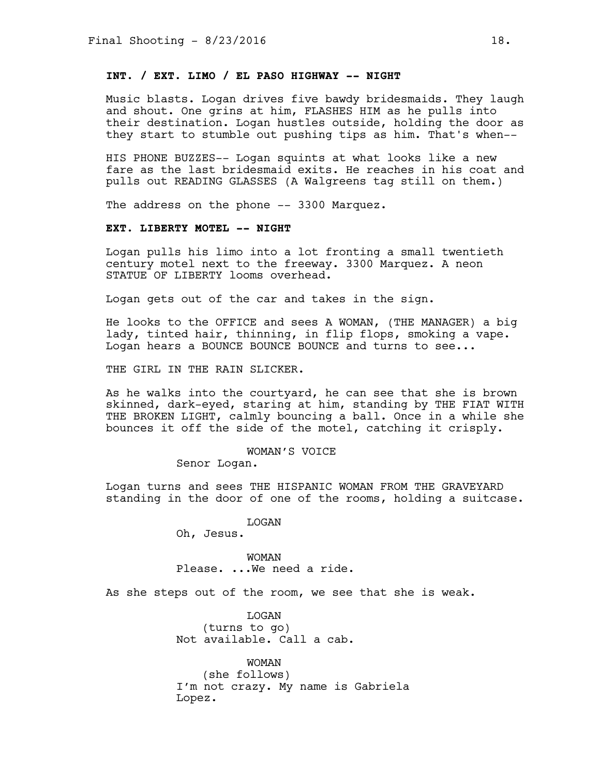# **INT. / EXT. LIMO / EL PASO HIGHWAY -- NIGHT**

Music blasts. Logan drives five bawdy bridesmaids. They laugh and shout. One grins at him, FLASHES HIM as he pulls into their destination. Logan hustles outside, holding the door as they start to stumble out pushing tips as him. That's when--

HIS PHONE BUZZES-- Logan squints at what looks like a new fare as the last bridesmaid exits. He reaches in his coat and pulls out READING GLASSES (A Walgreens tag still on them.)

The address on the phone -- 3300 Marquez.

# **EXT. LIBERTY MOTEL -- NIGHT**

Logan pulls his limo into a lot fronting a small twentieth century motel next to the freeway. 3300 Marquez. A neon STATUE OF LIBERTY looms overhead.

Logan gets out of the car and takes in the sign.

He looks to the OFFICE and sees A WOMAN, (THE MANAGER) a big lady, tinted hair, thinning, in flip flops, smoking a vape. Logan hears a BOUNCE BOUNCE BOUNCE and turns to see...

THE GIRL IN THE RAIN SLICKER.

As he walks into the courtyard, he can see that she is brown skinned, dark-eyed, staring at him, standing by THE FIAT WITH THE BROKEN LIGHT, calmly bouncing a ball. Once in a while she bounces it off the side of the motel, catching it crisply.

> WOMAN'S VOICE Senor Logan.

Logan turns and sees THE HISPANIC WOMAN FROM THE GRAVEYARD standing in the door of one of the rooms, holding a suitcase.

LOGAN

Oh, Jesus.

WOMAN Please. ...We need a ride.

As she steps out of the room, we see that she is weak.

LOGAN (turns to go) Not available. Call a cab.

WOMAN (she follows) I'm not crazy. My name is Gabriela Lopez.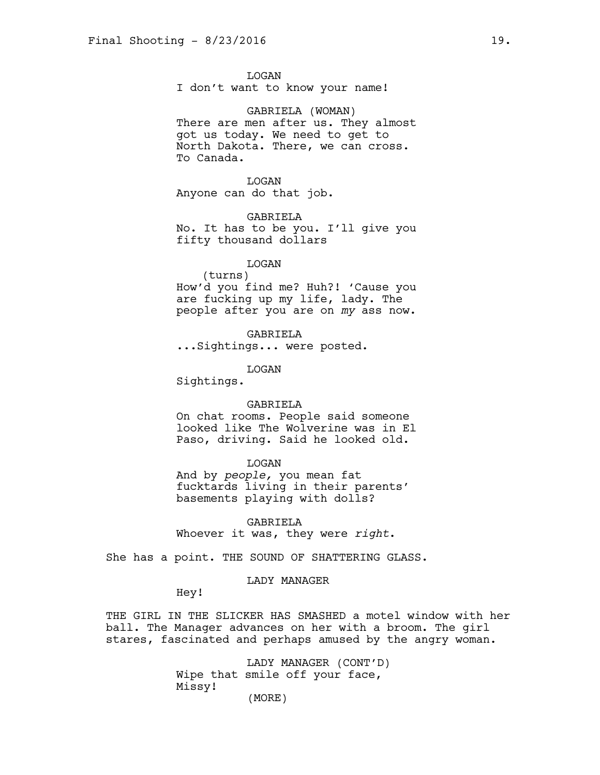LOGAN I don't want to know your name!

GABRIELA (WOMAN) There are men after us. They almost got us today. We need to get to North Dakota. There, we can cross. To Canada.

LOGAN Anyone can do that job.

GABRIELA No. It has to be you. I'll give you fifty thousand dollars

# LOGAN

(turns) How'd you find me? Huh?! 'Cause you are fucking up my life, lady. The people after you are on *my* ass now.

GABRIELA

...Sightings... were posted.

LOGAN

Sightings.

#### GABRIELA

On chat rooms. People said someone looked like The Wolverine was in El Paso, driving. Said he looked old.

## LOGAN

And by *people,* you mean fat fucktards living in their parents' basements playing with dolls?

GABRIELA Whoever it was, they were *right*.

She has a point. THE SOUND OF SHATTERING GLASS.

#### LADY MANAGER

Hey!

THE GIRL IN THE SLICKER HAS SMASHED a motel window with her ball. The Manager advances on her with a broom. The girl stares, fascinated and perhaps amused by the angry woman.

> LADY MANAGER (CONT'D) Wipe that smile off your face, Missy! (MORE)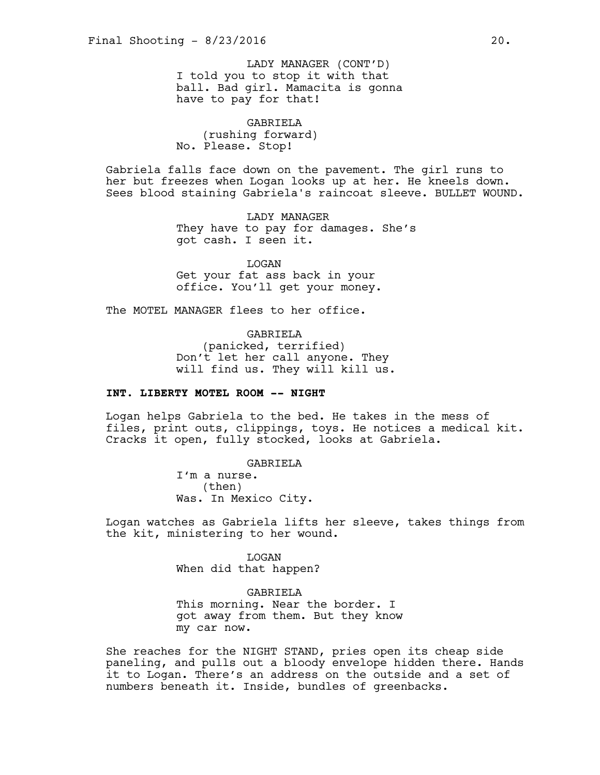I told you to stop it with that ball. Bad girl. Mamacita is gonna have to pay for that! LADY MANAGER (CONT'D)

GABRIELA (rushing forward) No. Please. Stop!

Gabriela falls face down on the pavement. The girl runs to her but freezes when Logan looks up at her. He kneels down. Sees blood staining Gabriela's raincoat sleeve. BULLET WOUND.

> LADY MANAGER They have to pay for damages. She's got cash. I seen it.

LOGAN Get your fat ass back in your office. You'll get your money.

The MOTEL MANAGER flees to her office.

GABRIELA (panicked, terrified) Don't let her call anyone. They will find us. They will kill us.

# **INT. LIBERTY MOTEL ROOM -- NIGHT**

Logan helps Gabriela to the bed. He takes in the mess of files, print outs, clippings, toys. He notices a medical kit. Cracks it open, fully stocked, looks at Gabriela.

> GABRIELA I'm a nurse. (then) Was. In Mexico City.

Logan watches as Gabriela lifts her sleeve, takes things from the kit, ministering to her wound.

> LOGAN When did that happen?

GABRIELA This morning. Near the border. I got away from them. But they know my car now.

She reaches for the NIGHT STAND, pries open its cheap side paneling, and pulls out a bloody envelope hidden there. Hands it to Logan. There's an address on the outside and a set of numbers beneath it. Inside, bundles of greenbacks.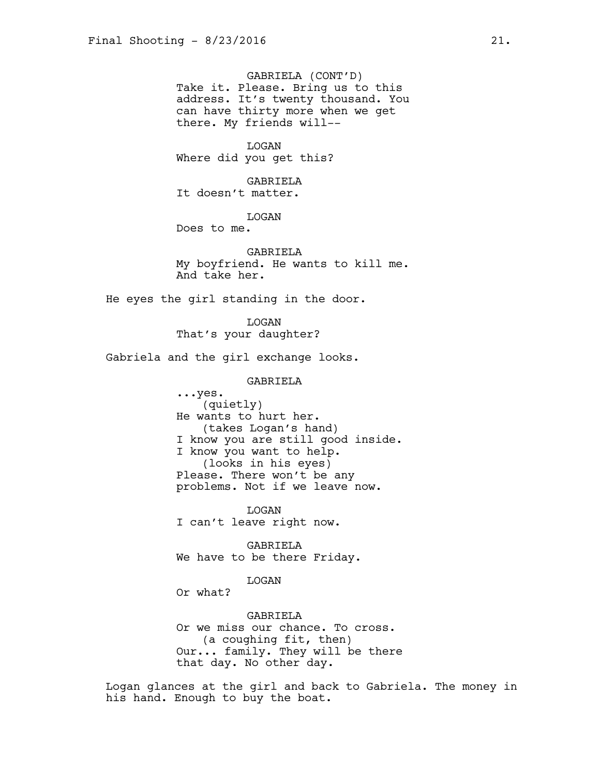GABRIELA (CONT'D) Take it. Please. Bring us to this address. It's twenty thousand. You can have thirty more when we get there. My friends will--

LOGAN Where did you get this?

GABRIELA It doesn't matter.

LOGAN

Does to me.

GABRIELA My boyfriend. He wants to kill me. And take her.

He eyes the girl standing in the door.

LOGAN That's your daughter?

Gabriela and the girl exchange looks.

GABRIELA

...yes. (quietly) He wants to hurt her. (takes Logan's hand) I know you are still good inside. I know you want to help. (looks in his eyes) Please. There won't be any problems. Not if we leave now.

LOGAN I can't leave right now.

GABRIELA We have to be there Friday.

LOGAN

Or what?

GABRIELA Or we miss our chance. To cross. (a coughing fit, then) Our... family. They will be there that day. No other day.

Logan glances at the girl and back to Gabriela. The money in his hand. Enough to buy the boat.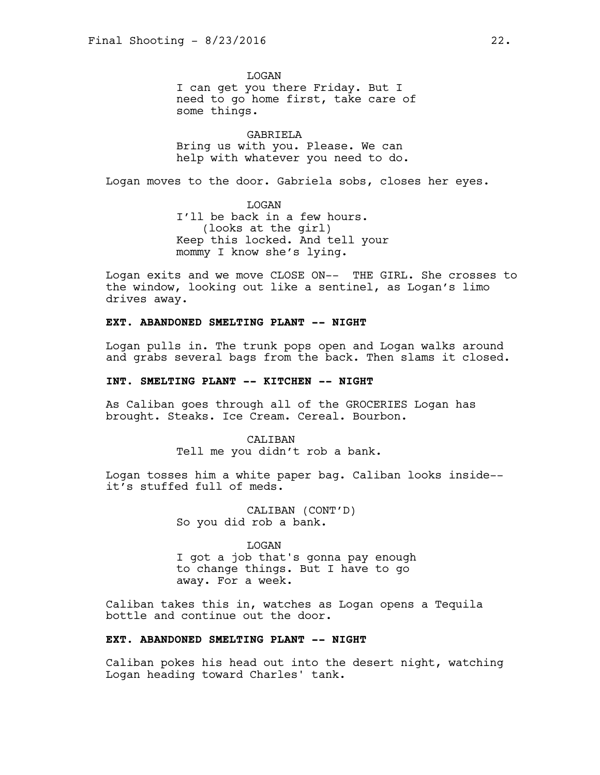**T<sub>I</sub>OGAN** I can get you there Friday. But I need to go home first, take care of some things.

GABRIELA Bring us with you. Please. We can help with whatever you need to do.

Logan moves to the door. Gabriela sobs, closes her eyes.

LOGAN I'll be back in a few hours. (looks at the girl) Keep this locked. And tell your mommy I know she's lying.

Logan exits and we move CLOSE ON-- THE GIRL. She crosses to the window, looking out like a sentinel, as Logan's limo drives away.

# **EXT. ABANDONED SMELTING PLANT -- NIGHT**

Logan pulls in. The trunk pops open and Logan walks around and grabs several bags from the back. Then slams it closed.

#### **INT. SMELTING PLANT -- KITCHEN -- NIGHT**

As Caliban goes through all of the GROCERIES Logan has brought. Steaks. Ice Cream. Cereal. Bourbon.

> CALTBAN Tell me you didn't rob a bank.

Logan tosses him a white paper bag. Caliban looks inside- it's stuffed full of meds.

> CALIBAN (CONT'D) So you did rob a bank.

LOGAN I got a job that's gonna pay enough to change things. But I have to go away. For a week.

Caliban takes this in, watches as Logan opens a Tequila bottle and continue out the door.

# **EXT. ABANDONED SMELTING PLANT -- NIGHT**

Caliban pokes his head out into the desert night, watching Logan heading toward Charles' tank.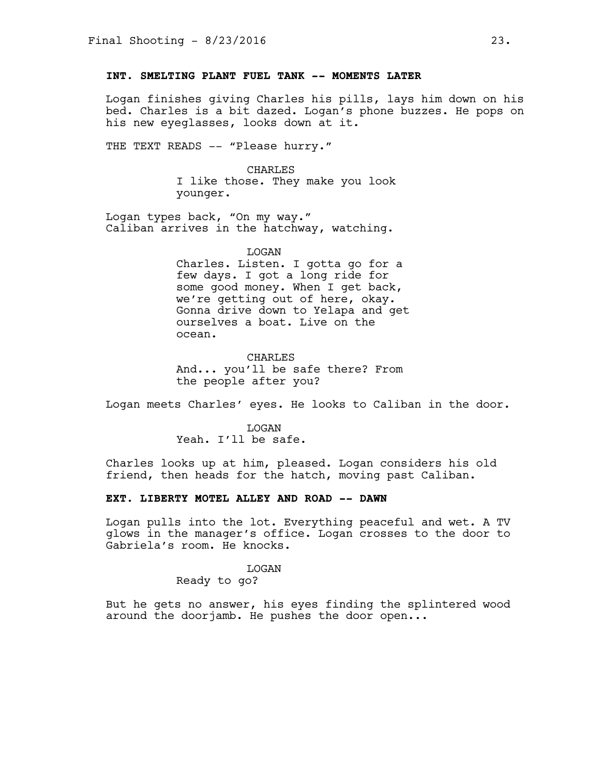# **INT. SMELTING PLANT FUEL TANK -- MOMENTS LATER**

Logan finishes giving Charles his pills, lays him down on his bed. Charles is a bit dazed. Logan's phone buzzes. He pops on his new eyeglasses, looks down at it.

THE TEXT READS -- "Please hurry."

#### CHARLES

I like those. They make you look younger.

Logan types back, "On my way." Caliban arrives in the hatchway, watching.

#### LOGAN

Charles. Listen. I gotta go for a few days. I got a long ride for some good money. When I get back, we're getting out of here, okay. Gonna drive down to Yelapa and get ourselves a boat. Live on the ocean.

**CHARLES** And... you'll be safe there? From the people after you?

Logan meets Charles' eyes. He looks to Caliban in the door.

**T<sub>I</sub>OGAN** Yeah. I'll be safe.

Charles looks up at him, pleased. Logan considers his old friend, then heads for the hatch, moving past Caliban.

#### **EXT. LIBERTY MOTEL ALLEY AND ROAD -- DAWN**

Logan pulls into the lot. Everything peaceful and wet. A TV glows in the manager's office. Logan crosses to the door to Gabriela's room. He knocks.

## **T<sub>I</sub>OGAN**

Ready to go?

But he gets no answer, his eyes finding the splintered wood around the doorjamb. He pushes the door open...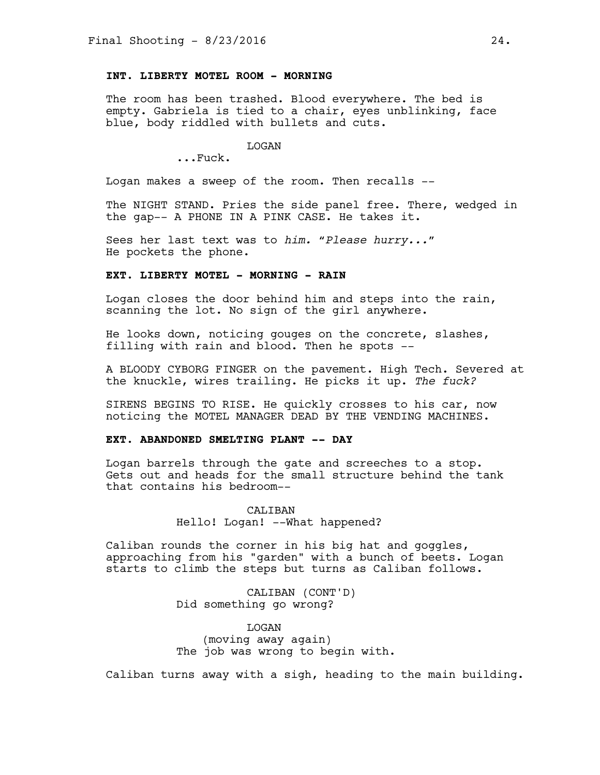## **INT. LIBERTY MOTEL ROOM - MORNING**

The room has been trashed. Blood everywhere. The bed is empty. Gabriela is tied to a chair, eyes unblinking, face blue, body riddled with bullets and cuts.

LOGAN

...Fuck.

Logan makes a sweep of the room. Then recalls --

The NIGHT STAND. Pries the side panel free. There, wedged in the gap-- A PHONE IN A PINK CASE. He takes it.

Sees her last text was to *him. "Please hurry..."* He pockets the phone.

## **EXT. LIBERTY MOTEL - MORNING - RAIN**

Logan closes the door behind him and steps into the rain, scanning the lot. No sign of the girl anywhere.

He looks down, noticing gouges on the concrete, slashes, filling with rain and blood. Then he spots --

A BLOODY CYBORG FINGER on the pavement. High Tech. Severed at the knuckle, wires trailing. He picks it up. *The fuck?*

SIRENS BEGINS TO RISE. He quickly crosses to his car, now noticing the MOTEL MANAGER DEAD BY THE VENDING MACHINES.

#### **EXT. ABANDONED SMELTING PLANT -- DAY**

Logan barrels through the gate and screeches to a stop. Gets out and heads for the small structure behind the tank that contains his bedroom--

> CALIBAN Hello! Logan! --What happened?

Caliban rounds the corner in his big hat and goggles, approaching from his "garden" with a bunch of beets. Logan starts to climb the steps but turns as Caliban follows.

> CALIBAN (CONT'D) Did something go wrong?

LOGAN (moving away again) The job was wrong to begin with.

Caliban turns away with a sigh, heading to the main building.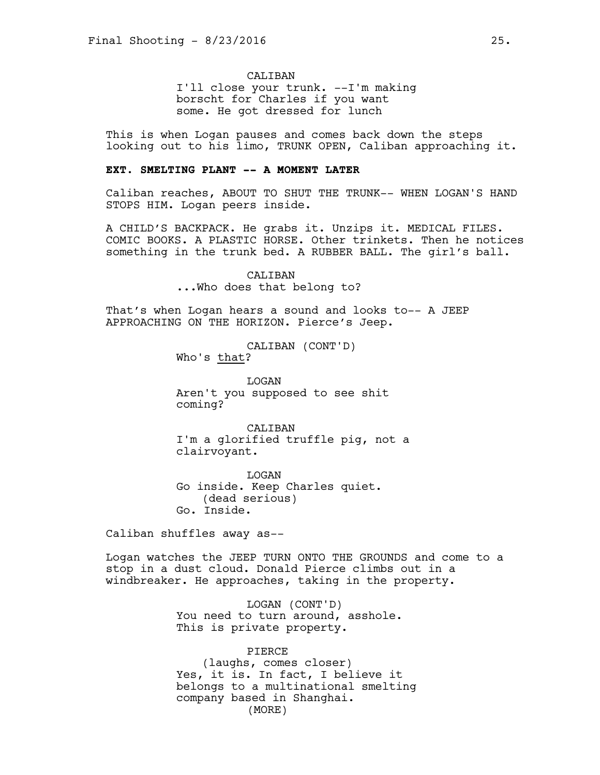CALIBAN

I'll close your trunk. --I'm making borscht for Charles if you want some. He got dressed for lunch

This is when Logan pauses and comes back down the steps looking out to his limo, TRUNK OPEN, Caliban approaching it.

## **EXT. SMELTING PLANT -- A MOMENT LATER**

Caliban reaches, ABOUT TO SHUT THE TRUNK-- WHEN LOGAN'S HAND STOPS HIM. Logan peers inside.

A CHILD'S BACKPACK. He grabs it. Unzips it. MEDICAL FILES. COMIC BOOKS. A PLASTIC HORSE. Other trinkets. Then he notices something in the trunk bed. A RUBBER BALL. The girl's ball.

> CALIBAN ...Who does that belong to?

That's when Logan hears a sound and looks to-- A JEEP APPROACHING ON THE HORIZON. Pierce's Jeep.

> CALIBAN (CONT'D) Who's that?

**T<sub>I</sub>OGAN** Aren't you supposed to see shit coming?

CALIBAN I'm a glorified truffle pig, not a clairvoyant.

LOGAN Go inside. Keep Charles quiet. (dead serious) Go. Inside.

Caliban shuffles away as--

Logan watches the JEEP TURN ONTO THE GROUNDS and come to a stop in a dust cloud. Donald Pierce climbs out in a windbreaker. He approaches, taking in the property.

> LOGAN (CONT'D) You need to turn around, asshole. This is private property.

PIERCE (laughs, comes closer) Yes, it is. In fact, I believe it belongs to a multinational smelting company based in Shanghai. (MORE)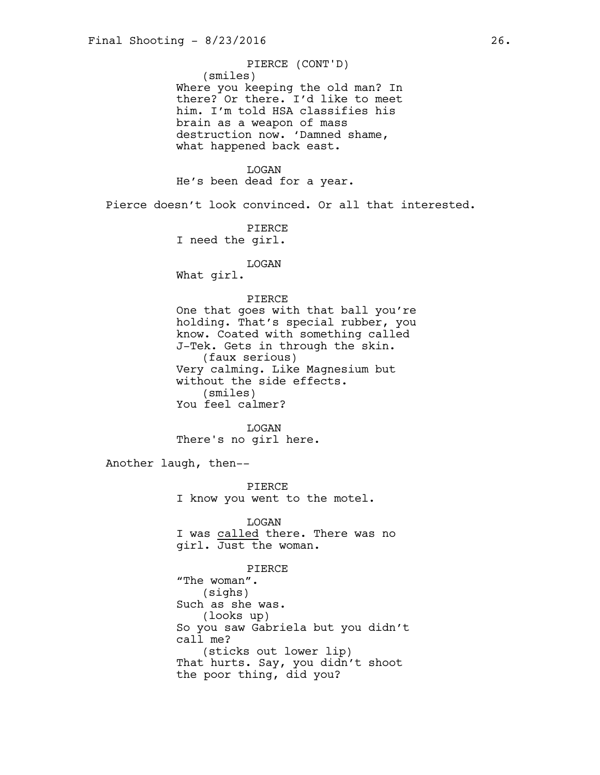(smiles) Where you keeping the old man? In there? Or there. I'd like to meet him. I'm told HSA classifies his brain as a weapon of mass destruction now. 'Damned shame, what happened back east. PIERCE (CONT'D)

## LOGAN

He's been dead for a year.

Pierce doesn't look convinced. Or all that interested.

PIERCE I need the girl.

## LOGAN

What girl.

## PIERCE

One that goes with that ball you're holding. That's special rubber, you know. Coated with something called J-Tek. Gets in through the skin. (faux serious) Very calming. Like Magnesium but without the side effects. (smiles) You feel calmer?

LOGAN There's no girl here.

Another laugh, then--

PIERCE I know you went to the motel.

LOGAN I was called there. There was no girl. Just the woman.

PIERCE "The woman". (sighs) Such as she was. (looks up) So you saw Gabriela but you didn't call me? (sticks out lower lip) That hurts. Say, you didn't shoot the poor thing, did you?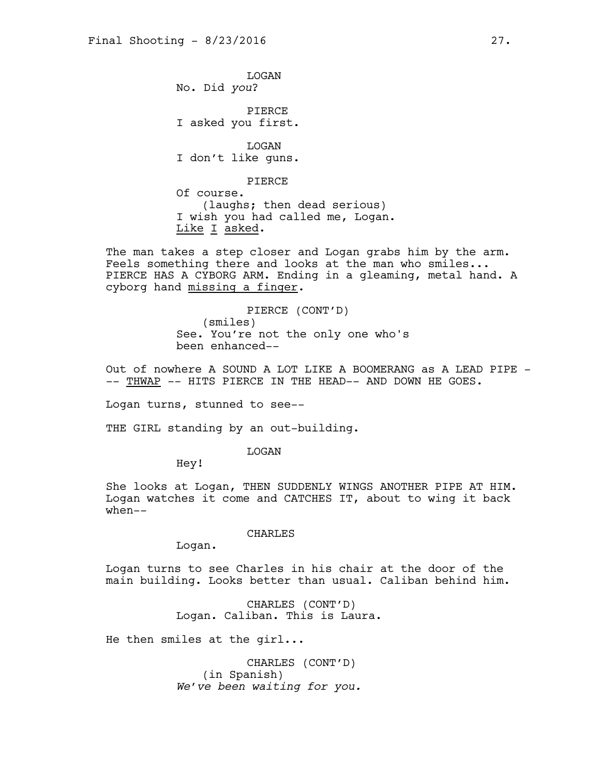LOGAN No. Did *you*?

PIERCE I asked you first.

LOGAN I don't like guns.

PIERCE

Of course. (laughs; then dead serious) I wish you had called me, Logan. Like I asked.

The man takes a step closer and Logan grabs him by the arm. Feels something there and looks at the man who smiles... PIERCE HAS A CYBORG ARM. Ending in a gleaming, metal hand. A cyborg hand missing a finger.

> PIERCE (CONT'D) (smiles) See. You're not the only one who's been enhanced--

Out of nowhere A SOUND A LOT LIKE A BOOMERANG as A LEAD PIPE --- THWAP -- HITS PIERCE IN THE HEAD-- AND DOWN HE GOES.

Logan turns, stunned to see--

THE GIRL standing by an out-building.

LOGAN

Hey!

She looks at Logan, THEN SUDDENLY WINGS ANOTHER PIPE AT HIM. Logan watches it come and CATCHES IT, about to wing it back when--

CHARLES

Logan.

Logan turns to see Charles in his chair at the door of the main building. Looks better than usual. Caliban behind him.

> CHARLES (CONT'D) Logan. Caliban. This is Laura.

He then smiles at the girl...

CHARLES (CONT'D) (in Spanish) *We've been waiting for you.*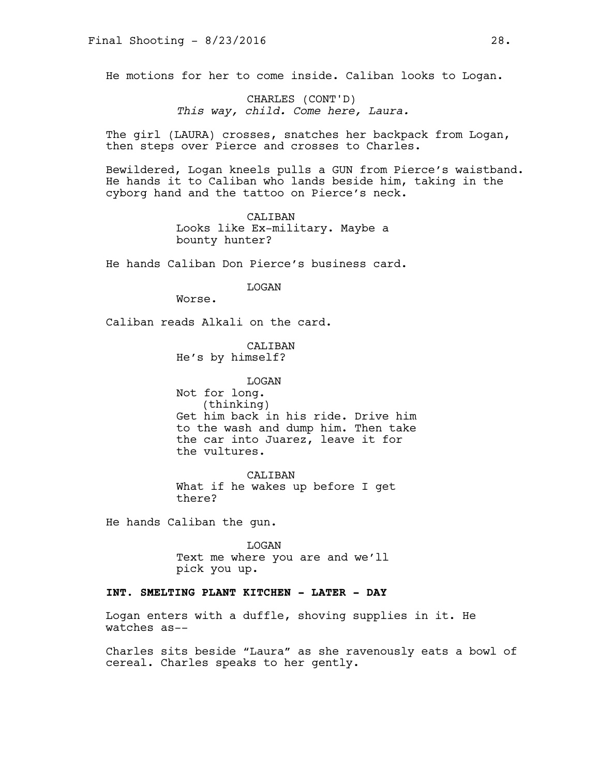He motions for her to come inside. Caliban looks to Logan.

CHARLES (CONT'D) *This way, child. Come here, Laura.*

The girl (LAURA) crosses, snatches her backpack from Logan, then steps over Pierce and crosses to Charles.

Bewildered, Logan kneels pulls a GUN from Pierce's waistband. He hands it to Caliban who lands beside him, taking in the cyborg hand and the tattoo on Pierce's neck.

> CALIBAN Looks like Ex-military. Maybe a bounty hunter?

He hands Caliban Don Pierce's business card.

LOGAN

Worse.

Caliban reads Alkali on the card.

CALIBAN He's by himself?

LOGAN Not for long. (thinking) Get him back in his ride. Drive him to the wash and dump him. Then take the car into Juarez, leave it for the vultures.

CALIBAN What if he wakes up before I get there?

He hands Caliban the gun.

LOGAN Text me where you are and we'll pick you up.

# **INT. SMELTING PLANT KITCHEN - LATER - DAY**

Logan enters with a duffle, shoving supplies in it. He watches as--

Charles sits beside "Laura" as she ravenously eats a bowl of cereal. Charles speaks to her gently.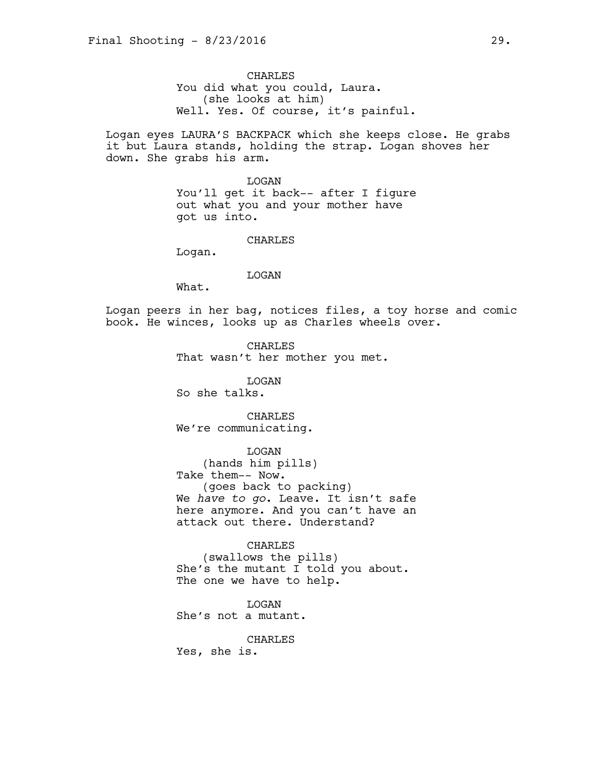CHARLES You did what you could, Laura. (she looks at him) Well. Yes. Of course, it's painful.

Logan eyes LAURA'S BACKPACK which she keeps close. He grabs it but Laura stands, holding the strap. Logan shoves her down. She grabs his arm.

> LOGAN You'll get it back-- after I figure out what you and your mother have got us into.

> > CHARLES

Logan.

LOGAN

What.

Logan peers in her bag, notices files, a toy horse and comic book. He winces, looks up as Charles wheels over.

> CHARLES That wasn't her mother you met.

> > LOGAN

So she talks.

CHARLES We're communicating.

LOGAN

(hands him pills) Take them-- Now. (goes back to packing) We *have to go*. Leave. It isn't safe here anymore. And you can't have an attack out there. Understand?

CHARLES

(swallows the pills) She's the mutant I told you about. The one we have to help.

LOGAN She's not a mutant.

CHARLES

Yes, she is.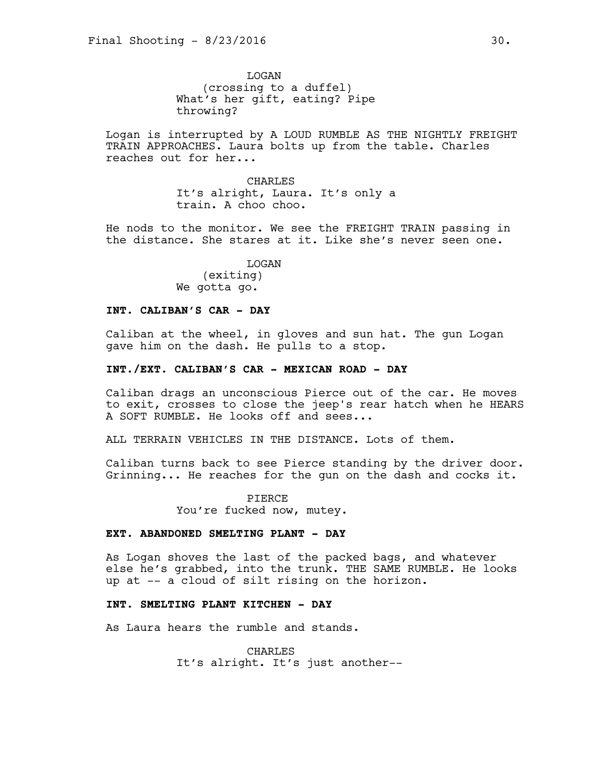**T<sub>I</sub>OGAN** (crossing to a duffel) What's her gift, eating? Pipe throwing?

Logan is interrupted by A LOUD RUMBLE AS THE NIGHTLY FREIGHT TRAIN APPROACHES. Laura bolts up from the table. Charles reaches out for her...

> CHARLES It's alright, Laura. It's only a train. A choo choo.

He nods to the monitor. We see the FREIGHT TRAIN passing in the distance. She stares at it. Like she's never seen one.

> LOGAN (exiting) We gotta go.

### **INT. CALIBAN'S CAR - DAY**

Caliban at the wheel, in gloves and sun hat. The gun Logan gave him on the dash. He pulls to a stop.

#### **INT./EXT. CALIBAN'S CAR - MEXICAN ROAD - DAY**

Caliban drags an unconscious Pierce out of the car. He moves to exit, crosses to close the jeep's rear hatch when he HEARS A SOFT RUMBLE. He looks off and sees...

ALL TERRAIN VEHICLES IN THE DISTANCE. Lots of them.

Caliban turns back to see Pierce standing by the driver door. Grinning... He reaches for the gun on the dash and cocks it.

> PIERCE You're fucked now, mutey.

## **EXT. ABANDONED SMELTING PLANT - DAY**

As Logan shoves the last of the packed bags, and whatever else he's grabbed, into the trunk. THE SAME RUMBLE. He looks up at -- a cloud of silt rising on the horizon.

## **INT. SMELTING PLANT KITCHEN - DAY**

As Laura hears the rumble and stands.

CHARLES It's alright. It's just another--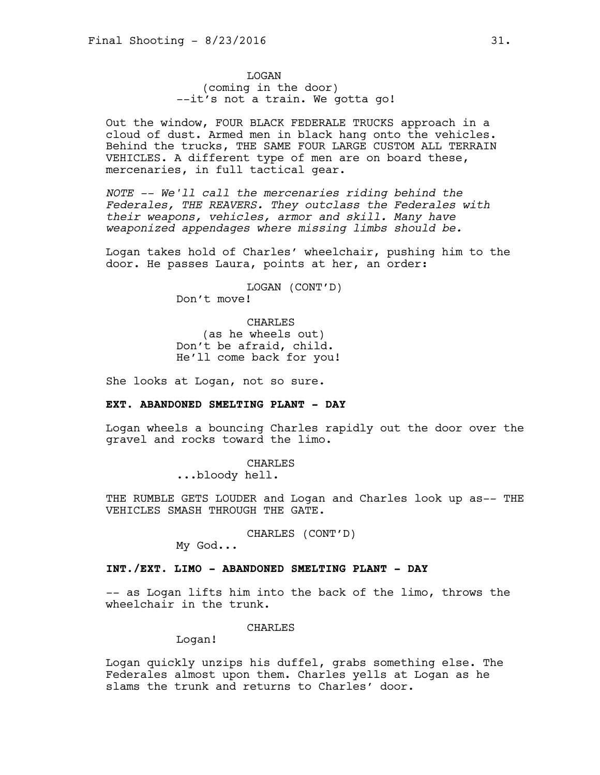LOGAN (coming in the door) --it's not a train. We gotta go!

Out the window, FOUR BLACK FEDERALE TRUCKS approach in a cloud of dust. Armed men in black hang onto the vehicles. Behind the trucks, THE SAME FOUR LARGE CUSTOM ALL TERRAIN VEHICLES. A different type of men are on board these, mercenaries, in full tactical gear.

*NOTE -- We'll call the mercenaries riding behind the Federales, THE REAVERS. They outclass the Federales with their weapons, vehicles, armor and skill. Many have weaponized appendages where missing limbs should be.* 

Logan takes hold of Charles' wheelchair, pushing him to the door. He passes Laura, points at her, an order:

> LOGAN (CONT'D) Don't move!

CHARLES (as he wheels out) Don't be afraid, child. He'll come back for you!

She looks at Logan, not so sure.

## **EXT. ABANDONED SMELTING PLANT - DAY**

Logan wheels a bouncing Charles rapidly out the door over the gravel and rocks toward the limo.

> CHARLES ...bloody hell.

THE RUMBLE GETS LOUDER and Logan and Charles look up as-- THE VEHICLES SMASH THROUGH THE GATE.

CHARLES (CONT'D)

My God...

## **INT./EXT. LIMO - ABANDONED SMELTING PLANT - DAY**

-- as Logan lifts him into the back of the limo, throws the wheelchair in the trunk.

#### CHARLES

Logan!

Logan quickly unzips his duffel, grabs something else. The Federales almost upon them. Charles yells at Logan as he slams the trunk and returns to Charles' door.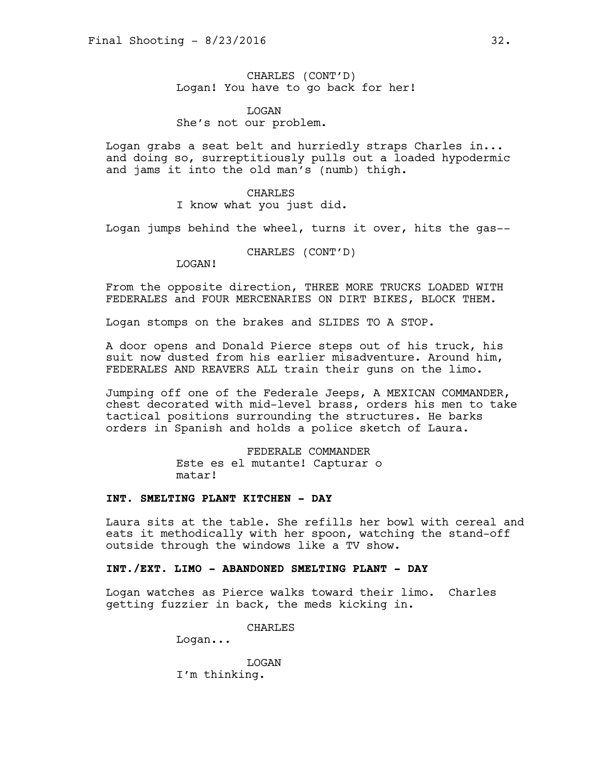CHARLES (CONT'D) Logan! You have to go back for her!

LOGAN She's not our problem.

Logan grabs a seat belt and hurriedly straps Charles in... and doing so, surreptitiously pulls out a loaded hypodermic and jams it into the old man's (numb) thigh.

#### CHARLES

I know what you just did.

Logan jumps behind the wheel, turns it over, hits the gas--

CHARLES (CONT'D)

LOGAN!

From the opposite direction, THREE MORE TRUCKS LOADED WITH FEDERALES and FOUR MERCENARIES ON DIRT BIKES, BLOCK THEM.

Logan stomps on the brakes and SLIDES TO A STOP.

A door opens and Donald Pierce steps out of his truck, his suit now dusted from his earlier misadventure. Around him, FEDERALES AND REAVERS ALL train their guns on the limo.

Jumping off one of the Federale Jeeps, A MEXICAN COMMANDER, chest decorated with mid-level brass, orders his men to take tactical positions surrounding the structures. He barks orders in Spanish and holds a police sketch of Laura.

> FEDERALE COMMANDER Este es el mutante! Capturar o matar!

#### **INT. SMELTING PLANT KITCHEN - DAY**

Laura sits at the table. She refills her bowl with cereal and eats it methodically with her spoon, watching the stand-off outside through the windows like a TV show.

## **INT./EXT. LIMO - ABANDONED SMELTING PLANT - DAY**

Logan watches as Pierce walks toward their limo. Charles getting fuzzier in back, the meds kicking in.

CHARLES

Logan...

LOGAN I'm thinking.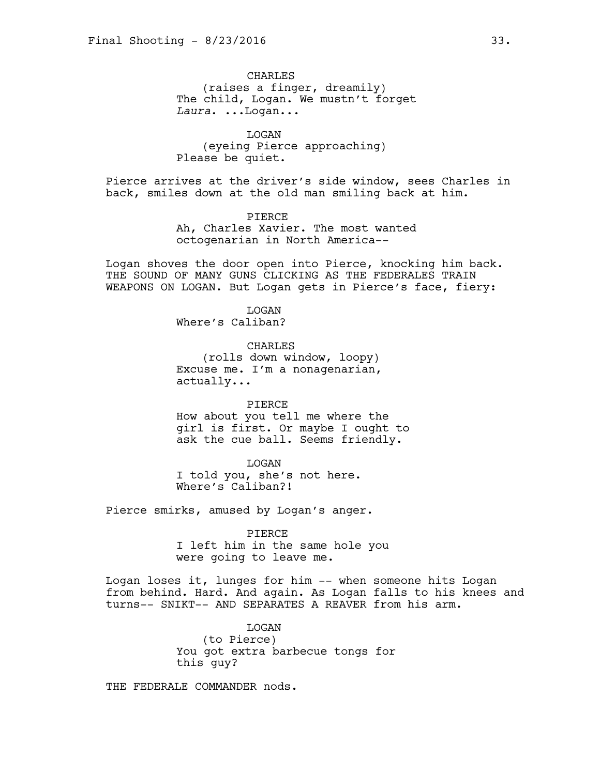**CHARLES** (raises a finger, dreamily) The child, Logan. We mustn't forget *Laura*. ...Logan...

LOGAN (eyeing Pierce approaching) Please be quiet.

Pierce arrives at the driver's side window, sees Charles in back, smiles down at the old man smiling back at him.

> PIERCE Ah, Charles Xavier. The most wanted octogenarian in North America--

Logan shoves the door open into Pierce, knocking him back. THE SOUND OF MANY GUNS CLICKING AS THE FEDERALES TRAIN WEAPONS ON LOGAN. But Logan gets in Pierce's face, fiery:

> LOGAN Where's Caliban?

CHARLES (rolls down window, loopy) Excuse me. I'm a nonagenarian, actually...

PIERCE How about you tell me where the girl is first. Or maybe I ought to ask the cue ball. Seems friendly.

LOGAN I told you, she's not here. Where's Caliban?!

Pierce smirks, amused by Logan's anger.

PIERCE

I left him in the same hole you were going to leave me.

Logan loses it, lunges for him -- when someone hits Logan from behind. Hard. And again. As Logan falls to his knees and turns-- SNIKT-- AND SEPARATES A REAVER from his arm.

> LOGAN (to Pierce) You got extra barbecue tongs for this guy?

THE FEDERALE COMMANDER nods.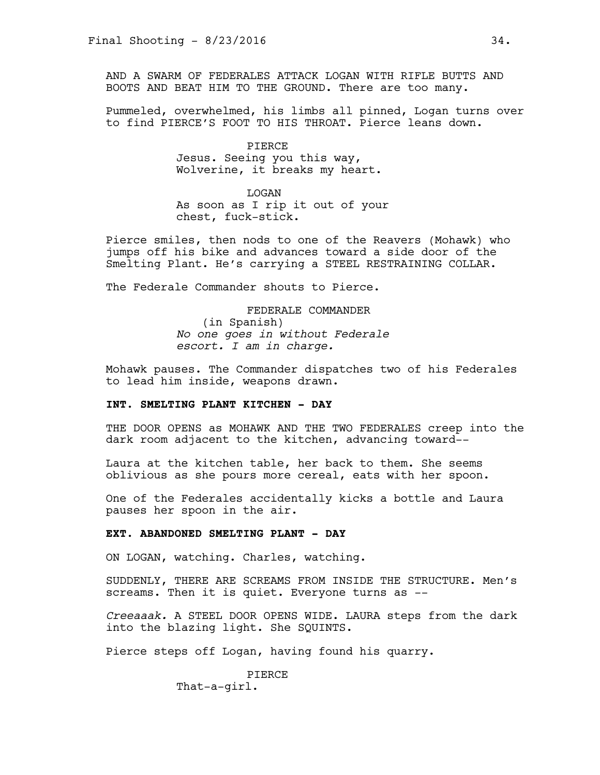AND A SWARM OF FEDERALES ATTACK LOGAN WITH RIFLE BUTTS AND BOOTS AND BEAT HIM TO THE GROUND. There are too many.

Pummeled, overwhelmed, his limbs all pinned, Logan turns over to find PIERCE'S FOOT TO HIS THROAT. Pierce leans down.

> PIERCE Jesus. Seeing you this way, Wolverine, it breaks my heart.

> > LOGAN

As soon as I rip it out of your chest, fuck-stick.

Pierce smiles, then nods to one of the Reavers (Mohawk) who jumps off his bike and advances toward a side door of the Smelting Plant. He's carrying a STEEL RESTRAINING COLLAR.

The Federale Commander shouts to Pierce.

FEDERALE COMMANDER (in Spanish) *No one goes in without Federale escort. I am in charge.*

Mohawk pauses. The Commander dispatches two of his Federales to lead him inside, weapons drawn.

## **INT. SMELTING PLANT KITCHEN - DAY**

THE DOOR OPENS as MOHAWK AND THE TWO FEDERALES creep into the dark room adjacent to the kitchen, advancing toward--

Laura at the kitchen table, her back to them. She seems oblivious as she pours more cereal, eats with her spoon.

One of the Federales accidentally kicks a bottle and Laura pauses her spoon in the air.

## **EXT. ABANDONED SMELTING PLANT - DAY**

ON LOGAN, watching. Charles, watching.

SUDDENLY, THERE ARE SCREAMS FROM INSIDE THE STRUCTURE. Men's screams. Then it is quiet. Everyone turns as --

*Creeaaak.* A STEEL DOOR OPENS WIDE. LAURA steps from the dark into the blazing light. She SQUINTS.

Pierce steps off Logan, having found his quarry.

**PTERCE** That-a-girl.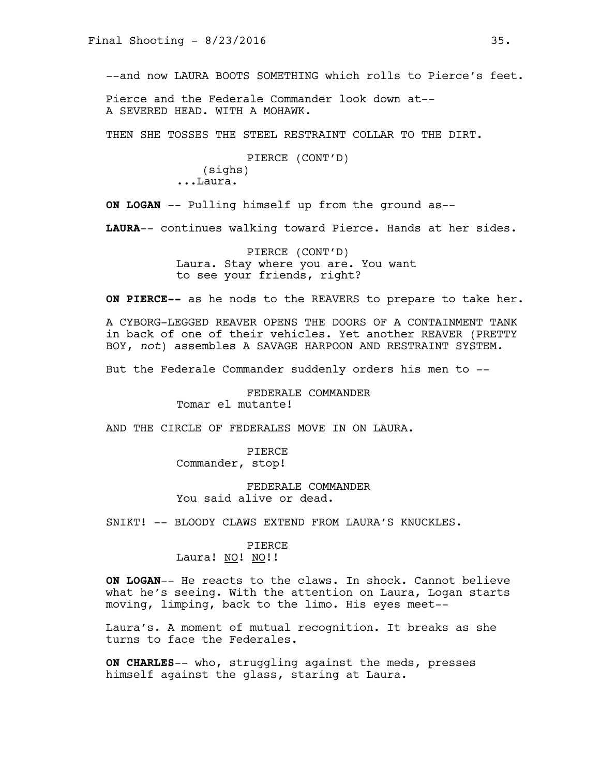--and now LAURA BOOTS SOMETHING which rolls to Pierce's feet.

Pierce and the Federale Commander look down at-- A SEVERED HEAD. WITH A MOHAWK.

THEN SHE TOSSES THE STEEL RESTRAINT COLLAR TO THE DIRT.

```
PIERCE (CONT'D)
    (sighs)
...Laura.
```
**ON LOGAN** -- Pulling himself up from the ground as--

**LAURA**-- continues walking toward Pierce. Hands at her sides.

PIERCE (CONT'D) Laura. Stay where you are. You want to see your friends, right?

**ON PIERCE--** as he nods to the REAVERS to prepare to take her.

A CYBORG-LEGGED REAVER OPENS THE DOORS OF A CONTAINMENT TANK in back of one of their vehicles. Yet another REAVER (PRETTY BOY, *not*) assembles A SAVAGE HARPOON AND RESTRAINT SYSTEM.

But the Federale Commander suddenly orders his men to --

FEDERALE COMMANDER Tomar el mutante!

AND THE CIRCLE OF FEDERALES MOVE IN ON LAURA.

PIERCE Commander, stop!

FEDERALE COMMANDER You said alive or dead.

SNIKT! -- BLOODY CLAWS EXTEND FROM LAURA'S KNUCKLES.

PIERCE Laura! NO! NO!!

**ON LOGAN**-- He reacts to the claws. In shock. Cannot believe what he's seeing. With the attention on Laura, Logan starts moving, limping, back to the limo. His eyes meet--

Laura's. A moment of mutual recognition. It breaks as she turns to face the Federales.

**ON CHARLES**-- who, struggling against the meds, presses himself against the glass, staring at Laura.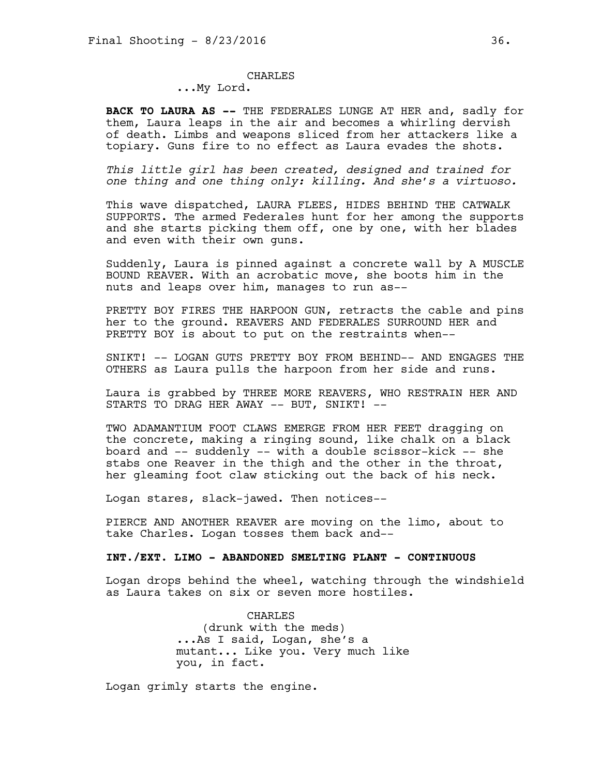### CHARLES

...My Lord.

**BACK TO LAURA AS --** THE FEDERALES LUNGE AT HER and, sadly for them, Laura leaps in the air and becomes a whirling dervish of death. Limbs and weapons sliced from her attackers like a topiary. Guns fire to no effect as Laura evades the shots.

*This little girl has been created, designed and trained for one thing and one thing only: killing. And she's a virtuoso.*

This wave dispatched, LAURA FLEES, HIDES BEHIND THE CATWALK SUPPORTS. The armed Federales hunt for her among the supports and she starts picking them off, one by one, with her blades and even with their own guns.

Suddenly, Laura is pinned against a concrete wall by A MUSCLE BOUND REAVER. With an acrobatic move, she boots him in the nuts and leaps over him, manages to run as--

PRETTY BOY FIRES THE HARPOON GUN, retracts the cable and pins her to the ground. REAVERS AND FEDERALES SURROUND HER and PRETTY BOY is about to put on the restraints when--

SNIKT! -- LOGAN GUTS PRETTY BOY FROM BEHIND-- AND ENGAGES THE OTHERS as Laura pulls the harpoon from her side and runs.

Laura is grabbed by THREE MORE REAVERS, WHO RESTRAIN HER AND STARTS TO DRAG HER AWAY -- BUT, SNIKT! --

TWO ADAMANTIUM FOOT CLAWS EMERGE FROM HER FEET dragging on the concrete, making a ringing sound, like chalk on a black board and -- suddenly -- with a double scissor-kick -- she stabs one Reaver in the thigh and the other in the throat, her gleaming foot claw sticking out the back of his neck.

Logan stares, slack-jawed. Then notices--

PIERCE AND ANOTHER REAVER are moving on the limo, about to take Charles. Logan tosses them back and--

# **INT./EXT. LIMO - ABANDONED SMELTING PLANT - CONTINUOUS**

Logan drops behind the wheel, watching through the windshield as Laura takes on six or seven more hostiles.

> **CHARLES** (drunk with the meds) ...As I said, Logan, she's a mutant... Like you. Very much like you, in fact.

Logan grimly starts the engine.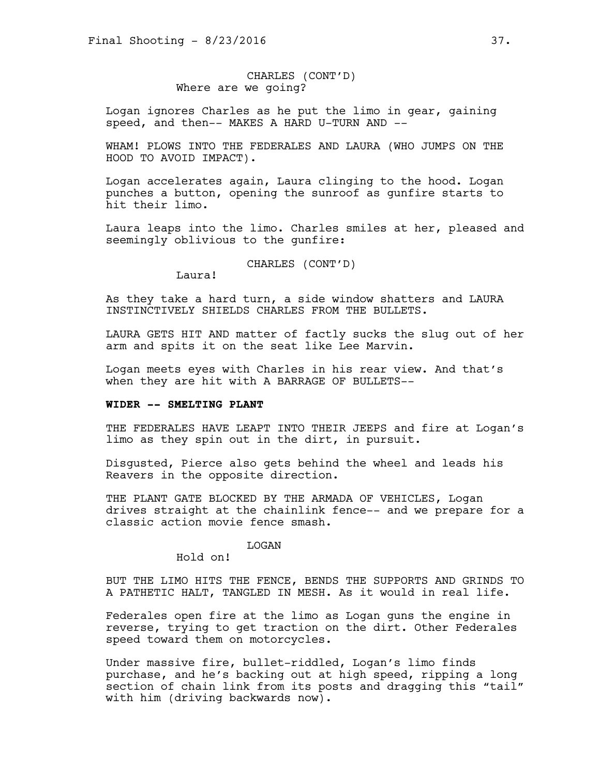# CHARLES (CONT'D) Where are we going?

Logan ignores Charles as he put the limo in gear, gaining speed, and then-- MAKES A HARD U-TURN AND --

WHAM! PLOWS INTO THE FEDERALES AND LAURA (WHO JUMPS ON THE HOOD TO AVOID IMPACT).

Logan accelerates again, Laura clinging to the hood. Logan punches a button, opening the sunroof as gunfire starts to hit their limo.

Laura leaps into the limo. Charles smiles at her, pleased and seemingly oblivious to the gunfire:

CHARLES (CONT'D)

Laura!

As they take a hard turn, a side window shatters and LAURA INSTINCTIVELY SHIELDS CHARLES FROM THE BULLETS.

LAURA GETS HIT AND matter of factly sucks the slug out of her arm and spits it on the seat like Lee Marvin.

Logan meets eyes with Charles in his rear view. And that's when they are hit with A BARRAGE OF BULLETS--

### **WIDER -- SMELTING PLANT**

THE FEDERALES HAVE LEAPT INTO THEIR JEEPS and fire at Logan's limo as they spin out in the dirt, in pursuit.

Disgusted, Pierce also gets behind the wheel and leads his Reavers in the opposite direction.

THE PLANT GATE BLOCKED BY THE ARMADA OF VEHICLES, Logan drives straight at the chainlink fence-- and we prepare for a classic action movie fence smash.

#### LOGAN

Hold on!

BUT THE LIMO HITS THE FENCE, BENDS THE SUPPORTS AND GRINDS TO A PATHETIC HALT, TANGLED IN MESH. As it would in real life.

Federales open fire at the limo as Logan guns the engine in reverse, trying to get traction on the dirt. Other Federales speed toward them on motorcycles.

Under massive fire, bullet-riddled, Logan's limo finds purchase, and he's backing out at high speed, ripping a long section of chain link from its posts and dragging this "tail" with him (driving backwards now).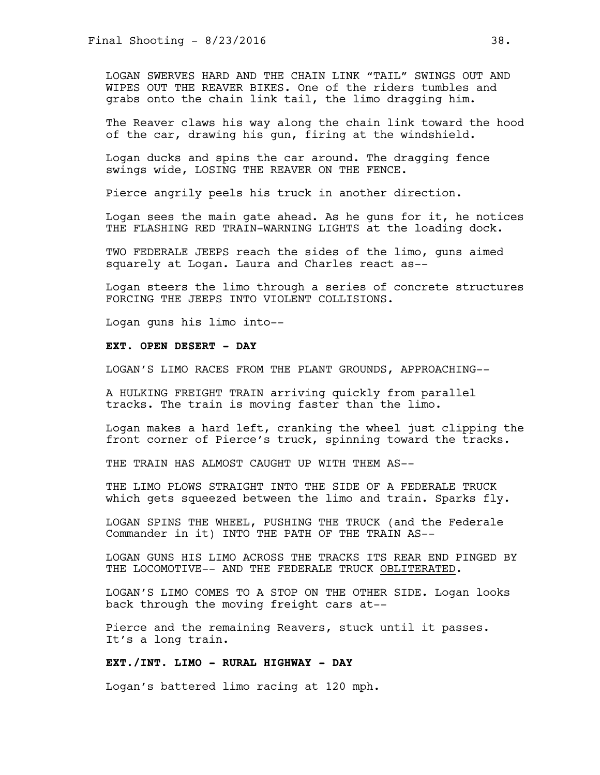LOGAN SWERVES HARD AND THE CHAIN LINK "TAIL" SWINGS OUT AND WIPES OUT THE REAVER BIKES. One of the riders tumbles and grabs onto the chain link tail, the limo dragging him.

The Reaver claws his way along the chain link toward the hood of the car, drawing his gun, firing at the windshield.

Logan ducks and spins the car around. The dragging fence swings wide, LOSING THE REAVER ON THE FENCE.

Pierce angrily peels his truck in another direction.

Logan sees the main gate ahead. As he guns for it, he notices THE FLASHING RED TRAIN-WARNING LIGHTS at the loading dock.

TWO FEDERALE JEEPS reach the sides of the limo, guns aimed squarely at Logan. Laura and Charles react as--

Logan steers the limo through a series of concrete structures FORCING THE JEEPS INTO VIOLENT COLLISIONS.

Logan guns his limo into--

#### **EXT. OPEN DESERT - DAY**

LOGAN'S LIMO RACES FROM THE PLANT GROUNDS, APPROACHING--

A HULKING FREIGHT TRAIN arriving quickly from parallel tracks. The train is moving faster than the limo.

Logan makes a hard left, cranking the wheel just clipping the front corner of Pierce's truck, spinning toward the tracks.

THE TRAIN HAS ALMOST CAUGHT UP WITH THEM AS--

THE LIMO PLOWS STRAIGHT INTO THE SIDE OF A FEDERALE TRUCK which gets squeezed between the limo and train. Sparks fly.

LOGAN SPINS THE WHEEL, PUSHING THE TRUCK (and the Federale Commander in it) INTO THE PATH OF THE TRAIN AS--

LOGAN GUNS HIS LIMO ACROSS THE TRACKS ITS REAR END PINGED BY THE LOCOMOTIVE-- AND THE FEDERALE TRUCK OBLITERATED.

LOGAN'S LIMO COMES TO A STOP ON THE OTHER SIDE. Logan looks back through the moving freight cars at--

Pierce and the remaining Reavers, stuck until it passes. It's a long train.

# **EXT./INT. LIMO - RURAL HIGHWAY - DAY**

Logan's battered limo racing at 120 mph.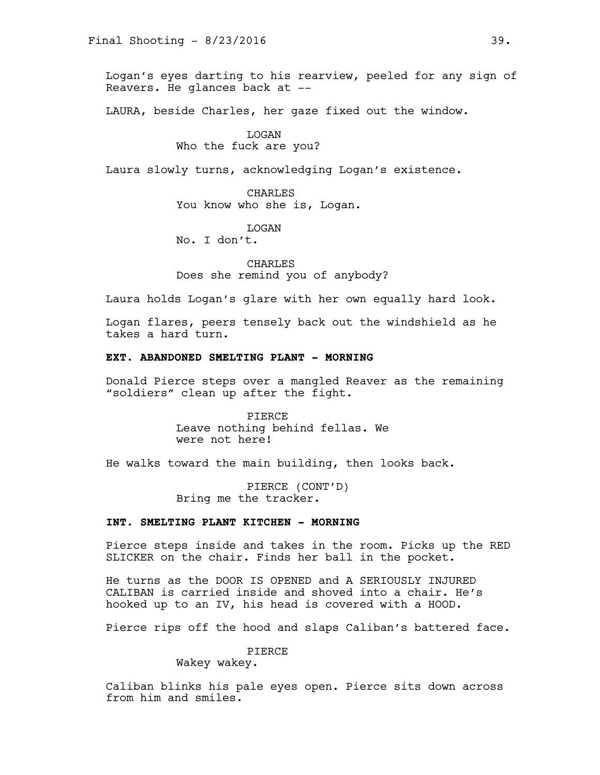Logan's eyes darting to his rearview, peeled for any sign of Reavers. He glances back at --

LAURA, beside Charles, her gaze fixed out the window.

### LOGAN

# Who the fuck are you?

Laura slowly turns, acknowledging Logan's existence.

CHARLES You know who she is, Logan.

**T<sub>I</sub>OGAN** 

No. I don't.

CHARLES Does she remind you of anybody?

Laura holds Logan's glare with her own equally hard look.

Logan flares, peers tensely back out the windshield as he takes a hard turn.

# **EXT. ABANDONED SMELTING PLANT - MORNING**

Donald Pierce steps over a mangled Reaver as the remaining "soldiers" clean up after the fight.

> PIERCE Leave nothing behind fellas. We were not here!

He walks toward the main building, then looks back.

PIERCE (CONT'D) Bring me the tracker.

# **INT. SMELTING PLANT KITCHEN - MORNING**

Pierce steps inside and takes in the room. Picks up the RED SLICKER on the chair. Finds her ball in the pocket.

He turns as the DOOR IS OPENED and A SERIOUSLY INJURED CALIBAN is carried inside and shoved into a chair. He's hooked up to an IV, his head is covered with a HOOD.

Pierce rips off the hood and slaps Caliban's battered face.

PIERCE

Wakey wakey.

Caliban blinks his pale eyes open. Pierce sits down across from him and smiles.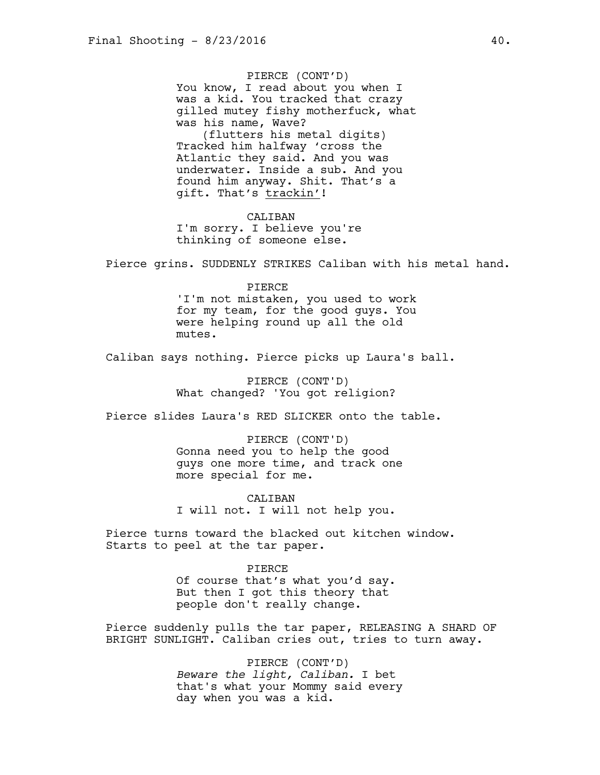PIERCE (CONT'D) You know, I read about you when I was a kid. You tracked that crazy gilled mutey fishy motherfuck, what was his name, Wave? (flutters his metal digits) Tracked him halfway 'cross the Atlantic they said. And you was underwater. Inside a sub. And you found him anyway. Shit. That's a gift. That's trackin'!

CALIBAN I'm sorry. I believe you're thinking of someone else.

Pierce grins. SUDDENLY STRIKES Caliban with his metal hand.

#### PIERCE

'I'm not mistaken, you used to work for my team, for the good guys. You were helping round up all the old mutes.

Caliban says nothing. Pierce picks up Laura's ball.

PIERCE (CONT'D) What changed? 'You got religion?

Pierce slides Laura's RED SLICKER onto the table.

PIERCE (CONT'D) Gonna need you to help the good guys one more time, and track one more special for me.

CALIBAN I will not. I will not help you.

Pierce turns toward the blacked out kitchen window. Starts to peel at the tar paper.

> PIERCE Of course that's what you'd say. But then I got this theory that people don't really change.

Pierce suddenly pulls the tar paper, RELEASING A SHARD OF BRIGHT SUNLIGHT. Caliban cries out, tries to turn away.

> PIERCE (CONT'D) *Beware the light, Caliban.* I bet that's what your Mommy said every day when you was a kid.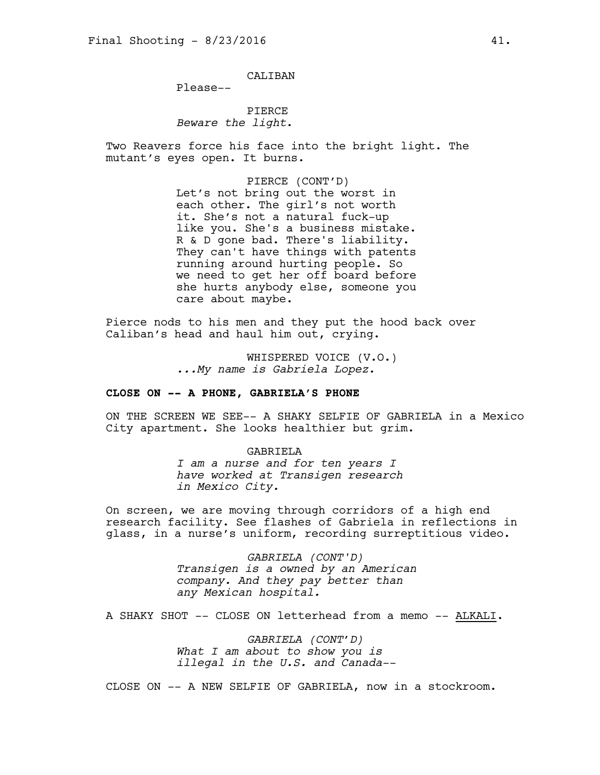CALIBAN

Please--

PIERCE *Beware the light*.

Two Reavers force his face into the bright light. The mutant's eyes open. It burns.

> PIERCE (CONT'D) Let's not bring out the worst in each other. The girl's not worth it. She's not a natural fuck-up like you. She's a business mistake. R & D gone bad. There's liability. They can't have things with patents running around hurting people. So we need to get her off board before she hurts anybody else, someone you care about maybe.

Pierce nods to his men and they put the hood back over Caliban's head and haul him out, crying.

> WHISPERED VOICE (V.O.) *...My name is Gabriela Lopez.*

# **CLOSE ON -- A PHONE, GABRIELA'S PHONE**

ON THE SCREEN WE SEE-- A SHAKY SELFIE OF GABRIELA in a Mexico City apartment. She looks healthier but grim.

#### GABRIELA

*I am a nurse and for ten years I have worked at Transigen research in Mexico City.*

On screen, we are moving through corridors of a high end research facility. See flashes of Gabriela in reflections in glass, in a nurse's uniform, recording surreptitious video.

> *GABRIELA (CONT'D) Transigen is a owned by an American company. And they pay better than any Mexican hospital.*

A SHAKY SHOT -- CLOSE ON letterhead from a memo -- ALKALI.

*GABRIELA (CONT'D) What I am about to show you is illegal in the U.S. and Canada--* 

CLOSE ON -- A NEW SELFIE OF GABRIELA, now in a stockroom.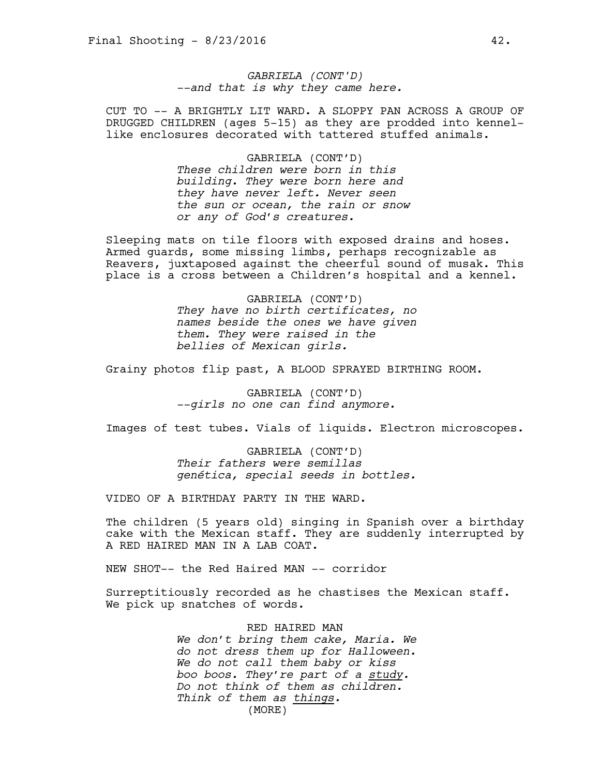*GABRIELA (CONT'D) --and that is why they came here.* 

CUT TO -- A BRIGHTLY LIT WARD. A SLOPPY PAN ACROSS A GROUP OF DRUGGED CHILDREN (ages 5-15) as they are prodded into kennellike enclosures decorated with tattered stuffed animals.

#### GABRIELA (CONT'D)

*These children were born in this building. They were born here and they have never left. Never seen the sun or ocean, the rain or snow or any of God's creatures.* 

Sleeping mats on tile floors with exposed drains and hoses. Armed guards, some missing limbs, perhaps recognizable as Reavers, juxtaposed against the cheerful sound of musak. This place is a cross between a Children's hospital and a kennel.

> GABRIELA (CONT'D) *They have no birth certificates, no names beside the ones we have given them. They were raised in the bellies of Mexican girls.*

Grainy photos flip past, A BLOOD SPRAYED BIRTHING ROOM.

GABRIELA (CONT'D) *--girls no one can find anymore.* 

Images of test tubes. Vials of liquids. Electron microscopes.

GABRIELA (CONT'D) *Their fathers were semillas genética, special seeds in bottles.* 

VIDEO OF A BIRTHDAY PARTY IN THE WARD.

The children (5 years old) singing in Spanish over a birthday cake with the Mexican staff. They are suddenly interrupted by A RED HAIRED MAN IN A LAB COAT.

NEW SHOT-- the Red Haired MAN -- corridor

Surreptitiously recorded as he chastises the Mexican staff. We pick up snatches of words.

> RED HAIRED MAN *We don't bring them cake, Maria. We do not dress them up for Halloween. We do not call them baby or kiss boo boos. They're part of a study. Do not think of them as children. Think of them as things.*  (MORE)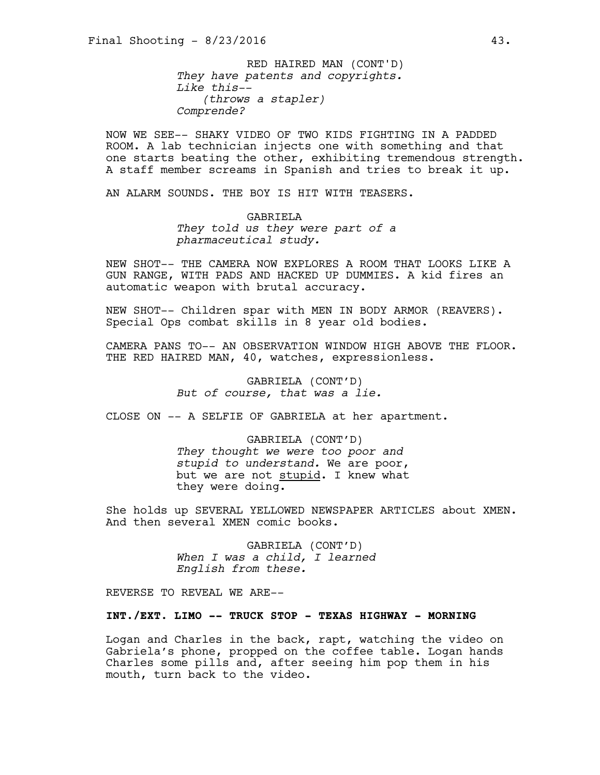*They have patents and copyrights. Like this-- (throws a stapler) Comprende?* RED HAIRED MAN (CONT'D)

NOW WE SEE-- SHAKY VIDEO OF TWO KIDS FIGHTING IN A PADDED ROOM. A lab technician injects one with something and that one starts beating the other, exhibiting tremendous strength. A staff member screams in Spanish and tries to break it up.

AN ALARM SOUNDS. THE BOY IS HIT WITH TEASERS.

GABRIELA *They told us they were part of a pharmaceutical study.* 

NEW SHOT-- THE CAMERA NOW EXPLORES A ROOM THAT LOOKS LIKE A GUN RANGE, WITH PADS AND HACKED UP DUMMIES. A kid fires an automatic weapon with brutal accuracy.

NEW SHOT-- Children spar with MEN IN BODY ARMOR (REAVERS). Special Ops combat skills in 8 year old bodies.

CAMERA PANS TO-- AN OBSERVATION WINDOW HIGH ABOVE THE FLOOR. THE RED HAIRED MAN, 40, watches, expressionless.

> GABRIELA (CONT'D) *But of course, that was a lie.*

CLOSE ON -- A SELFIE OF GABRIELA at her apartment.

GABRIELA (CONT'D) *They thought we were too poor and stupid to understand.* We are poor, but we are not stupid. I knew what they were doing.

She holds up SEVERAL YELLOWED NEWSPAPER ARTICLES about XMEN. And then several XMEN comic books.

> GABRIELA (CONT'D) *When I was a child, I learned English from these.*

REVERSE TO REVEAL WE ARE--

# **INT./EXT. LIMO -- TRUCK STOP - TEXAS HIGHWAY - MORNING**

Logan and Charles in the back, rapt, watching the video on Gabriela's phone, propped on the coffee table. Logan hands Charles some pills and, after seeing him pop them in his mouth, turn back to the video.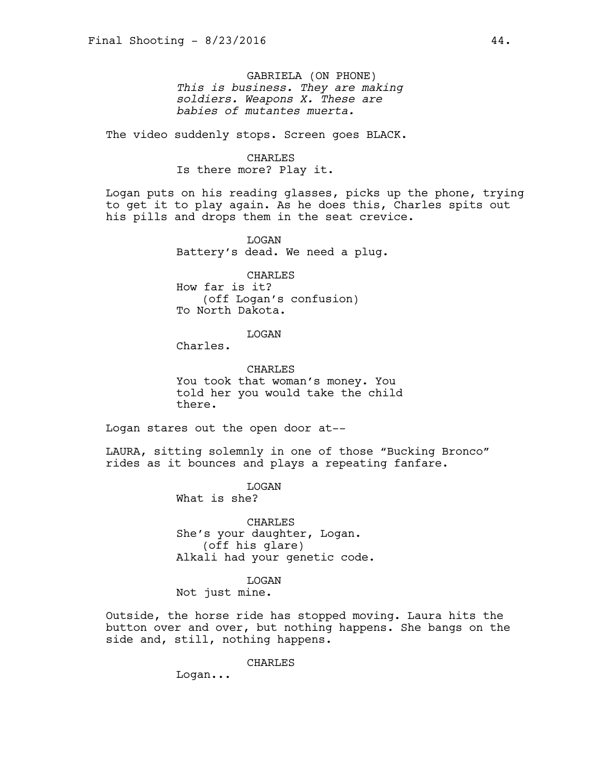GABRIELA (ON PHONE) *This is business. They are making soldiers. Weapons X. These are babies of mutantes muerta.* 

The video suddenly stops. Screen goes BLACK.

#### CHARLES

Is there more? Play it.

Logan puts on his reading glasses, picks up the phone, trying to get it to play again. As he does this, Charles spits out his pills and drops them in the seat crevice.

> LOGAN Battery's dead. We need a plug.

CHARLES How far is it? (off Logan's confusion) To North Dakota.

### LOGAN

Charles.

CHARLES You took that woman's money. You told her you would take the child there.

Logan stares out the open door at--

LAURA, sitting solemnly in one of those "Bucking Bronco" rides as it bounces and plays a repeating fanfare.

> **T<sub>I</sub>OGAN** What is she?

CHARLES She's your daughter, Logan. (off his glare) Alkali had your genetic code.

LOGAN

Not just mine.

Outside, the horse ride has stopped moving. Laura hits the button over and over, but nothing happens. She bangs on the side and, still, nothing happens.

CHARLES

Logan...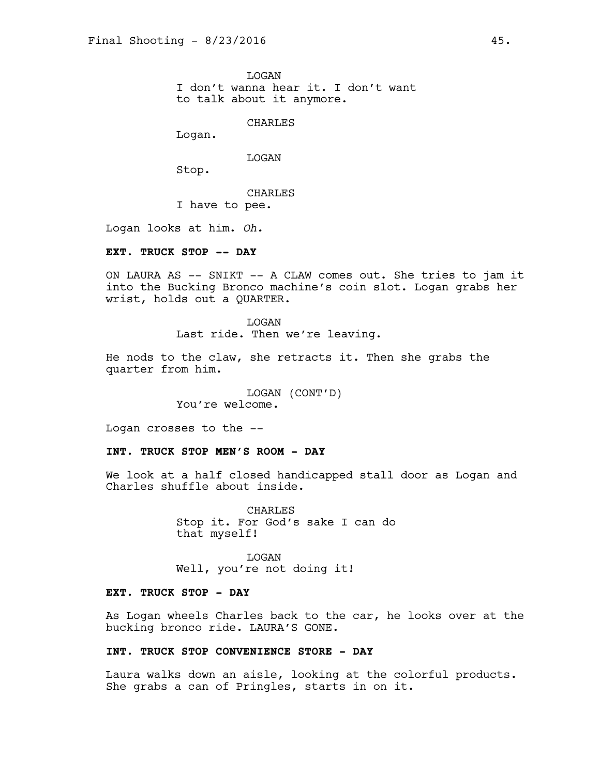**T<sub>I</sub>OGAN** I don't wanna hear it. I don't want to talk about it anymore.

CHARLES

Logan.

LOGAN

Stop.

CHARLES I have to pee.

Logan looks at him. *Oh.* 

# **EXT. TRUCK STOP -- DAY**

ON LAURA AS -- SNIKT -- A CLAW comes out. She tries to jam it into the Bucking Bronco machine's coin slot. Logan grabs her wrist, holds out a QUARTER.

> LOGAN Last ride. Then we're leaving.

He nods to the claw, she retracts it. Then she grabs the quarter from him.

> LOGAN (CONT'D) You're welcome.

Logan crosses to the --

# **INT. TRUCK STOP MEN'S ROOM - DAY**

We look at a half closed handicapped stall door as Logan and Charles shuffle about inside.

> **CHARLES** Stop it. For God's sake I can do that myself!

LOGAN Well, you're not doing it!

# **EXT. TRUCK STOP - DAY**

As Logan wheels Charles back to the car, he looks over at the bucking bronco ride. LAURA'S GONE.

# **INT. TRUCK STOP CONVENIENCE STORE - DAY**

Laura walks down an aisle, looking at the colorful products. She grabs a can of Pringles, starts in on it.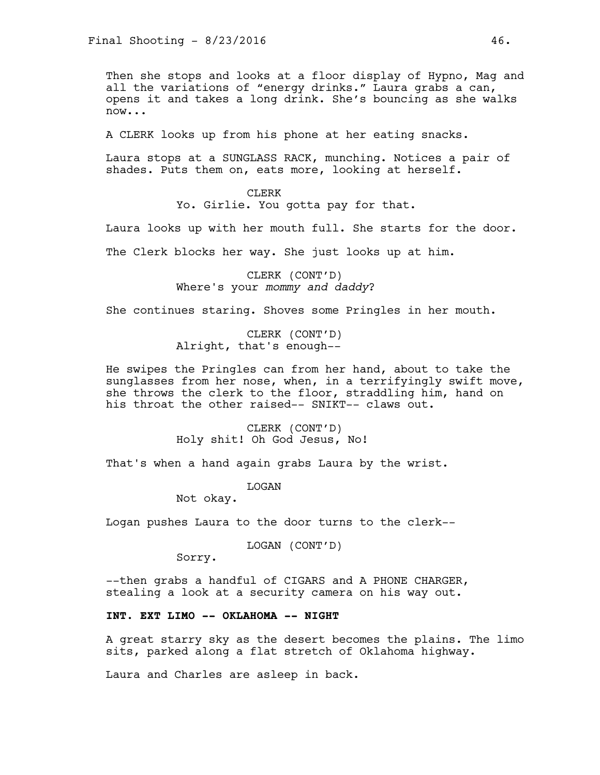Then she stops and looks at a floor display of Hypno, Mag and all the variations of "energy drinks." Laura grabs a can, opens it and takes a long drink. She's bouncing as she walks now...

A CLERK looks up from his phone at her eating snacks.

Laura stops at a SUNGLASS RACK, munching. Notices a pair of shades. Puts them on, eats more, looking at herself.

> CLERK Yo. Girlie. You gotta pay for that.

Laura looks up with her mouth full. She starts for the door.

The Clerk blocks her way. She just looks up at him.

CLERK (CONT'D) Where's your *mommy and daddy*?

She continues staring. Shoves some Pringles in her mouth.

CLERK (CONT'D) Alright, that's enough--

He swipes the Pringles can from her hand, about to take the sunglasses from her nose, when, in a terrifyingly swift move, she throws the clerk to the floor, straddling him, hand on his throat the other raised-- SNIKT-- claws out.

> CLERK (CONT'D) Holy shit! Oh God Jesus, No!

That's when a hand again grabs Laura by the wrist.

**T<sub>I</sub>OGAN** 

Not okay.

Logan pushes Laura to the door turns to the clerk--

LOGAN (CONT'D)

Sorry.

--then grabs a handful of CIGARS and A PHONE CHARGER, stealing a look at a security camera on his way out.

# **INT. EXT LIMO -- OKLAHOMA -- NIGHT**

A great starry sky as the desert becomes the plains. The limo sits, parked along a flat stretch of Oklahoma highway.

Laura and Charles are asleep in back.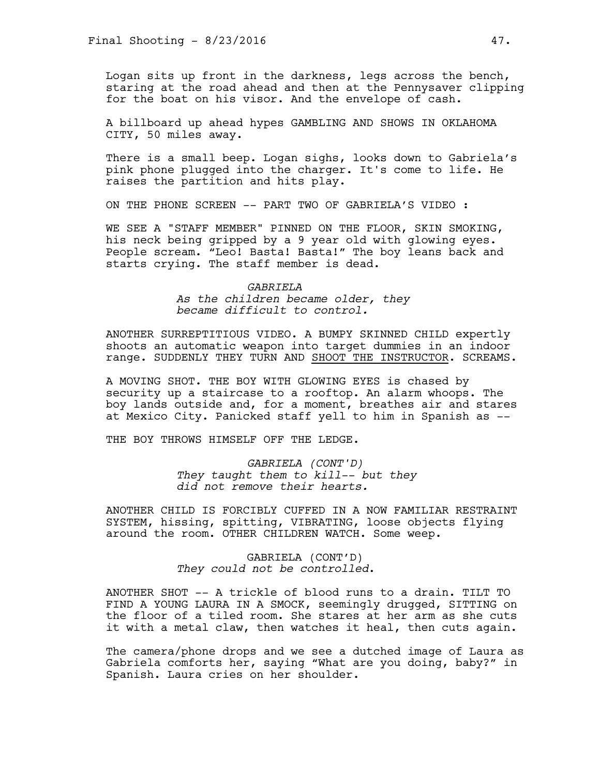Logan sits up front in the darkness, legs across the bench, staring at the road ahead and then at the Pennysaver clipping for the boat on his visor. And the envelope of cash.

A billboard up ahead hypes GAMBLING AND SHOWS IN OKLAHOMA CITY, 50 miles away.

There is a small beep. Logan sighs, looks down to Gabriela's pink phone plugged into the charger. It's come to life. He raises the partition and hits play.

ON THE PHONE SCREEN -- PART TWO OF GABRIELA'S VIDEO :

WE SEE A "STAFF MEMBER" PINNED ON THE FLOOR, SKIN SMOKING, his neck being gripped by a 9 year old with glowing eyes. People scream. "Leo! Basta! Basta!" The boy leans back and starts crying. The staff member is dead.

#### *GABRIELA*

*As the children became older, they became difficult to control.* 

ANOTHER SURREPTITIOUS VIDEO. A BUMPY SKINNED CHILD expertly shoots an automatic weapon into target dummies in an indoor range. SUDDENLY THEY TURN AND SHOOT THE INSTRUCTOR. SCREAMS.

A MOVING SHOT. THE BOY WITH GLOWING EYES is chased by security up a staircase to a rooftop. An alarm whoops. The boy lands outside and, for a moment, breathes air and stares at Mexico City. Panicked staff yell to him in Spanish as --

THE BOY THROWS HIMSELF OFF THE LEDGE.

*GABRIELA (CONT'D) They taught them to kill-- but they did not remove their hearts.* 

ANOTHER CHILD IS FORCIBLY CUFFED IN A NOW FAMILIAR RESTRAINT SYSTEM, hissing, spitting, VIBRATING, loose objects flying around the room. OTHER CHILDREN WATCH. Some weep.

> GABRIELA (CONT'D) *They could not be controlled*.

ANOTHER SHOT -- A trickle of blood runs to a drain. TILT TO FIND A YOUNG LAURA IN A SMOCK, seemingly drugged, SITTING on the floor of a tiled room. She stares at her arm as she cuts it with a metal claw, then watches it heal, then cuts again.

The camera/phone drops and we see a dutched image of Laura as Gabriela comforts her, saying "What are you doing, baby?" in Spanish. Laura cries on her shoulder.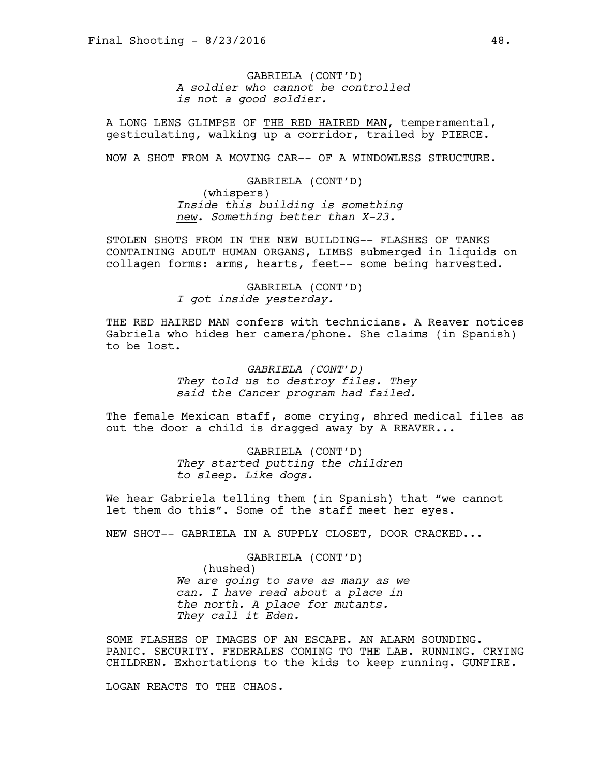GABRIELA (CONT'D) *A soldier who cannot be controlled is not a good soldier.*

A LONG LENS GLIMPSE OF THE RED HAIRED MAN, temperamental, gesticulating, walking up a corridor, trailed by PIERCE.

NOW A SHOT FROM A MOVING CAR-- OF A WINDOWLESS STRUCTURE.

GABRIELA (CONT'D) (whispers) *Inside this building is something new. Something better than X-23.* 

STOLEN SHOTS FROM IN THE NEW BUILDING-- FLASHES OF TANKS CONTAINING ADULT HUMAN ORGANS, LIMBS submerged in liquids on collagen forms: arms, hearts, feet-- some being harvested.

> GABRIELA (CONT'D) *I got inside yesterday.*

THE RED HAIRED MAN confers with technicians. A Reaver notices Gabriela who hides her camera/phone. She claims (in Spanish) to be lost.

> *GABRIELA (CONT'D) They told us to destroy files. They said the Cancer program had failed.*

The female Mexican staff, some crying, shred medical files as out the door a child is dragged away by A REAVER...

> GABRIELA (CONT'D) *They started putting the children to sleep. Like dogs.*

We hear Gabriela telling them (in Spanish) that "we cannot let them do this". Some of the staff meet her eyes.

NEW SHOT-- GABRIELA IN A SUPPLY CLOSET, DOOR CRACKED...

GABRIELA (CONT'D) (hushed) *We are going to save as many as we can. I have read about a place in the north. A place for mutants. They call it Eden.* 

SOME FLASHES OF IMAGES OF AN ESCAPE. AN ALARM SOUNDING. PANIC. SECURITY. FEDERALES COMING TO THE LAB. RUNNING. CRYING CHILDREN. Exhortations to the kids to keep running. GUNFIRE.

LOGAN REACTS TO THE CHAOS.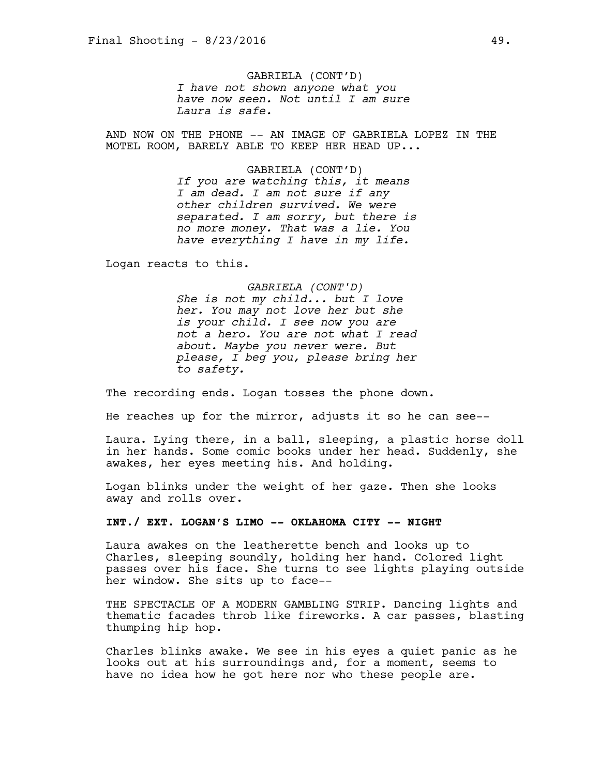GABRIELA (CONT'D) *I have not shown anyone what you have now seen. Not until I am sure Laura is safe.*

AND NOW ON THE PHONE -- AN IMAGE OF GABRIELA LOPEZ IN THE MOTEL ROOM, BARELY ABLE TO KEEP HER HEAD UP...

> GABRIELA (CONT'D) *If you are watching this, it means I am dead. I am not sure if any other children survived. We were separated. I am sorry, but there is no more money. That was a lie. You have everything I have in my life.*

Logan reacts to this.

# *GABRIELA (CONT'D)*

*She is not my child... but I love her. You may not love her but she is your child. I see now you are not a hero. You are not what I read about. Maybe you never were. But please, I beg you, please bring her to safety.* 

The recording ends. Logan tosses the phone down.

He reaches up for the mirror, adjusts it so he can see--

Laura. Lying there, in a ball, sleeping, a plastic horse doll in her hands. Some comic books under her head. Suddenly, she awakes, her eyes meeting his. And holding.

Logan blinks under the weight of her gaze. Then she looks away and rolls over.

### **INT./ EXT. LOGAN'S LIMO -- OKLAHOMA CITY -- NIGHT**

Laura awakes on the leatherette bench and looks up to Charles, sleeping soundly, holding her hand. Colored light passes over his face. She turns to see lights playing outside her window. She sits up to face--

THE SPECTACLE OF A MODERN GAMBLING STRIP. Dancing lights and thematic facades throb like fireworks. A car passes, blasting thumping hip hop.

Charles blinks awake. We see in his eyes a quiet panic as he looks out at his surroundings and, for a moment, seems to have no idea how he got here nor who these people are.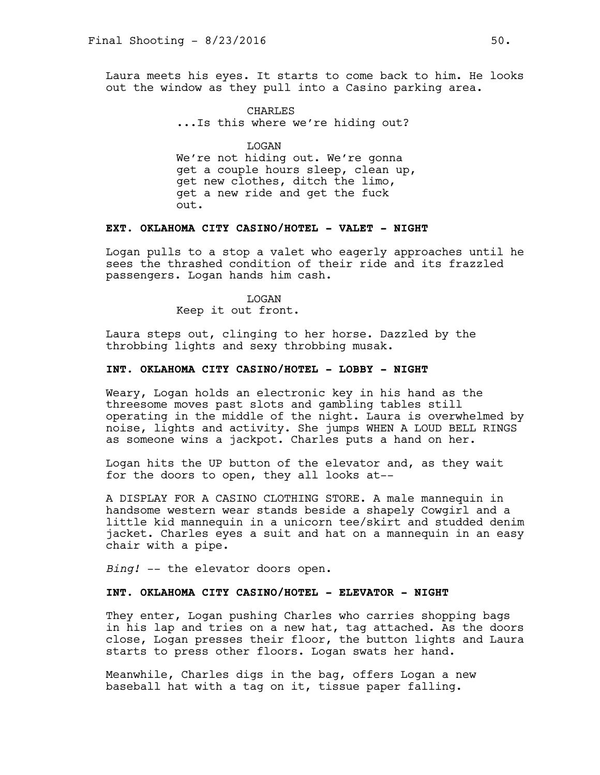Laura meets his eyes. It starts to come back to him. He looks out the window as they pull into a Casino parking area.

> CHARLES ...Is this where we're hiding out?

LOGAN We're not hiding out. We're gonna get a couple hours sleep, clean up, get new clothes, ditch the limo, get a new ride and get the fuck out.

# **EXT. OKLAHOMA CITY CASINO/HOTEL - VALET - NIGHT**

Logan pulls to a stop a valet who eagerly approaches until he sees the thrashed condition of their ride and its frazzled passengers. Logan hands him cash.

> LOGAN Keep it out front.

Laura steps out, clinging to her horse. Dazzled by the throbbing lights and sexy throbbing musak.

### **INT. OKLAHOMA CITY CASINO/HOTEL - LOBBY - NIGHT**

Weary, Logan holds an electronic key in his hand as the threesome moves past slots and gambling tables still operating in the middle of the night. Laura is overwhelmed by noise, lights and activity. She jumps WHEN A LOUD BELL RINGS as someone wins a jackpot. Charles puts a hand on her.

Logan hits the UP button of the elevator and, as they wait for the doors to open, they all looks at--

A DISPLAY FOR A CASINO CLOTHING STORE. A male mannequin in handsome western wear stands beside a shapely Cowgirl and a little kid mannequin in a unicorn tee/skirt and studded denim jacket. Charles eyes a suit and hat on a mannequin in an easy chair with a pipe.

*Bing!* -- the elevator doors open.

# **INT. OKLAHOMA CITY CASINO/HOTEL - ELEVATOR - NIGHT**

They enter, Logan pushing Charles who carries shopping bags in his lap and tries on a new hat, tag attached. As the doors close, Logan presses their floor, the button lights and Laura starts to press other floors. Logan swats her hand.

Meanwhile, Charles digs in the bag, offers Logan a new baseball hat with a tag on it, tissue paper falling.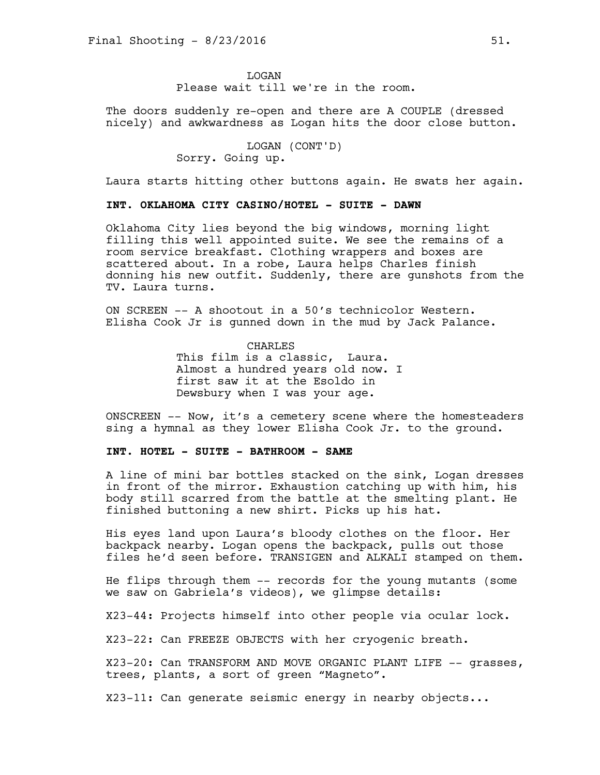**T<sub>I</sub>OGAN** Please wait till we're in the room.

The doors suddenly re-open and there are A COUPLE (dressed nicely) and awkwardness as Logan hits the door close button.

> LOGAN (CONT'D) Sorry. Going up.

Laura starts hitting other buttons again. He swats her again.

### **INT. OKLAHOMA CITY CASINO/HOTEL - SUITE - DAWN**

Oklahoma City lies beyond the big windows, morning light filling this well appointed suite. We see the remains of a room service breakfast. Clothing wrappers and boxes are scattered about. In a robe, Laura helps Charles finish donning his new outfit. Suddenly, there are gunshots from the TV. Laura turns.

ON SCREEN -- A shootout in a 50's technicolor Western. Elisha Cook Jr is gunned down in the mud by Jack Palance.

> CHARLES This film is a classic, Laura. Almost a hundred years old now. I first saw it at the Esoldo in Dewsbury when I was your age.

ONSCREEN -- Now, it's a cemetery scene where the homesteaders sing a hymnal as they lower Elisha Cook Jr. to the ground.

# **INT. HOTEL - SUITE - BATHROOM - SAME**

A line of mini bar bottles stacked on the sink, Logan dresses in front of the mirror. Exhaustion catching up with him, his body still scarred from the battle at the smelting plant. He finished buttoning a new shirt. Picks up his hat.

His eyes land upon Laura's bloody clothes on the floor. Her backpack nearby. Logan opens the backpack, pulls out those files he'd seen before. TRANSIGEN and ALKALI stamped on them.

He flips through them -- records for the young mutants (some we saw on Gabriela's videos), we glimpse details:

X23-44: Projects himself into other people via ocular lock.

X23-22: Can FREEZE OBJECTS with her cryogenic breath.

X23-20: Can TRANSFORM AND MOVE ORGANIC PLANT LIFE -- grasses, trees, plants, a sort of green "Magneto".

X23-11: Can generate seismic energy in nearby objects...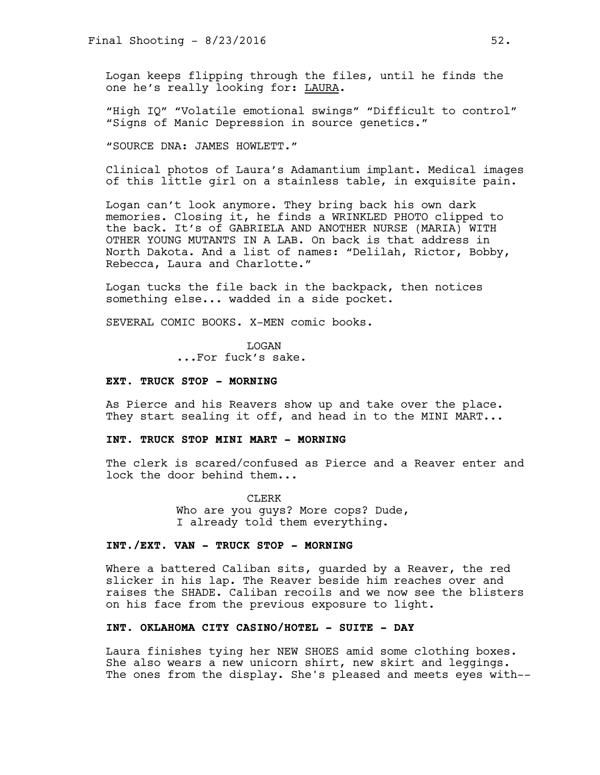Logan keeps flipping through the files, until he finds the one he's really looking for: LAURA.

"High IQ" "Volatile emotional swings" "Difficult to control" "Signs of Manic Depression in source genetics."

"SOURCE DNA: JAMES HOWLETT."

Clinical photos of Laura's Adamantium implant. Medical images of this little girl on a stainless table, in exquisite pain.

Logan can't look anymore. They bring back his own dark memories. Closing it, he finds a WRINKLED PHOTO clipped to the back. It's of GABRIELA AND ANOTHER NURSE (MARIA) WITH OTHER YOUNG MUTANTS IN A LAB. On back is that address in North Dakota. And a list of names: "Delilah, Rictor, Bobby, Rebecca, Laura and Charlotte."

Logan tucks the file back in the backpack, then notices something else... wadded in a side pocket.

SEVERAL COMIC BOOKS. X-MEN comic books.

LOGAN ...For fuck's sake.

#### **EXT. TRUCK STOP - MORNING**

As Pierce and his Reavers show up and take over the place. They start sealing it off, and head in to the MINI MART...

#### **INT. TRUCK STOP MINI MART - MORNING**

The clerk is scared/confused as Pierce and a Reaver enter and lock the door behind them...

> CLERK Who are you guys? More cops? Dude, I already told them everything.

### **INT./EXT. VAN - TRUCK STOP - MORNING**

Where a battered Caliban sits, guarded by a Reaver, the red slicker in his lap. The Reaver beside him reaches over and raises the SHADE. Caliban recoils and we now see the blisters on his face from the previous exposure to light.

# **INT. OKLAHOMA CITY CASINO/HOTEL - SUITE - DAY**

Laura finishes tying her NEW SHOES amid some clothing boxes. She also wears a new unicorn shirt, new skirt and leggings. The ones from the display. She's pleased and meets eyes with--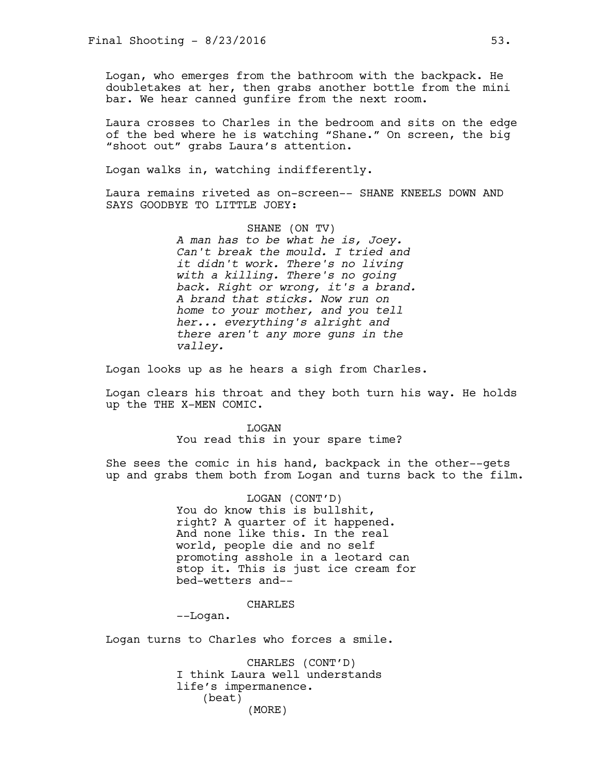Logan, who emerges from the bathroom with the backpack. He doubletakes at her, then grabs another bottle from the mini bar. We hear canned gunfire from the next room.

Laura crosses to Charles in the bedroom and sits on the edge of the bed where he is watching "Shane." On screen, the big "shoot out" grabs Laura's attention.

Logan walks in, watching indifferently.

Laura remains riveted as on-screen-- SHANE KNEELS DOWN AND SAYS GOODBYE TO LITTLE JOEY:

> SHANE (ON TV) *A man has to be what he is, Joey. Can't break the mould. I tried and it didn't work. There's no living with a killing. There's no going back. Right or wrong, it's a brand. A brand that sticks. Now run on home to your mother, and you tell her... everything's alright and there aren't any more guns in the valley.*

Logan looks up as he hears a sigh from Charles.

Logan clears his throat and they both turn his way. He holds up the THE X-MEN COMIC.

> LOGAN You read this in your spare time?

She sees the comic in his hand, backpack in the other--gets up and grabs them both from Logan and turns back to the film.

> LOGAN (CONT'D) You do know this is bullshit, right? A quarter of it happened. And none like this. In the real world, people die and no self promoting asshole in a leotard can stop it. This is just ice cream for bed-wetters and--

### CHARLES

--Logan.

Logan turns to Charles who forces a smile.

CHARLES (CONT'D) I think Laura well understands life's impermanence. (beat) (MORE)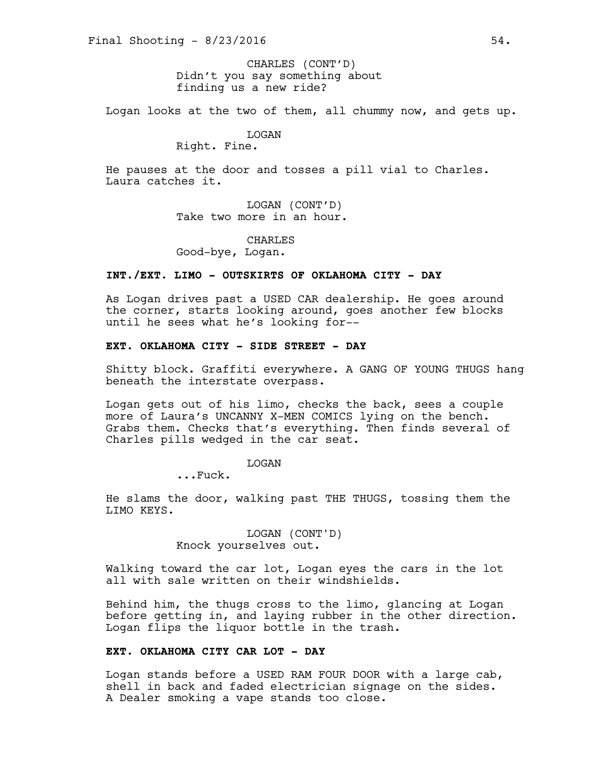Didn't you say something about finding us a new ride? CHARLES (CONT'D)

Logan looks at the two of them, all chummy now, and gets up.

# LOGAN

# Right. Fine.

He pauses at the door and tosses a pill vial to Charles. Laura catches it.

> LOGAN (CONT'D) Take two more in an hour.

> > CHARLES

Good-bye, Logan.

### **INT./EXT. LIMO - OUTSKIRTS OF OKLAHOMA CITY - DAY**

As Logan drives past a USED CAR dealership. He goes around the corner, starts looking around, goes another few blocks until he sees what he's looking for--

# **EXT. OKLAHOMA CITY - SIDE STREET - DAY**

Shitty block. Graffiti everywhere. A GANG OF YOUNG THUGS hang beneath the interstate overpass.

Logan gets out of his limo, checks the back, sees a couple more of Laura's UNCANNY X-MEN COMICS lying on the bench. Grabs them. Checks that's everything. Then finds several of Charles pills wedged in the car seat.

### LOGAN

...Fuck.

He slams the door, walking past THE THUGS, tossing them the LIMO KEYS.

> LOGAN (CONT'D) Knock yourselves out.

Walking toward the car lot, Logan eyes the cars in the lot all with sale written on their windshields.

Behind him, the thugs cross to the limo, glancing at Logan before getting in, and laying rubber in the other direction. Logan flips the liquor bottle in the trash.

# **EXT. OKLAHOMA CITY CAR LOT - DAY**

Logan stands before a USED RAM FOUR DOOR with a large cab, shell in back and faded electrician signage on the sides. A Dealer smoking a vape stands too close.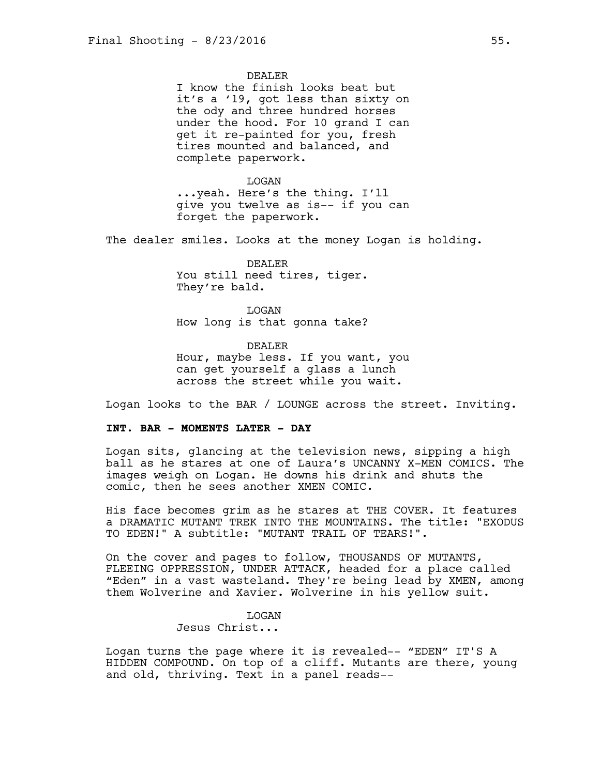DEALER

I know the finish looks beat but it's a '19, got less than sixty on the ody and three hundred horses under the hood. For 10 grand I can get it re-painted for you, fresh tires mounted and balanced, and complete paperwork.

LOGAN ...yeah. Here's the thing. I'll give you twelve as is-- if you can forget the paperwork.

The dealer smiles. Looks at the money Logan is holding.

DEALER You still need tires, tiger. They're bald.

LOGAN How long is that gonna take?

DEALER Hour, maybe less. If you want, you can get yourself a glass a lunch across the street while you wait.

Logan looks to the BAR / LOUNGE across the street. Inviting.

### **INT. BAR - MOMENTS LATER - DAY**

Logan sits, glancing at the television news, sipping a high ball as he stares at one of Laura's UNCANNY X-MEN COMICS. The images weigh on Logan. He downs his drink and shuts the comic, then he sees another XMEN COMIC.

His face becomes grim as he stares at THE COVER. It features a DRAMATIC MUTANT TREK INTO THE MOUNTAINS. The title: "EXODUS TO EDEN!" A subtitle: "MUTANT TRAIL OF TEARS!".

On the cover and pages to follow, THOUSANDS OF MUTANTS, FLEEING OPPRESSION, UNDER ATTACK, headed for a place called "Eden" in a vast wasteland. They're being lead by XMEN, among them Wolverine and Xavier. Wolverine in his yellow suit.

### **T<sub>I</sub>OGAN**

Jesus Christ...

Logan turns the page where it is revealed-- "EDEN" IT'S A HIDDEN COMPOUND. On top of a cliff. Mutants are there, young and old, thriving. Text in a panel reads--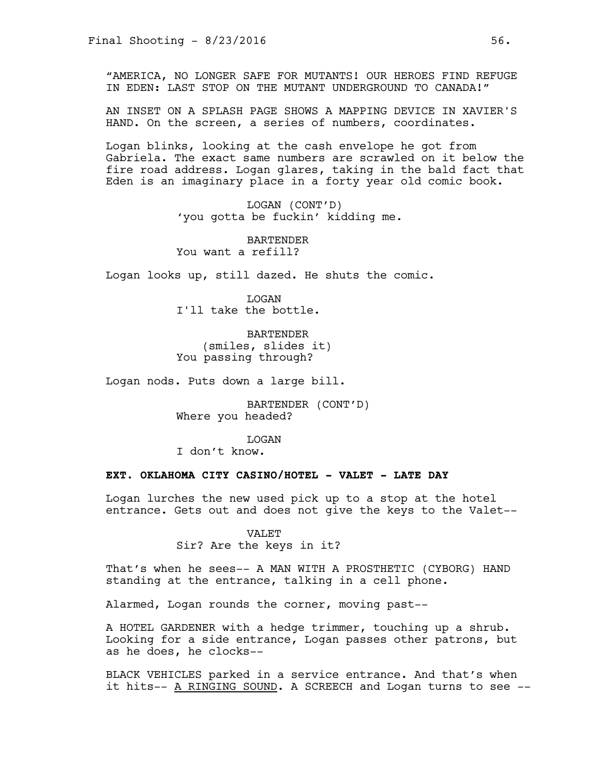"AMERICA, NO LONGER SAFE FOR MUTANTS! OUR HEROES FIND REFUGE IN EDEN: LAST STOP ON THE MUTANT UNDERGROUND TO CANADA!"

AN INSET ON A SPLASH PAGE SHOWS A MAPPING DEVICE IN XAVIER'S HAND. On the screen, a series of numbers, coordinates.

Logan blinks, looking at the cash envelope he got from Gabriela. The exact same numbers are scrawled on it below the fire road address. Logan glares, taking in the bald fact that Eden is an imaginary place in a forty year old comic book.

> LOGAN (CONT'D) 'you gotta be fuckin' kidding me.

BARTENDER You want a refill?

Logan looks up, still dazed. He shuts the comic.

LOGAN I'll take the bottle.

BARTENDER (smiles, slides it) You passing through?

Logan nods. Puts down a large bill.

BARTENDER (CONT'D) Where you headed?

**T<sub>I</sub>OGAN** 

I don't know.

# **EXT. OKLAHOMA CITY CASINO/HOTEL - VALET - LATE DAY**

Logan lurches the new used pick up to a stop at the hotel entrance. Gets out and does not give the keys to the Valet--

> VALET Sir? Are the keys in it?

That's when he sees-- A MAN WITH A PROSTHETIC (CYBORG) HAND standing at the entrance, talking in a cell phone.

Alarmed, Logan rounds the corner, moving past--

A HOTEL GARDENER with a hedge trimmer, touching up a shrub. Looking for a side entrance, Logan passes other patrons, but as he does, he clocks--

BLACK VEHICLES parked in a service entrance. And that's when it hits-- A RINGING SOUND. A SCREECH and Logan turns to see --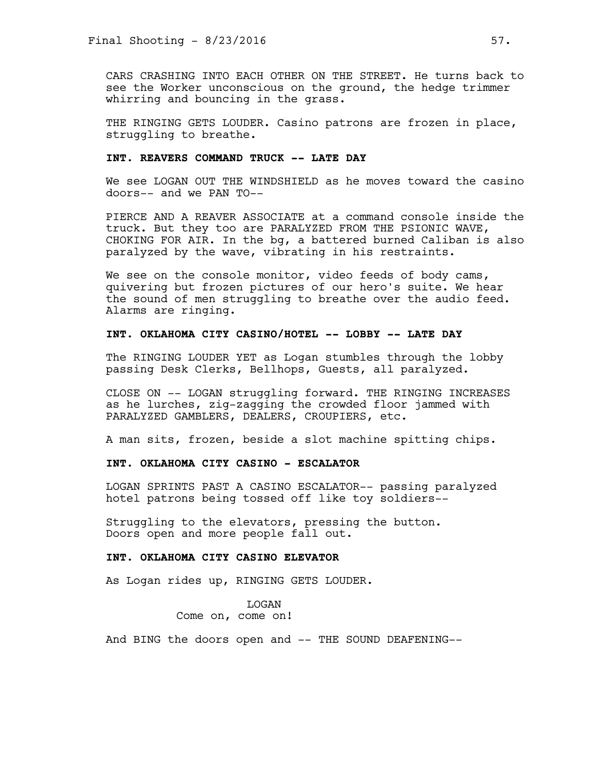CARS CRASHING INTO EACH OTHER ON THE STREET. He turns back to see the Worker unconscious on the ground, the hedge trimmer whirring and bouncing in the grass.

THE RINGING GETS LOUDER. Casino patrons are frozen in place, struggling to breathe.

# **INT. REAVERS COMMAND TRUCK -- LATE DAY**

We see LOGAN OUT THE WINDSHIELD as he moves toward the casino doors-- and we PAN TO--

PIERCE AND A REAVER ASSOCIATE at a command console inside the truck. But they too are PARALYZED FROM THE PSIONIC WAVE, CHOKING FOR AIR. In the bg, a battered burned Caliban is also paralyzed by the wave, vibrating in his restraints.

We see on the console monitor, video feeds of body cams, quivering but frozen pictures of our hero's suite. We hear the sound of men struggling to breathe over the audio feed. Alarms are ringing.

# **INT. OKLAHOMA CITY CASINO/HOTEL -- LOBBY -- LATE DAY**

The RINGING LOUDER YET as Logan stumbles through the lobby passing Desk Clerks, Bellhops, Guests, all paralyzed.

CLOSE ON -- LOGAN struggling forward. THE RINGING INCREASES as he lurches, zig-zagging the crowded floor jammed with PARALYZED GAMBLERS, DEALERS, CROUPIERS, etc.

A man sits, frozen, beside a slot machine spitting chips.

# **INT. OKLAHOMA CITY CASINO - ESCALATOR**

LOGAN SPRINTS PAST A CASINO ESCALATOR-- passing paralyzed hotel patrons being tossed off like toy soldiers--

Struggling to the elevators, pressing the button. Doors open and more people fall out.

# **INT. OKLAHOMA CITY CASINO ELEVATOR**

As Logan rides up, RINGING GETS LOUDER.

LOGAN Come on, come on!

And BING the doors open and -- THE SOUND DEAFENING--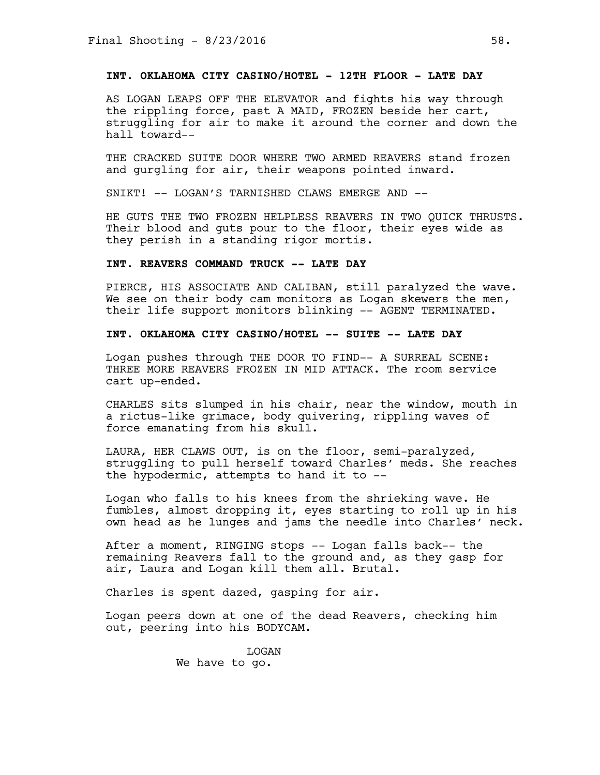# **INT. OKLAHOMA CITY CASINO/HOTEL - 12TH FLOOR - LATE DAY**

AS LOGAN LEAPS OFF THE ELEVATOR and fights his way through the rippling force, past A MAID, FROZEN beside her cart, struggling for air to make it around the corner and down the hall toward--

THE CRACKED SUITE DOOR WHERE TWO ARMED REAVERS stand frozen and gurgling for air, their weapons pointed inward.

SNIKT! -- LOGAN'S TARNISHED CLAWS EMERGE AND --

HE GUTS THE TWO FROZEN HELPLESS REAVERS IN TWO QUICK THRUSTS. Their blood and guts pour to the floor, their eyes wide as they perish in a standing rigor mortis.

# **INT. REAVERS COMMAND TRUCK -- LATE DAY**

PIERCE, HIS ASSOCIATE AND CALIBAN, still paralyzed the wave. We see on their body cam monitors as Logan skewers the men, their life support monitors blinking -- AGENT TERMINATED.

# **INT. OKLAHOMA CITY CASINO/HOTEL -- SUITE -- LATE DAY**

Logan pushes through THE DOOR TO FIND-- A SURREAL SCENE: THREE MORE REAVERS FROZEN IN MID ATTACK. The room service cart up-ended.

CHARLES sits slumped in his chair, near the window, mouth in a rictus-like grimace, body quivering, rippling waves of force emanating from his skull.

LAURA, HER CLAWS OUT, is on the floor, semi-paralyzed, struggling to pull herself toward Charles' meds. She reaches the hypodermic, attempts to hand it to --

Logan who falls to his knees from the shrieking wave. He fumbles, almost dropping it, eyes starting to roll up in his own head as he lunges and jams the needle into Charles' neck.

After a moment, RINGING stops -- Logan falls back-- the remaining Reavers fall to the ground and, as they gasp for air, Laura and Logan kill them all. Brutal.

Charles is spent dazed, gasping for air.

Logan peers down at one of the dead Reavers, checking him out, peering into his BODYCAM.

> LOGAN We have to go.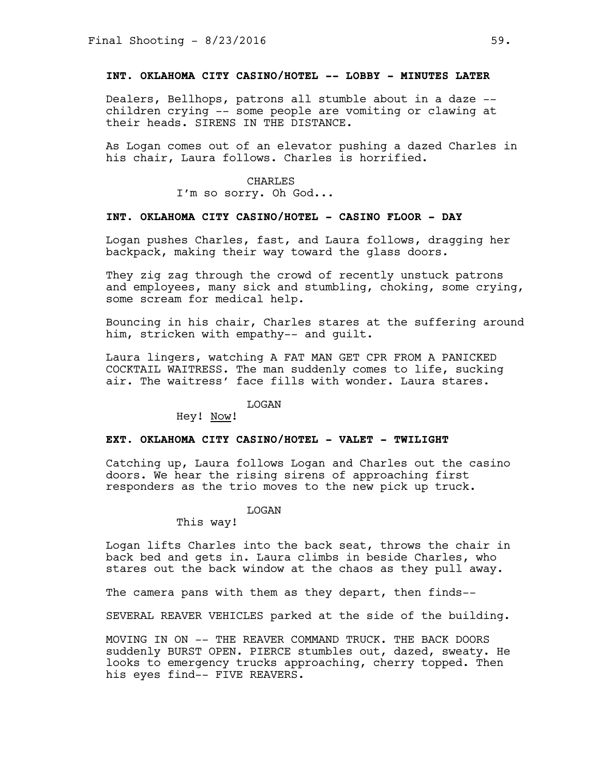# **INT. OKLAHOMA CITY CASINO/HOTEL -- LOBBY - MINUTES LATER**

Dealers, Bellhops, patrons all stumble about in a daze - children crying -- some people are vomiting or clawing at their heads. SIRENS IN THE DISTANCE.

As Logan comes out of an elevator pushing a dazed Charles in his chair, Laura follows. Charles is horrified.

#### CHARLES

I'm so sorry. Oh God...

# **INT. OKLAHOMA CITY CASINO/HOTEL - CASINO FLOOR - DAY**

Logan pushes Charles, fast, and Laura follows, dragging her backpack, making their way toward the glass doors.

They zig zag through the crowd of recently unstuck patrons and employees, many sick and stumbling, choking, some crying, some scream for medical help.

Bouncing in his chair, Charles stares at the suffering around him, stricken with empathy-- and guilt.

Laura lingers, watching A FAT MAN GET CPR FROM A PANICKED COCKTAIL WAITRESS. The man suddenly comes to life, sucking air. The waitress' face fills with wonder. Laura stares.

### LOGAN

Hey! Now!

#### **EXT. OKLAHOMA CITY CASINO/HOTEL - VALET - TWILIGHT**

Catching up, Laura follows Logan and Charles out the casino doors. We hear the rising sirens of approaching first responders as the trio moves to the new pick up truck.

### LOGAN

This way!

Logan lifts Charles into the back seat, throws the chair in back bed and gets in. Laura climbs in beside Charles, who stares out the back window at the chaos as they pull away.

The camera pans with them as they depart, then finds--

SEVERAL REAVER VEHICLES parked at the side of the building.

MOVING IN ON -- THE REAVER COMMAND TRUCK. THE BACK DOORS suddenly BURST OPEN. PIERCE stumbles out, dazed, sweaty. He looks to emergency trucks approaching, cherry topped. Then his eyes find-- FIVE REAVERS.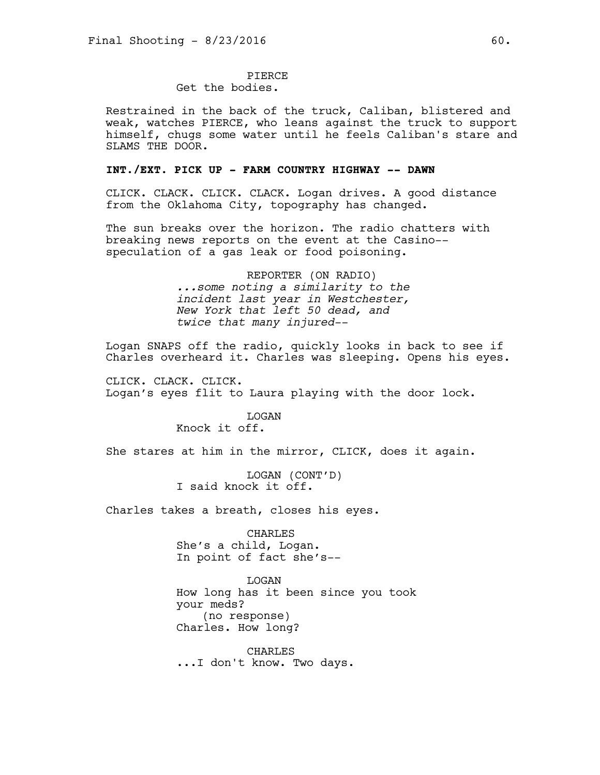# PIERCE

# Get the bodies.

Restrained in the back of the truck, Caliban, blistered and weak, watches PIERCE, who leans against the truck to support himself, chugs some water until he feels Caliban's stare and SLAMS THE DOOR.

# **INT./EXT. PICK UP - FARM COUNTRY HIGHWAY -- DAWN**

CLICK. CLACK. CLICK. CLACK. Logan drives. A good distance from the Oklahoma City, topography has changed.

The sun breaks over the horizon. The radio chatters with breaking news reports on the event at the Casino- speculation of a gas leak or food poisoning.

> REPORTER (ON RADIO) *...some noting a similarity to the incident last year in Westchester, New York that left 50 dead, and twice that many injured--*

Logan SNAPS off the radio, quickly looks in back to see if Charles overheard it. Charles was sleeping. Opens his eyes.

CLICK. CLACK. CLICK. Logan's eyes flit to Laura playing with the door lock.

> **T<sub>I</sub>OGAN** Knock it off.

She stares at him in the mirror, CLICK, does it again.

LOGAN (CONT'D) I said knock it off.

Charles takes a breath, closes his eyes.

CHARLES She's a child, Logan. In point of fact she's--

LOGAN How long has it been since you took your meds? (no response) Charles. How long?

CHARLES ...I don't know. Two days.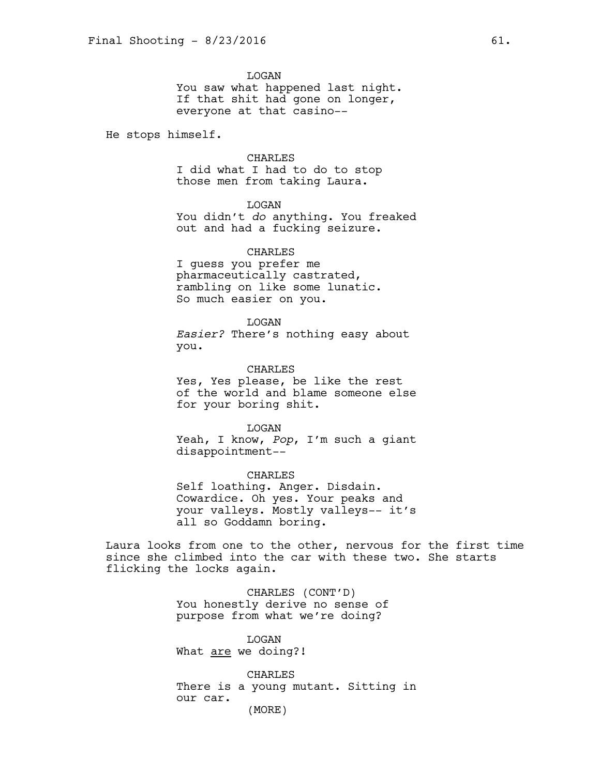LOGAN You saw what happened last night. If that shit had gone on longer, everyone at that casino--

He stops himself.

CHARLES

I did what I had to do to stop those men from taking Laura.

LOGAN

You didn't *do* anything. You freaked out and had a fucking seizure.

CHARLES I guess you prefer me pharmaceutically castrated, rambling on like some lunatic.

So much easier on you.

LOGAN *Easier?* There's nothing easy about you.

CHARLES Yes, Yes please, be like the rest of the world and blame someone else for your boring shit.

LOGAN Yeah, I know, *Pop*, I'm such a giant disappointment--

CHARLES Self loathing. Anger. Disdain. Cowardice. Oh yes. Your peaks and your valleys. Mostly valleys-- it's all so Goddamn boring.

Laura looks from one to the other, nervous for the first time since she climbed into the car with these two. She starts flicking the locks again.

> CHARLES (CONT'D) You honestly derive no sense of purpose from what we're doing?

LOGAN What are we doing?!

CHARLES There is a young mutant. Sitting in our car. (MORE)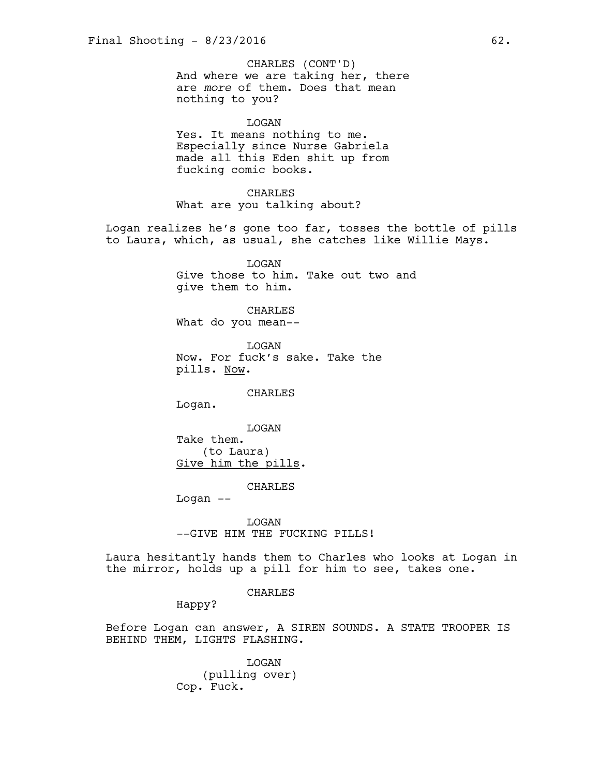And where we are taking her, there are *more* of them. Does that mean nothing to you? CHARLES (CONT'D)

LOGAN Yes. It means nothing to me. Especially since Nurse Gabriela made all this Eden shit up from fucking comic books.

CHARLES What are you talking about?

Logan realizes he's gone too far, tosses the bottle of pills to Laura, which, as usual, she catches like Willie Mays.

> LOGAN Give those to him. Take out two and give them to him.

CHARLES What do you mean--

LOGAN Now. For fuck's sake. Take the pills. Now.

CHARLES

Logan.

LOGAN Take them. (to Laura) Give him the pills.

CHARLES

Logan --

LOGAN --GIVE HIM THE FUCKING PILLS!

Laura hesitantly hands them to Charles who looks at Logan in the mirror, holds up a pill for him to see, takes one.

### CHARLES

Happy?

Before Logan can answer, A SIREN SOUNDS. A STATE TROOPER IS BEHIND THEM, LIGHTS FLASHING.

> LOGAN (pulling over) Cop. Fuck.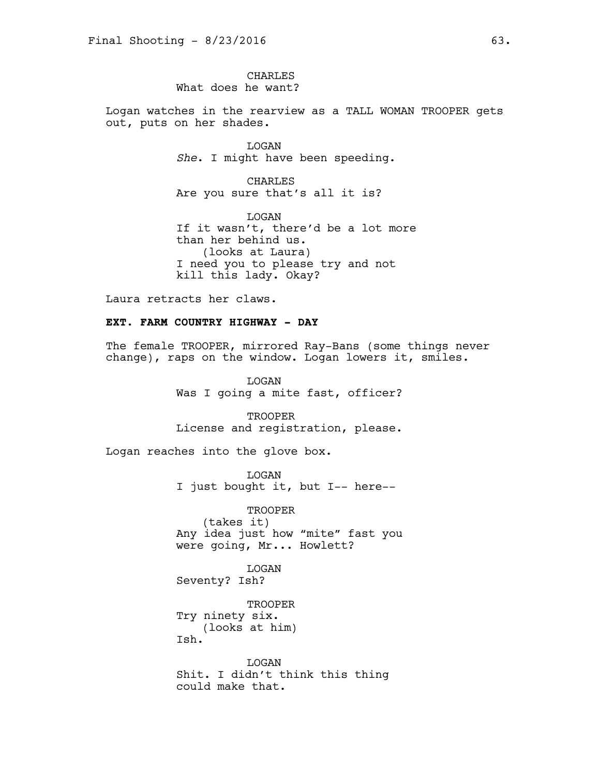**CHARLES** What does he want?

Logan watches in the rearview as a TALL WOMAN TROOPER gets out, puts on her shades.

> LOGAN *She*. I might have been speeding.

CHARLES Are you sure that's all it is?

LOGAN If it wasn't, there'd be a lot more than her behind us. (looks at Laura) I need you to please try and not kill this lady. Okay?

Laura retracts her claws.

# **EXT. FARM COUNTRY HIGHWAY - DAY**

The female TROOPER, mirrored Ray-Bans (some things never change), raps on the window. Logan lowers it, smiles.

> LOGAN Was I going a mite fast, officer?

> **TROOPER** License and registration, please.

Logan reaches into the glove box.

LOGAN I just bought it, but I-- here--

TROOPER (takes it) Any idea just how "mite" fast you were going, Mr... Howlett?

LOGAN Seventy? Ish?

**TROOPER** Try ninety six. (looks at him) Ish.

LOGAN Shit. I didn't think this thing could make that.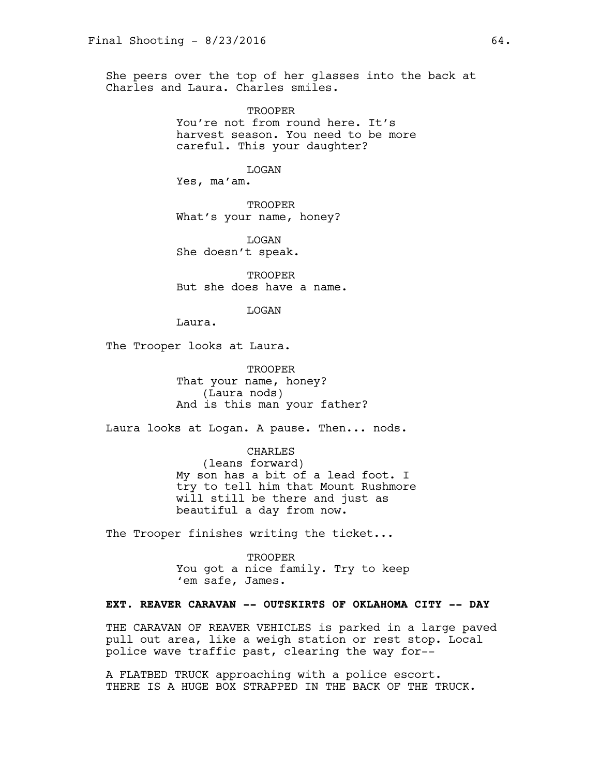She peers over the top of her glasses into the back at Charles and Laura. Charles smiles.

> **TROOPER** You're not from round here. It's harvest season. You need to be more careful. This your daughter?

> > LOGAN

Yes, ma'am.

TROOPER What's your name, honey?

LOGAN She doesn't speak.

TROOPER But she does have a name.

LOGAN

Laura.

The Trooper looks at Laura.

TROOPER That your name, honey? (Laura nods) And is this man your father?

Laura looks at Logan. A pause. Then... nods.

CHARLES

(leans forward) My son has a bit of a lead foot. I try to tell him that Mount Rushmore will still be there and just as beautiful a day from now.

The Trooper finishes writing the ticket...

TROOPER You got a nice family. Try to keep 'em safe, James.

# **EXT. REAVER CARAVAN -- OUTSKIRTS OF OKLAHOMA CITY -- DAY**

THE CARAVAN OF REAVER VEHICLES is parked in a large paved pull out area, like a weigh station or rest stop. Local police wave traffic past, clearing the way for--

A FLATBED TRUCK approaching with a police escort. THERE IS A HUGE BOX STRAPPED IN THE BACK OF THE TRUCK.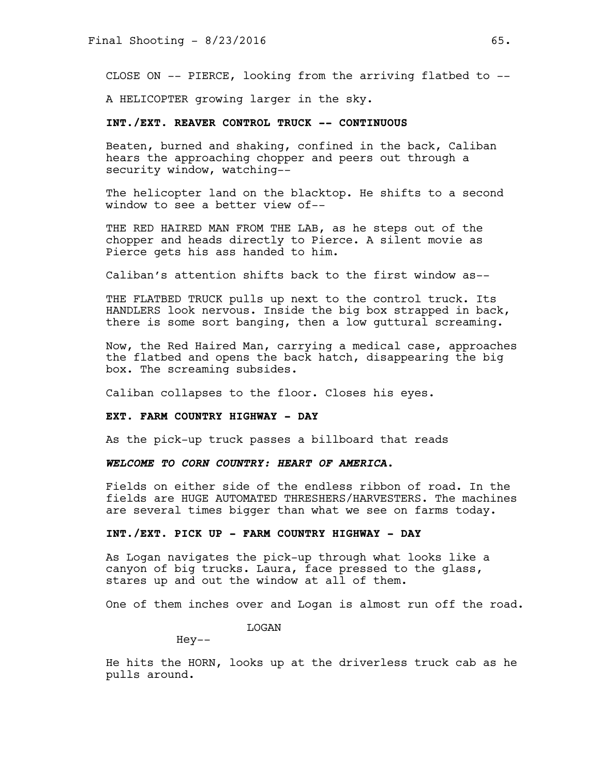CLOSE ON -- PIERCE, looking from the arriving flatbed to --

A HELICOPTER growing larger in the sky.

# **INT./EXT. REAVER CONTROL TRUCK -- CONTINUOUS**

Beaten, burned and shaking, confined in the back, Caliban hears the approaching chopper and peers out through a security window, watching--

The helicopter land on the blacktop. He shifts to a second window to see a better view of--

THE RED HAIRED MAN FROM THE LAB, as he steps out of the chopper and heads directly to Pierce. A silent movie as Pierce gets his ass handed to him.

Caliban's attention shifts back to the first window as--

THE FLATBED TRUCK pulls up next to the control truck. Its HANDLERS look nervous. Inside the big box strapped in back, there is some sort banging, then a low guttural screaming.

Now, the Red Haired Man, carrying a medical case, approaches the flatbed and opens the back hatch, disappearing the big box. The screaming subsides.

Caliban collapses to the floor. Closes his eyes.

#### **EXT. FARM COUNTRY HIGHWAY - DAY**

As the pick-up truck passes a billboard that reads

*WELCOME TO CORN COUNTRY: HEART OF AMERICA.* 

Fields on either side of the endless ribbon of road. In the fields are HUGE AUTOMATED THRESHERS/HARVESTERS. The machines are several times bigger than what we see on farms today.

# **INT./EXT. PICK UP - FARM COUNTRY HIGHWAY - DAY**

As Logan navigates the pick-up through what looks like a canyon of big trucks. Laura, face pressed to the glass, stares up and out the window at all of them.

One of them inches over and Logan is almost run off the road.

LOGAN

Hey--

He hits the HORN, looks up at the driverless truck cab as he pulls around.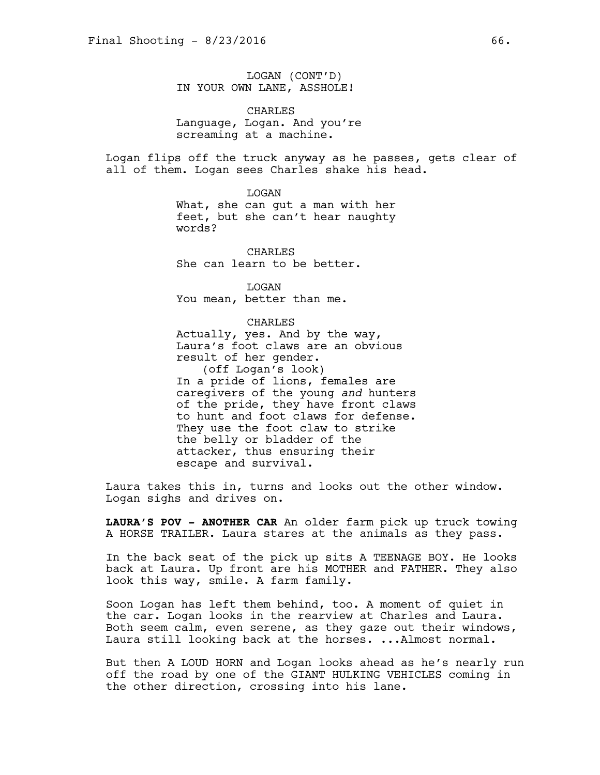LOGAN (CONT'D) IN YOUR OWN LANE, ASSHOLE!

CHARLES Language, Logan. And you're screaming at a machine.

Logan flips off the truck anyway as he passes, gets clear of all of them. Logan sees Charles shake his head.

LOGAN

What, she can gut a man with her feet, but she can't hear naughty words?

**CHARLES** She can learn to be better.

LOGAN You mean, better than me.

#### CHARLES

Actually, yes. And by the way, Laura's foot claws are an obvious result of her gender. (off Logan's look) In a pride of lions, females are caregivers of the young *and* hunters of the pride, they have front claws to hunt and foot claws for defense. They use the foot claw to strike the belly or bladder of the attacker, thus ensuring their escape and survival.

Laura takes this in, turns and looks out the other window. Logan sighs and drives on.

**LAURA'S POV - ANOTHER CAR** An older farm pick up truck towing A HORSE TRAILER. Laura stares at the animals as they pass.

In the back seat of the pick up sits A TEENAGE BOY. He looks back at Laura. Up front are his MOTHER and FATHER. They also look this way, smile. A farm family.

Soon Logan has left them behind, too. A moment of quiet in the car. Logan looks in the rearview at Charles and Laura. Both seem calm, even serene, as they gaze out their windows, Laura still looking back at the horses. ...Almost normal.

But then A LOUD HORN and Logan looks ahead as he's nearly run off the road by one of the GIANT HULKING VEHICLES coming in the other direction, crossing into his lane.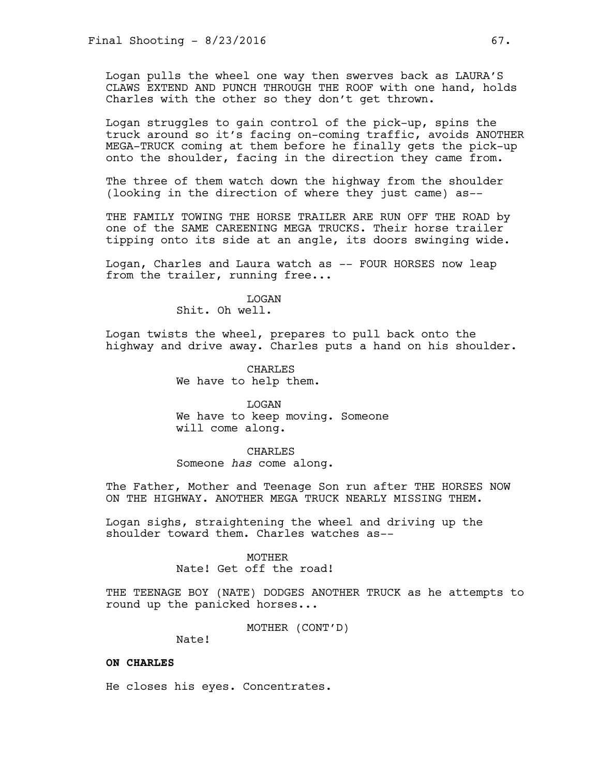Logan pulls the wheel one way then swerves back as LAURA'S CLAWS EXTEND AND PUNCH THROUGH THE ROOF with one hand, holds Charles with the other so they don't get thrown.

Logan struggles to gain control of the pick-up, spins the truck around so it's facing on-coming traffic, avoids ANOTHER MEGA-TRUCK coming at them before he finally gets the pick-up onto the shoulder, facing in the direction they came from.

The three of them watch down the highway from the shoulder (looking in the direction of where they just came) as--

THE FAMILY TOWING THE HORSE TRAILER ARE RUN OFF THE ROAD by one of the SAME CAREENING MEGA TRUCKS. Their horse trailer tipping onto its side at an angle, its doors swinging wide.

Logan, Charles and Laura watch as -- FOUR HORSES now leap from the trailer, running free...

> LOGAN Shit. Oh well.

Logan twists the wheel, prepares to pull back onto the highway and drive away. Charles puts a hand on his shoulder.

> CHARLES We have to help them.

LOGAN We have to keep moving. Someone will come along.

CHARLES Someone *has* come along.

The Father, Mother and Teenage Son run after THE HORSES NOW ON THE HIGHWAY. ANOTHER MEGA TRUCK NEARLY MISSING THEM.

Logan sighs, straightening the wheel and driving up the shoulder toward them. Charles watches as--

### MOTHER

Nate! Get off the road!

THE TEENAGE BOY (NATE) DODGES ANOTHER TRUCK as he attempts to round up the panicked horses...

MOTHER (CONT'D)

Nate!

# **ON CHARLES**

He closes his eyes. Concentrates.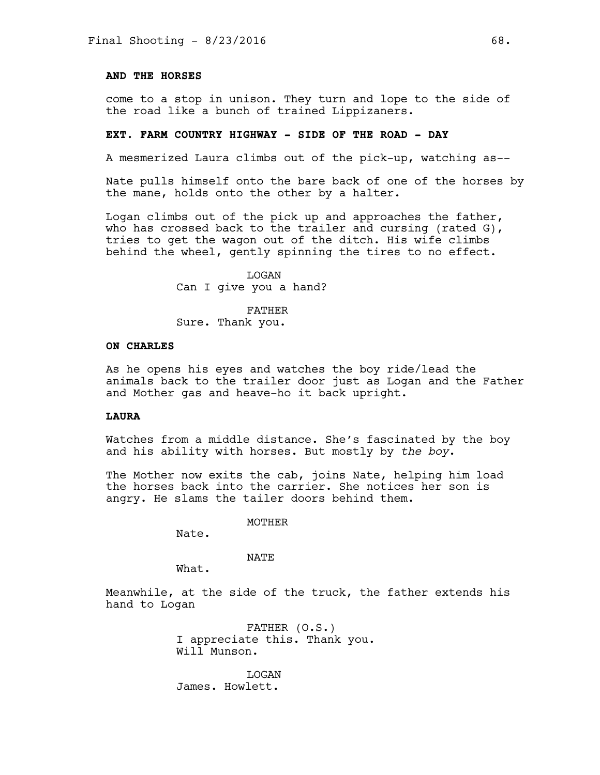### **AND THE HORSES**

come to a stop in unison. They turn and lope to the side of the road like a bunch of trained Lippizaners.

### **EXT. FARM COUNTRY HIGHWAY - SIDE OF THE ROAD - DAY**

A mesmerized Laura climbs out of the pick-up, watching as--

Nate pulls himself onto the bare back of one of the horses by the mane, holds onto the other by a halter.

Logan climbs out of the pick up and approaches the father, who has crossed back to the trailer and cursing (rated G), tries to get the wagon out of the ditch. His wife climbs behind the wheel, gently spinning the tires to no effect.

> LOGAN Can I give you a hand?

FATHER Sure. Thank you.

### **ON CHARLES**

As he opens his eyes and watches the boy ride/lead the animals back to the trailer door just as Logan and the Father and Mother gas and heave-ho it back upright.

#### **LAURA**

Watches from a middle distance. She's fascinated by the boy and his ability with horses. But mostly by *the boy*.

The Mother now exits the cab, joins Nate, helping him load the horses back into the carrier. She notices her son is angry. He slams the tailer doors behind them.

MOTHER

Nate.

#### NATE

What.

Meanwhile, at the side of the truck, the father extends his hand to Logan

> FATHER (O.S.) I appreciate this. Thank you. Will Munson.

LOGAN James. Howlett.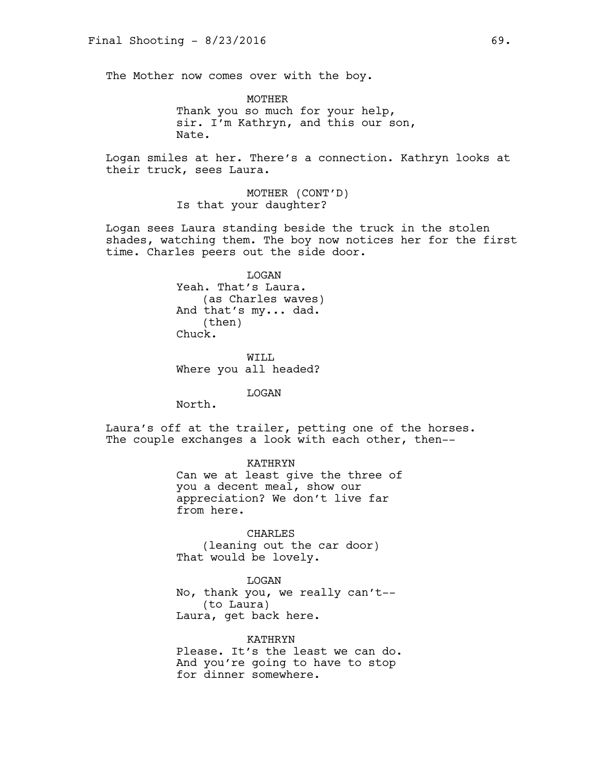The Mother now comes over with the boy.

MOTHER Thank you so much for your help, sir. I'm Kathryn, and this our son, Nate.

Logan smiles at her. There's a connection. Kathryn looks at their truck, sees Laura.

> MOTHER (CONT'D) Is that your daughter?

Logan sees Laura standing beside the truck in the stolen shades, watching them. The boy now notices her for the first time. Charles peers out the side door.

> LOGAN Yeah. That's Laura. (as Charles waves) And that's my... dad. (then) Chuck.

WTT.T. Where you all headed?

LOGAN

North.

Laura's off at the trailer, petting one of the horses. The couple exchanges a look with each other, then--

> KATHRYN Can we at least give the three of you a decent meal, show our appreciation? We don't live far from here.

CHARLES (leaning out the car door) That would be lovely.

LOGAN No, thank you, we really can't-- (to Laura) Laura, get back here.

KATHRYN Please. It's the least we can do. And you're going to have to stop for dinner somewhere.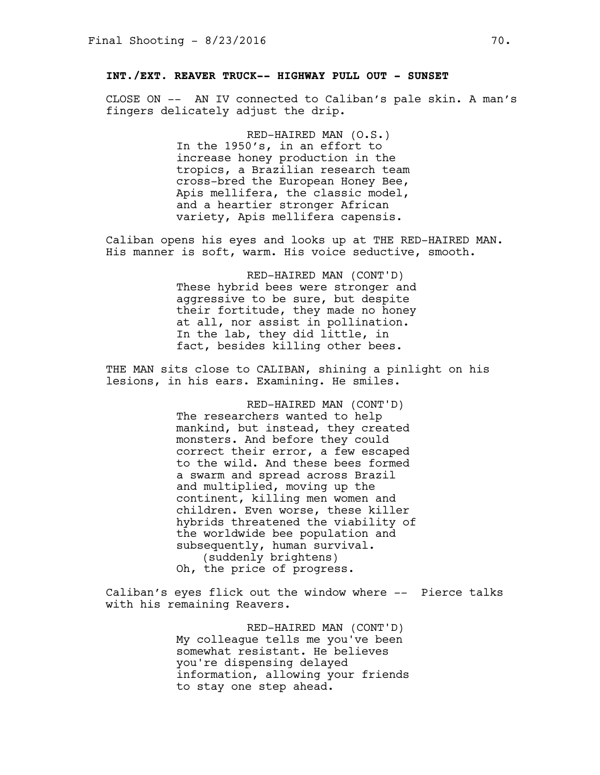# **INT./EXT. REAVER TRUCK-- HIGHWAY PULL OUT - SUNSET**

CLOSE ON -- AN IV connected to Caliban's pale skin. A man's fingers delicately adjust the drip.

> RED-HAIRED MAN (O.S.) In the 1950's, in an effort to increase honey production in the tropics, a Brazilian research team cross-bred the European Honey Bee, Apis mellifera, the classic model, and a heartier stronger African variety, Apis mellifera capensis.

Caliban opens his eyes and looks up at THE RED-HAIRED MAN. His manner is soft, warm. His voice seductive, smooth.

> RED-HAIRED MAN (CONT'D) These hybrid bees were stronger and aggressive to be sure, but despite their fortitude, they made no honey at all, nor assist in pollination. In the lab, they did little, in fact, besides killing other bees.

THE MAN sits close to CALIBAN, shining a pinlight on his lesions, in his ears. Examining. He smiles.

> RED-HAIRED MAN (CONT'D) The researchers wanted to help mankind, but instead, they created monsters. And before they could correct their error, a few escaped to the wild. And these bees formed a swarm and spread across Brazil and multiplied, moving up the continent, killing men women and children. Even worse, these killer hybrids threatened the viability of the worldwide bee population and subsequently, human survival. (suddenly brightens) Oh, the price of progress.

Caliban's eyes flick out the window where -- Pierce talks with his remaining Reavers.

> RED-HAIRED MAN (CONT'D) My colleague tells me you've been somewhat resistant. He believes you're dispensing delayed information, allowing your friends to stay one step ahead.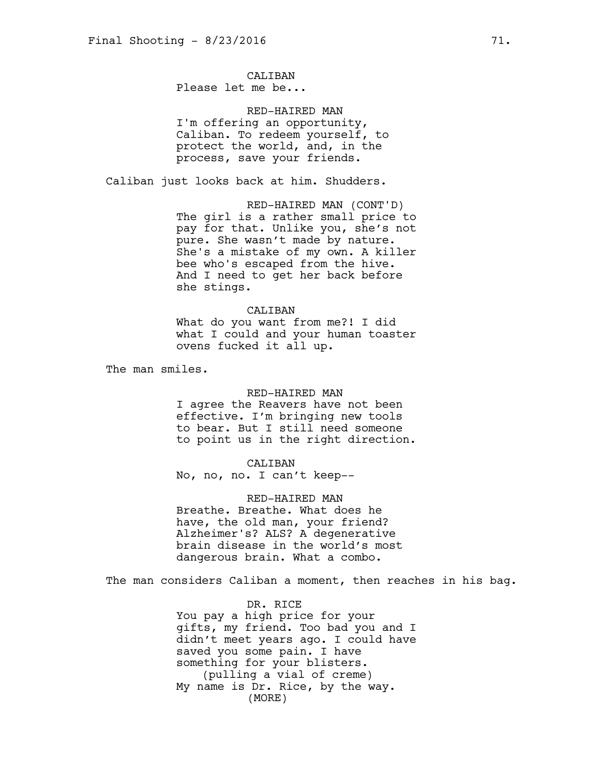# CALTBAN

Please let me be...

RED-HAIRED MAN I'm offering an opportunity, Caliban. To redeem yourself, to protect the world, and, in the process, save your friends.

Caliban just looks back at him. Shudders.

RED-HAIRED MAN (CONT'D) The girl is a rather small price to pay for that. Unlike you, she's not pure. She wasn't made by nature. She's a mistake of my own. A killer bee who's escaped from the hive. And I need to get her back before she stings.

#### CALIBAN

What do you want from me?! I did what I could and your human toaster ovens fucked it all up.

The man smiles.

#### RED-HAIRED MAN

I agree the Reavers have not been effective. I'm bringing new tools to bear. But I still need someone to point us in the right direction.

# CALIBAN

No, no, no. I can't keep--

#### RED-HAIRED MAN

Breathe. Breathe. What does he have, the old man, your friend? Alzheimer's? ALS? A degenerative brain disease in the world's most dangerous brain. What a combo.

The man considers Caliban a moment, then reaches in his bag.

DR. RICE You pay a high price for your gifts, my friend. Too bad you and I didn't meet years ago. I could have saved you some pain. I have something for your blisters. (pulling a vial of creme) My name is Dr. Rice, by the way. (MORE)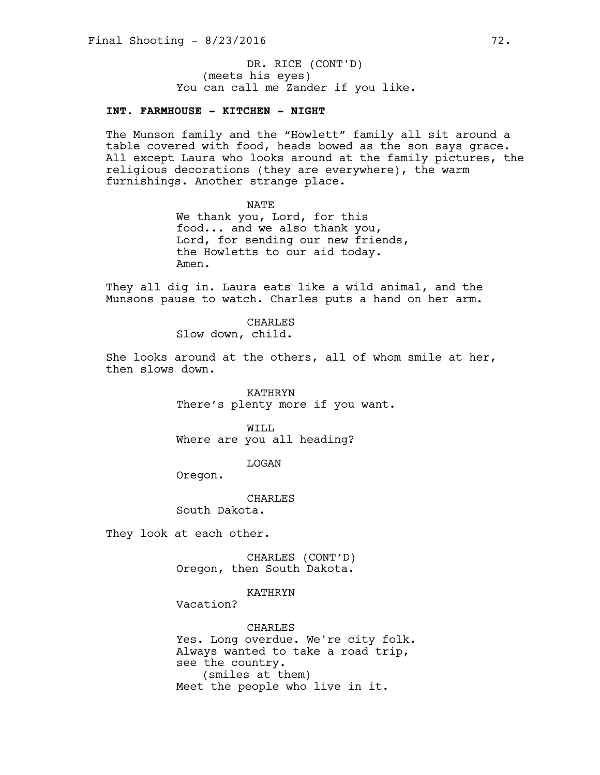(meets his eyes) You can call me Zander if you like. DR. RICE (CONT'D)

### **INT. FARMHOUSE - KITCHEN - NIGHT**

The Munson family and the "Howlett" family all sit around a table covered with food, heads bowed as the son says grace. All except Laura who looks around at the family pictures, the religious decorations (they are everywhere), the warm furnishings. Another strange place.

> NATE We thank you, Lord, for this food... and we also thank you, Lord, for sending our new friends, the Howletts to our aid today. Amen.

They all dig in. Laura eats like a wild animal, and the Munsons pause to watch. Charles puts a hand on her arm.

> CHARLES Slow down, child.

She looks around at the others, all of whom smile at her, then slows down.

> KATHRYN There's plenty more if you want.

WILL Where are you all heading?

LOGAN

Oregon.

CHARLES

South Dakota.

They look at each other.

CHARLES (CONT'D) Oregon, then South Dakota.

KATHRYN

Vacation?

CHARLES Yes. Long overdue. We're city folk. Always wanted to take a road trip, see the country. (smiles at them) Meet the people who live in it.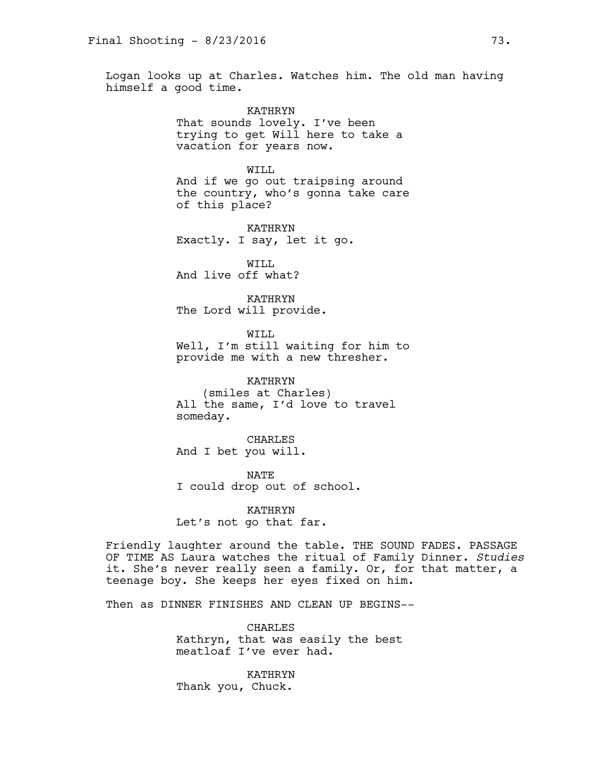Logan looks up at Charles. Watches him. The old man having himself a good time.

> KATHRYN That sounds lovely. I've been trying to get Will here to take a vacation for years now.

WILL And if we go out traipsing around the country, who's gonna take care of this place?

KATHRYN Exactly. I say, let it go.

WILL And live off what?

KATHRYN The Lord will provide.

WILL Well, I'm still waiting for him to provide me with a new thresher.

KATHRYN (smiles at Charles) All the same, I'd love to travel someday.

CHARLES And I bet you will.

NATE I could drop out of school.

KATHRYN Let's not go that far.

Friendly laughter around the table. THE SOUND FADES. PASSAGE OF TIME AS Laura watches the ritual of Family Dinner. *Studies* it. She's never really seen a family. Or, for that matter, a teenage boy. She keeps her eyes fixed on him.

Then as DINNER FINISHES AND CLEAN UP BEGINS--

CHARLES Kathryn, that was easily the best meatloaf I've ever had.

KATHRYN Thank you, Chuck.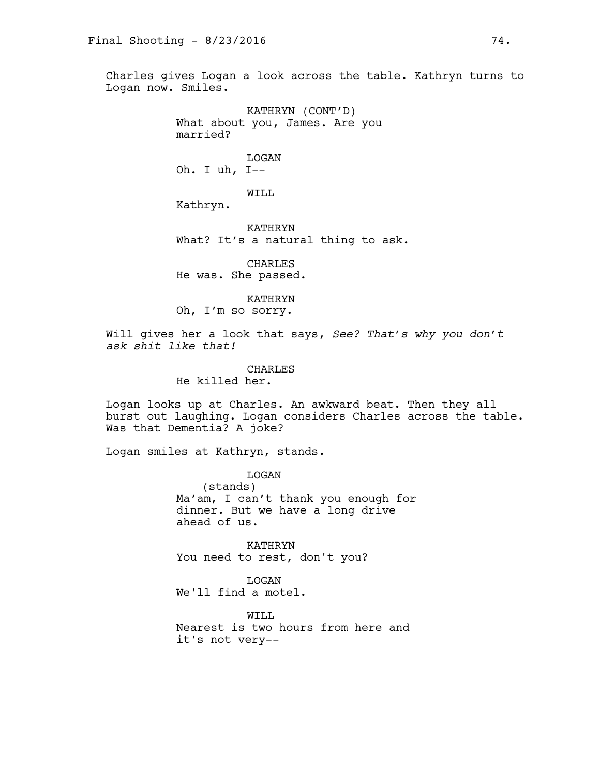Charles gives Logan a look across the table. Kathryn turns to Logan now. Smiles.

> KATHRYN (CONT'D) What about you, James. Are you married?

LOGAN Oh. I uh, I--

WILL

Kathryn.

KATHRYN What? It's a natural thing to ask.

CHARLES He was. She passed.

KATHRYN Oh, I'm so sorry.

Will gives her a look that says, *See? That's why you don't ask shit like that!* 

> CHARLES He killed her.

Logan looks up at Charles. An awkward beat. Then they all burst out laughing. Logan considers Charles across the table. Was that Dementia? A joke?

Logan smiles at Kathryn, stands.

LOGAN (stands) Ma'am, I can't thank you enough for dinner. But we have a long drive ahead of us.

KATHRYN You need to rest, don't you?

LOGAN We'll find a motel.

WTT.T. Nearest is two hours from here and it's not very--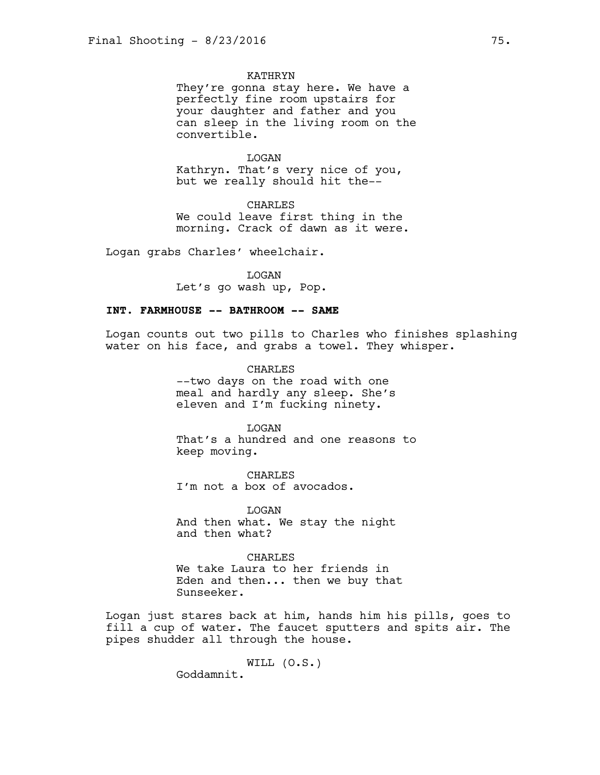# KATHRYN

They're gonna stay here. We have a perfectly fine room upstairs for your daughter and father and you can sleep in the living room on the convertible.

LOGAN Kathryn. That's very nice of you,

but we really should hit the--

CHARLES We could leave first thing in the morning. Crack of dawn as it were.

Logan grabs Charles' wheelchair.

LOGAN Let's go wash up, Pop.

## **INT. FARMHOUSE -- BATHROOM -- SAME**

Logan counts out two pills to Charles who finishes splashing water on his face, and grabs a towel. They whisper.

> CHARLES --two days on the road with one meal and hardly any sleep. She's eleven and I'm fucking ninety.

LOGAN That's a hundred and one reasons to keep moving.

CHARLES I'm not a box of avocados.

LOGAN And then what. We stay the night and then what?

### CHARLES

We take Laura to her friends in Eden and then... then we buy that Sunseeker.

Logan just stares back at him, hands him his pills, goes to fill a cup of water. The faucet sputters and spits air. The pipes shudder all through the house.

WILL (O.S.)

Goddamnit.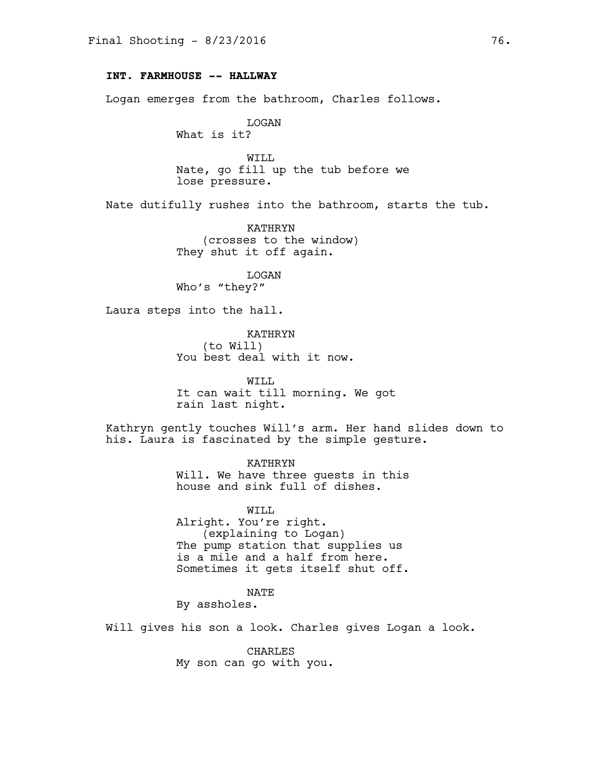## **INT. FARMHOUSE -- HALLWAY**

Logan emerges from the bathroom, Charles follows.

LOGAN What is it?

WILL Nate, go fill up the tub before we lose pressure.

Nate dutifully rushes into the bathroom, starts the tub.

KATHRYN (crosses to the window) They shut it off again.

LOGAN Who's "they?"

Laura steps into the hall.

KATHRYN (to Will) You best deal with it now.

WILL It can wait till morning. We got rain last night.

Kathryn gently touches Will's arm. Her hand slides down to his. Laura is fascinated by the simple gesture.

> KATHRYN Will. We have three guests in this house and sink full of dishes.

> WILL Alright. You're right. (explaining to Logan) The pump station that supplies us is a mile and a half from here. Sometimes it gets itself shut off.

> > NATE

By assholes.

Will gives his son a look. Charles gives Logan a look.

CHARLES My son can go with you.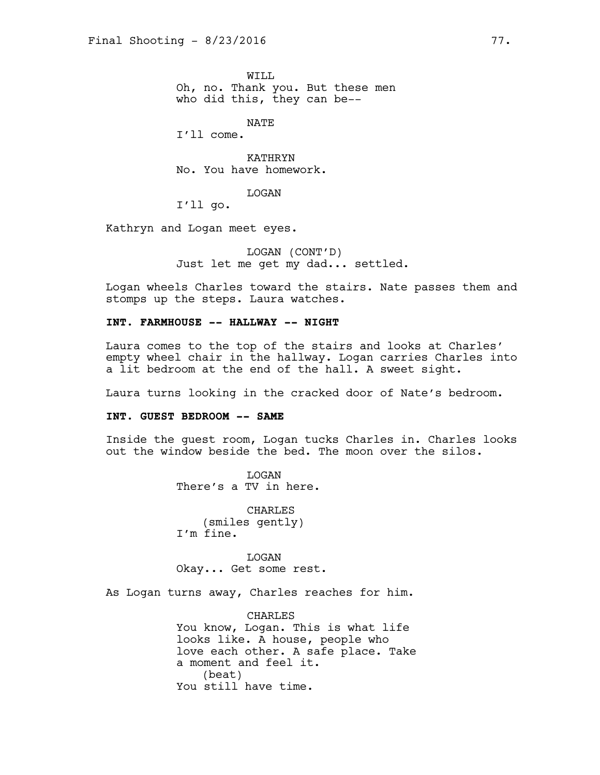WTT.T. Oh, no. Thank you. But these men who did this, they can be--

NATE

I'll come.

KATHRYN No. You have homework.

LOGAN

I'll go.

Kathryn and Logan meet eyes.

LOGAN (CONT'D) Just let me get my dad... settled.

Logan wheels Charles toward the stairs. Nate passes them and stomps up the steps. Laura watches.

# **INT. FARMHOUSE -- HALLWAY -- NIGHT**

Laura comes to the top of the stairs and looks at Charles' empty wheel chair in the hallway. Logan carries Charles into a lit bedroom at the end of the hall. A sweet sight.

Laura turns looking in the cracked door of Nate's bedroom.

#### **INT. GUEST BEDROOM -- SAME**

Inside the guest room, Logan tucks Charles in. Charles looks out the window beside the bed. The moon over the silos.

> LOGAN There's a TV in here.

CHARLES (smiles gently) I'm fine.

LOGAN Okay... Get some rest.

As Logan turns away, Charles reaches for him.

CHARLES You know, Logan. This is what life looks like. A house, people who love each other. A safe place. Take a moment and feel it. (beat) You still have time.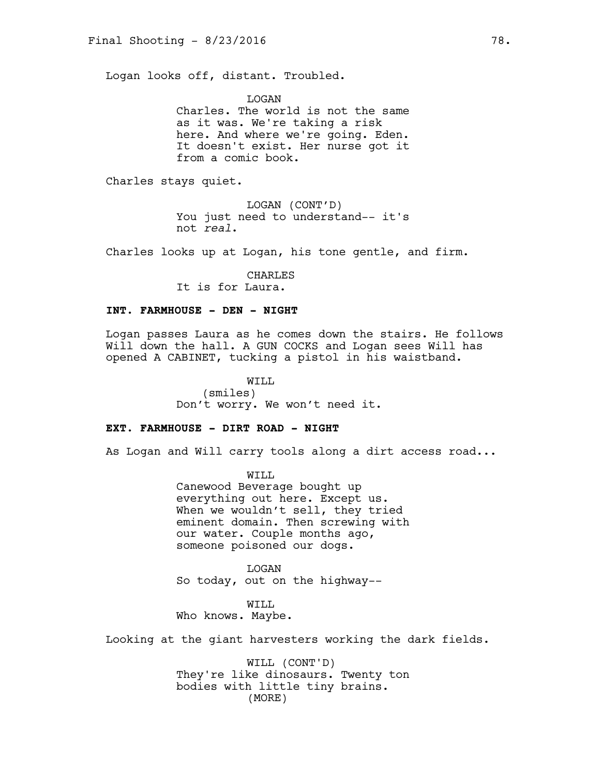Logan looks off, distant. Troubled.

LOGAN Charles. The world is not the same as it was. We're taking a risk here. And where we're going. Eden. It doesn't exist. Her nurse got it from a comic book.

Charles stays quiet.

LOGAN (CONT'D) You just need to understand-- it's not *real*.

Charles looks up at Logan, his tone gentle, and firm.

CHARLES It is for Laura.

### **INT. FARMHOUSE - DEN - NIGHT**

Logan passes Laura as he comes down the stairs. He follows Will down the hall. A GUN COCKS and Logan sees Will has opened A CABINET, tucking a pistol in his waistband.

> WILL (smiles) Don't worry. We won't need it.

# **EXT. FARMHOUSE - DIRT ROAD - NIGHT**

As Logan and Will carry tools along a dirt access road...

WILL Canewood Beverage bought up everything out here. Except us. When we wouldn't sell, they tried eminent domain. Then screwing with our water. Couple months ago, someone poisoned our dogs.

LOGAN So today, out on the highway--

WILL Who knows. Maybe.

Looking at the giant harvesters working the dark fields.

WILL (CONT'D) They're like dinosaurs. Twenty ton bodies with little tiny brains. (MORE)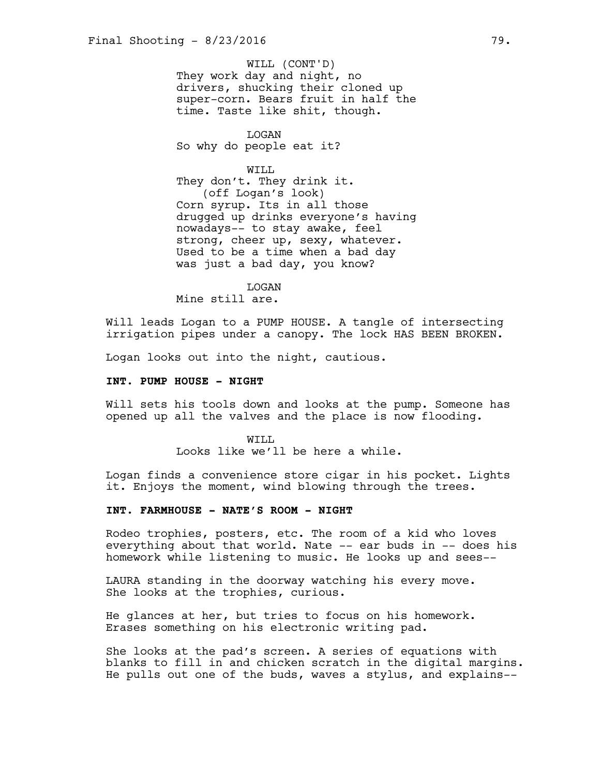They work day and night, no drivers, shucking their cloned up super-corn. Bears fruit in half the time. Taste like shit, though. WILL (CONT'D)

LOGAN So why do people eat it?

WTT.T. They don't. They drink it. (off Logan's look) Corn syrup. Its in all those drugged up drinks everyone's having nowadays-- to stay awake, feel strong, cheer up, sexy, whatever. Used to be a time when a bad day

was just a bad day, you know?

LOGAN

Mine still are.

Will leads Logan to a PUMP HOUSE. A tangle of intersecting irrigation pipes under a canopy. The lock HAS BEEN BROKEN.

Logan looks out into the night, cautious.

### **INT. PUMP HOUSE - NIGHT**

Will sets his tools down and looks at the pump. Someone has opened up all the valves and the place is now flooding.

> WTT.T. Looks like we'll be here a while.

Logan finds a convenience store cigar in his pocket. Lights it. Enjoys the moment, wind blowing through the trees.

# **INT. FARMHOUSE - NATE'S ROOM - NIGHT**

Rodeo trophies, posters, etc. The room of a kid who loves everything about that world. Nate -- ear buds in -- does his homework while listening to music. He looks up and sees--

LAURA standing in the doorway watching his every move. She looks at the trophies, curious.

He glances at her, but tries to focus on his homework. Erases something on his electronic writing pad.

She looks at the pad's screen. A series of equations with blanks to fill in and chicken scratch in the digital margins. He pulls out one of the buds, waves a stylus, and explains--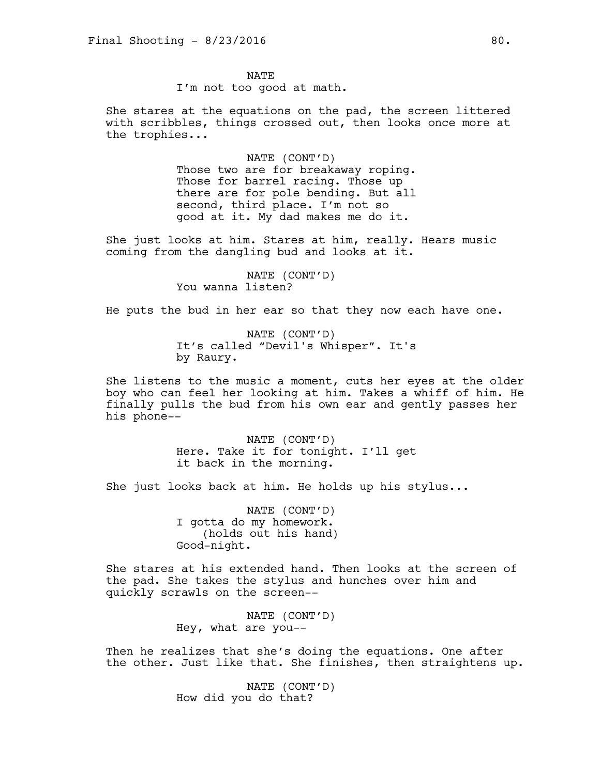NATE I'm not too good at math.

She stares at the equations on the pad, the screen littered with scribbles, things crossed out, then looks once more at the trophies...

> NATE (CONT'D) Those two are for breakaway roping. Those for barrel racing. Those up there are for pole bending. But all second, third place. I'm not so good at it. My dad makes me do it.

She just looks at him. Stares at him, really. Hears music coming from the dangling bud and looks at it.

> NATE (CONT'D) You wanna listen?

He puts the bud in her ear so that they now each have one.

NATE (CONT'D) It's called "Devil's Whisper". It's by Raury.

She listens to the music a moment, cuts her eyes at the older boy who can feel her looking at him. Takes a whiff of him. He finally pulls the bud from his own ear and gently passes her his phone--

> NATE (CONT'D) Here. Take it for tonight. I'll get it back in the morning.

She just looks back at him. He holds up his stylus...

NATE (CONT'D) I gotta do my homework. (holds out his hand) Good-night.

She stares at his extended hand. Then looks at the screen of the pad. She takes the stylus and hunches over him and quickly scrawls on the screen--

> NATE (CONT'D) Hey, what are you--

Then he realizes that she's doing the equations. One after the other. Just like that. She finishes, then straightens up.

> NATE (CONT'D) How did you do that?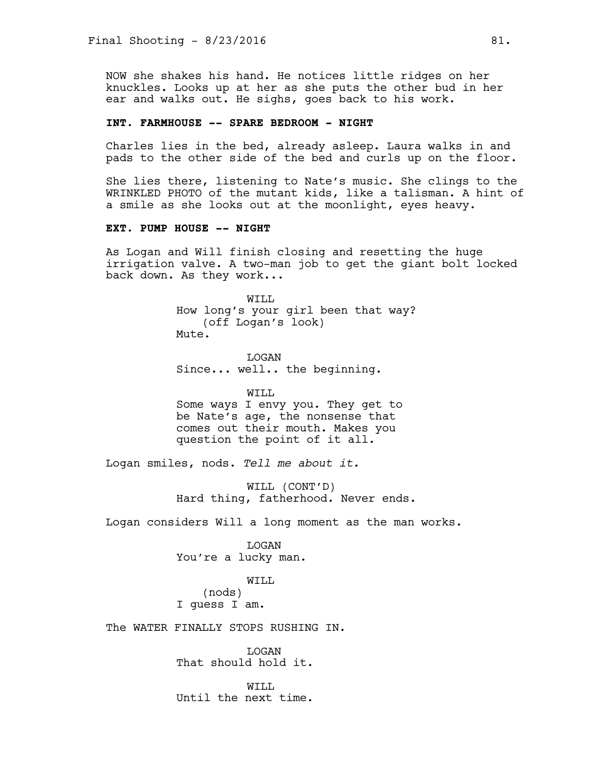NOW she shakes his hand. He notices little ridges on her knuckles. Looks up at her as she puts the other bud in her ear and walks out. He sighs, goes back to his work.

# **INT. FARMHOUSE -- SPARE BEDROOM - NIGHT**

Charles lies in the bed, already asleep. Laura walks in and pads to the other side of the bed and curls up on the floor.

She lies there, listening to Nate's music. She clings to the WRINKLED PHOTO of the mutant kids, like a talisman. A hint of a smile as she looks out at the moonlight, eyes heavy.

# **EXT. PUMP HOUSE -- NIGHT**

As Logan and Will finish closing and resetting the huge irrigation valve. A two-man job to get the giant bolt locked back down. As they work...

> WILL How long's your girl been that way? (off Logan's look) Mute.

**T<sub>I</sub>OGAN** Since... well.. the beginning.

WILL Some ways I envy you. They get to be Nate's age, the nonsense that comes out their mouth. Makes you question the point of it all.

Logan smiles, nods. *Tell me about it.* 

WILL (CONT'D) Hard thing, fatherhood. Never ends.

Logan considers Will a long moment as the man works.

LOGAN You're a lucky man.

WILL (nods) I guess I am.

The WATER FINALLY STOPS RUSHING IN.

LOGAN That should hold it.

WTT.T. Until the next time.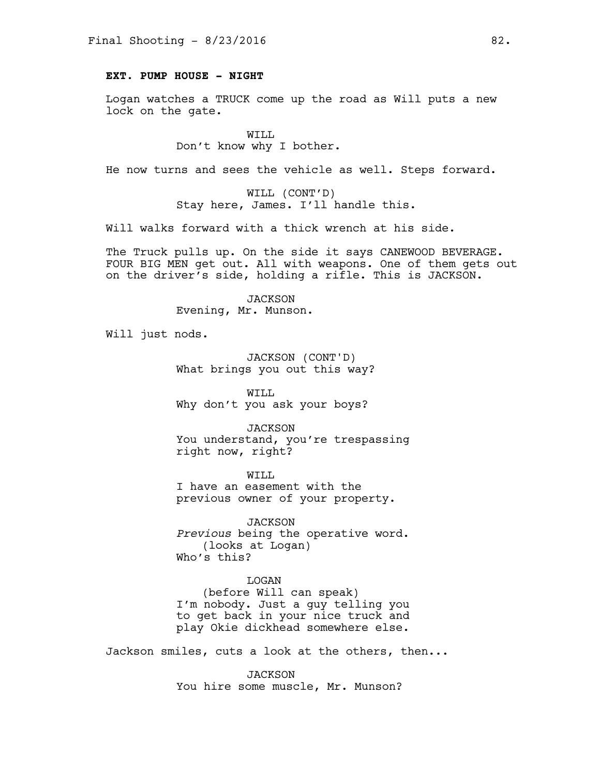## **EXT. PUMP HOUSE - NIGHT**

Logan watches a TRUCK come up the road as Will puts a new lock on the gate.

> WILL Don't know why I bother.

He now turns and sees the vehicle as well. Steps forward.

WILL (CONT'D) Stay here, James. I'll handle this.

Will walks forward with a thick wrench at his side.

The Truck pulls up. On the side it says CANEWOOD BEVERAGE. FOUR BIG MEN get out. All with weapons. One of them gets out on the driver's side, holding a rifle. This is JACKSON.

> JACKSON Evening, Mr. Munson.

Will just nods.

JACKSON (CONT'D) What brings you out this way?

WILL Why don't you ask your boys?

*JACKSON* You understand, you're trespassing right now, right?

WILL I have an easement with the previous owner of your property.

*JACKSON Previous* being the operative word. (looks at Logan) Who's this?

# LOGAN

(before Will can speak) I'm nobody. Just a guy telling you to get back in your nice truck and play Okie dickhead somewhere else.

Jackson smiles, cuts a look at the others, then...

JACKSON You hire some muscle, Mr. Munson?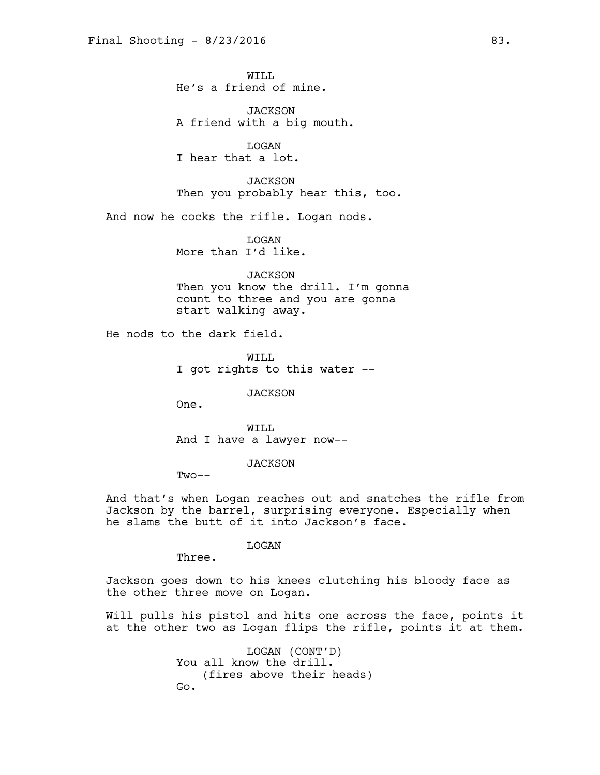WTT.T. He's a friend of mine.

*JACKSON* A friend with a big mouth.

LOGAN I hear that a lot.

*JACKSON* Then you probably hear this, too.

And now he cocks the rifle. Logan nods.

LOGAN More than I'd like.

JACKSON Then you know the drill. I'm gonna count to three and you are gonna start walking away.

He nods to the dark field.

WTT.T. I got rights to this water --

*JACKSON* 

One.

WILL And I have a lawyer now--

*JACKSON* 

 $Two--$ 

And that's when Logan reaches out and snatches the rifle from Jackson by the barrel, surprising everyone. Especially when he slams the butt of it into Jackson's face.

LOGAN

Three.

Jackson goes down to his knees clutching his bloody face as the other three move on Logan.

Will pulls his pistol and hits one across the face, points it at the other two as Logan flips the rifle, points it at them.

> LOGAN (CONT'D) You all know the drill. (fires above their heads) Go.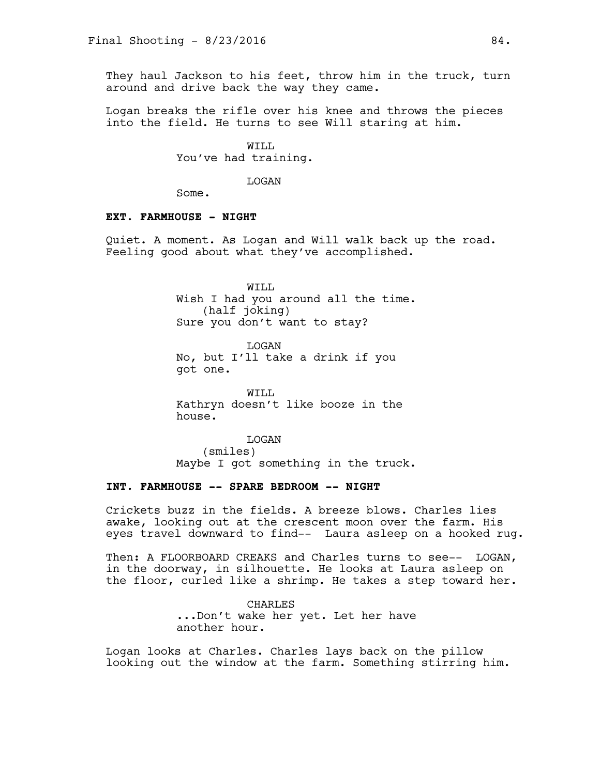They haul Jackson to his feet, throw him in the truck, turn around and drive back the way they came.

Logan breaks the rifle over his knee and throws the pieces into the field. He turns to see Will staring at him.

> WILL You've had training.

> > LOGAN

Some.

### **EXT. FARMHOUSE - NIGHT**

Quiet. A moment. As Logan and Will walk back up the road. Feeling good about what they've accomplished.

> WILL Wish I had you around all the time. (half joking) Sure you don't want to stay?

LOGAN No, but I'll take a drink if you got one.

WILL Kathryn doesn't like booze in the house.

LOGAN (smiles) Maybe I got something in the truck.

# **INT. FARMHOUSE -- SPARE BEDROOM -- NIGHT**

Crickets buzz in the fields. A breeze blows. Charles lies awake, looking out at the crescent moon over the farm. His eyes travel downward to find-- Laura asleep on a hooked rug.

Then: A FLOORBOARD CREAKS and Charles turns to see-- LOGAN, in the doorway, in silhouette. He looks at Laura asleep on the floor, curled like a shrimp. He takes a step toward her.

> CHARLES ...Don't wake her yet. Let her have another hour.

Logan looks at Charles. Charles lays back on the pillow looking out the window at the farm. Something stirring him.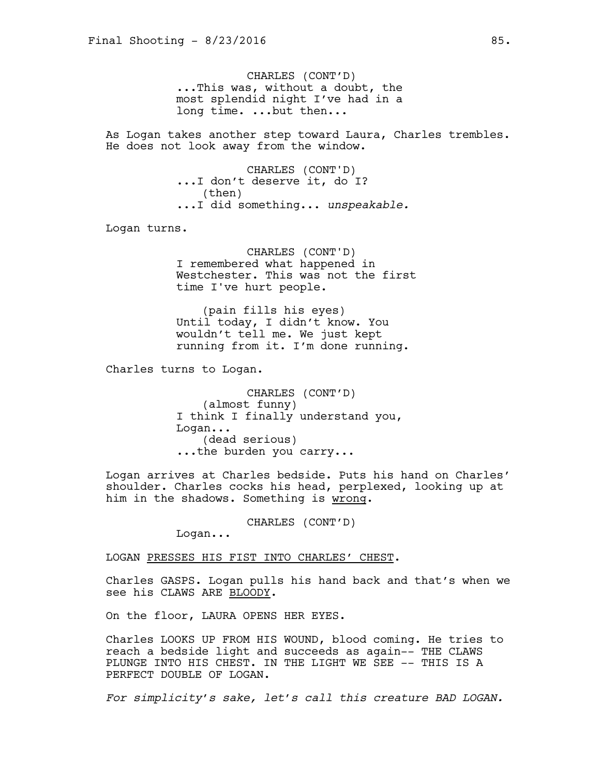CHARLES (CONT'D) ...This was, without a doubt, the most splendid night I've had in a long time. ...but then...

As Logan takes another step toward Laura, Charles trembles. He does not look away from the window.

> CHARLES (CONT'D) ...I don't deserve it, do I? (then) ...I did something... *unspeakable.*

Logan turns.

CHARLES (CONT'D) I remembered what happened in Westchester. This was not the first time I've hurt people.

(pain fills his eyes) Until today, I didn't know. You wouldn't tell me. We just kept running from it. I'm done running.

Charles turns to Logan.

CHARLES (CONT'D) (almost funny) I think I finally understand you, Logan... (dead serious) ...the burden you carry...

Logan arrives at Charles bedside. Puts his hand on Charles' shoulder. Charles cocks his head, perplexed, looking up at him in the shadows. Something is wrong.

CHARLES (CONT'D)

Logan...

LOGAN PRESSES HIS FIST INTO CHARLES' CHEST.

Charles GASPS. Logan pulls his hand back and that's when we see his CLAWS ARE BLOODY.

On the floor, LAURA OPENS HER EYES.

Charles LOOKS UP FROM HIS WOUND, blood coming. He tries to reach a bedside light and succeeds as again-- THE CLAWS PLUNGE INTO HIS CHEST. IN THE LIGHT WE SEE -- THIS IS A PERFECT DOUBLE OF LOGAN.

*For simplicity's sake, let's call this creature BAD LOGAN.*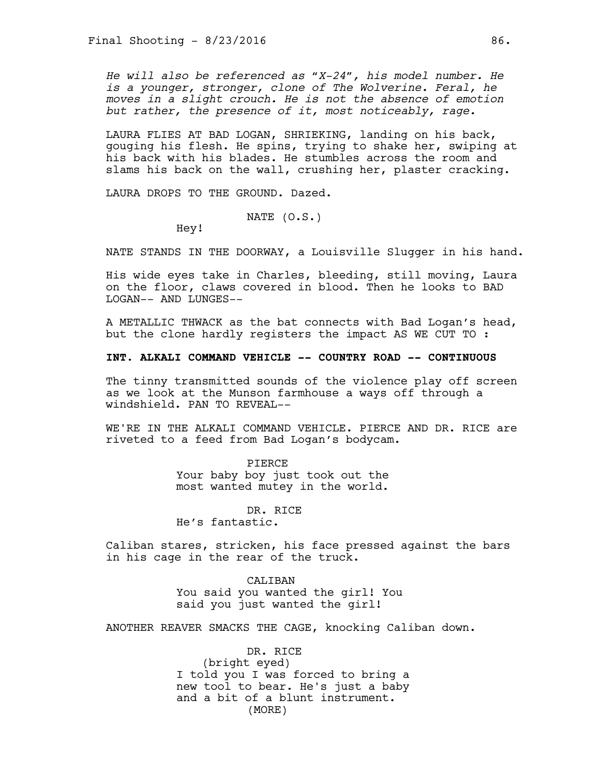*He will also be referenced as "X-24", his model number. He is a younger, stronger, clone of The Wolverine. Feral, he moves in a slight crouch. He is not the absence of emotion but rather, the presence of it, most noticeably, rage.*

LAURA FLIES AT BAD LOGAN, SHRIEKING, landing on his back, gouging his flesh. He spins, trying to shake her, swiping at his back with his blades. He stumbles across the room and slams his back on the wall, crushing her, plaster cracking.

LAURA DROPS TO THE GROUND. Dazed.

NATE (O.S.)

Hey!

NATE STANDS IN THE DOORWAY, a Louisville Slugger in his hand.

His wide eyes take in Charles, bleeding, still moving, Laura on the floor, claws covered in blood. Then he looks to BAD LOGAN-- AND LUNGES--

A METALLIC THWACK as the bat connects with Bad Logan's head, but the clone hardly registers the impact AS WE CUT TO :

## **INT. ALKALI COMMAND VEHICLE -- COUNTRY ROAD -- CONTINUOUS**

The tinny transmitted sounds of the violence play off screen as we look at the Munson farmhouse a ways off through a windshield. PAN TO REVEAL--

WE'RE IN THE ALKALI COMMAND VEHICLE. PIERCE AND DR. RICE are riveted to a feed from Bad Logan's bodycam.

> PIERCE Your baby boy just took out the most wanted mutey in the world.

DR. RICE He's fantastic.

Caliban stares, stricken, his face pressed against the bars in his cage in the rear of the truck.

> CALIBAN You said you wanted the girl! You said you just wanted the girl!

ANOTHER REAVER SMACKS THE CAGE, knocking Caliban down.

DR. RICE (bright eyed) I told you I was forced to bring a new tool to bear. He's just a baby and a bit of a blunt instrument. (MORE)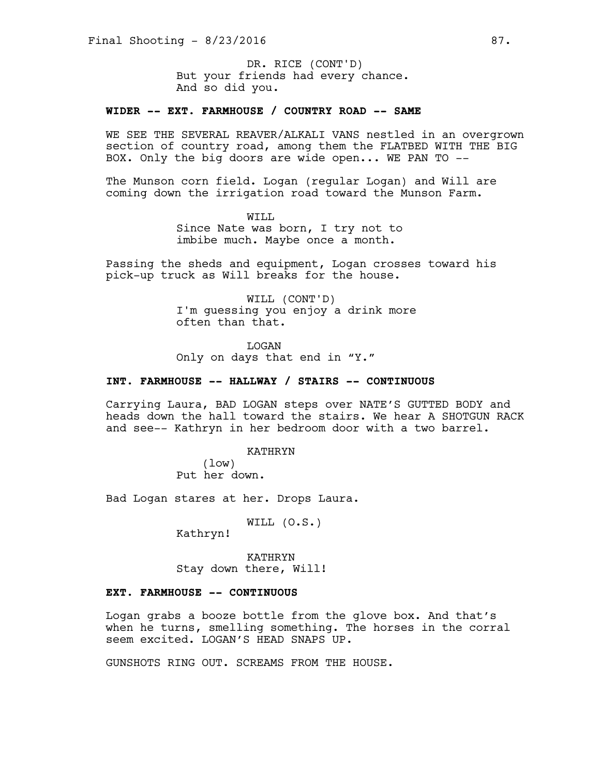But your friends had every chance. And so did you. DR. RICE (CONT'D)

## **WIDER -- EXT. FARMHOUSE / COUNTRY ROAD -- SAME**

WE SEE THE SEVERAL REAVER/ALKALI VANS nestled in an overgrown section of country road, among them the FLATBED WITH THE BIG BOX. Only the big doors are wide open... WE PAN TO --

The Munson corn field. Logan (regular Logan) and Will are coming down the irrigation road toward the Munson Farm.

> WILL Since Nate was born, I try not to imbibe much. Maybe once a month.

Passing the sheds and equipment, Logan crosses toward his pick-up truck as Will breaks for the house.

> WILL (CONT'D) I'm guessing you enjoy a drink more often than that.

LOGAN Only on days that end in "Y."

## **INT. FARMHOUSE -- HALLWAY / STAIRS -- CONTINUOUS**

Carrying Laura, BAD LOGAN steps over NATE'S GUTTED BODY and heads down the hall toward the stairs. We hear A SHOTGUN RACK and see-- Kathryn in her bedroom door with a two barrel.

> KATHRYN (low) Put her down.

Bad Logan stares at her. Drops Laura.

WILL (O.S.)

Kathryn!

KATHRYN Stay down there, Will!

## **EXT. FARMHOUSE -- CONTINUOUS**

Logan grabs a booze bottle from the glove box. And that's when he turns, smelling something. The horses in the corral seem excited. LOGAN'S HEAD SNAPS UP.

GUNSHOTS RING OUT. SCREAMS FROM THE HOUSE.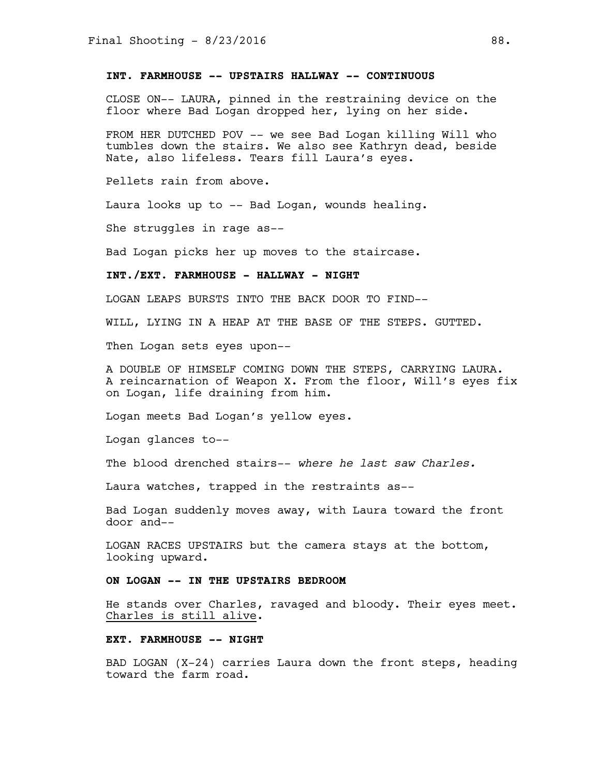## **INT. FARMHOUSE -- UPSTAIRS HALLWAY -- CONTINUOUS**

CLOSE ON-- LAURA, pinned in the restraining device on the floor where Bad Logan dropped her, lying on her side.

FROM HER DUTCHED POV -- we see Bad Logan killing Will who tumbles down the stairs. We also see Kathryn dead, beside Nate, also lifeless. Tears fill Laura's eyes.

Pellets rain from above.

Laura looks up to -- Bad Logan, wounds healing.

She struggles in rage as--

Bad Logan picks her up moves to the staircase.

# **INT./EXT. FARMHOUSE - HALLWAY - NIGHT**

LOGAN LEAPS BURSTS INTO THE BACK DOOR TO FIND--

WILL, LYING IN A HEAP AT THE BASE OF THE STEPS. GUTTED.

Then Logan sets eyes upon--

A DOUBLE OF HIMSELF COMING DOWN THE STEPS, CARRYING LAURA. A reincarnation of Weapon X. From the floor, Will's eyes fix on Logan, life draining from him.

Logan meets Bad Logan's yellow eyes.

Logan glances to--

The blood drenched stairs-- *where he last saw Charles.* 

Laura watches, trapped in the restraints as--

Bad Logan suddenly moves away, with Laura toward the front door and--

LOGAN RACES UPSTAIRS but the camera stays at the bottom, looking upward.

## **ON LOGAN -- IN THE UPSTAIRS BEDROOM**

He stands over Charles, ravaged and bloody. Their eyes meet. Charles is still alive.

#### **EXT. FARMHOUSE -- NIGHT**

BAD LOGAN (X-24) carries Laura down the front steps, heading toward the farm road.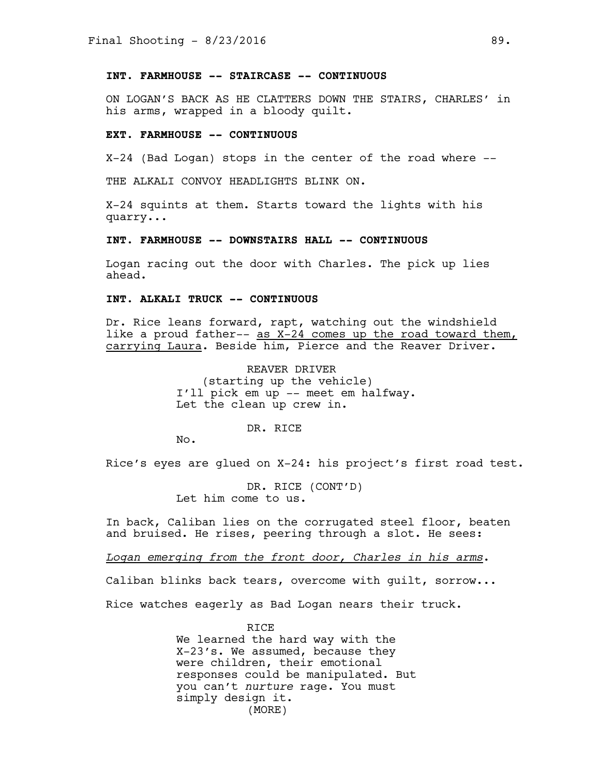## **INT. FARMHOUSE -- STAIRCASE -- CONTINUOUS**

ON LOGAN'S BACK AS HE CLATTERS DOWN THE STAIRS, CHARLES' in his arms, wrapped in a bloody quilt.

### **EXT. FARMHOUSE -- CONTINUOUS**

X-24 (Bad Logan) stops in the center of the road where --

THE ALKALI CONVOY HEADLIGHTS BLINK ON.

X-24 squints at them. Starts toward the lights with his quarry...

#### **INT. FARMHOUSE -- DOWNSTAIRS HALL -- CONTINUOUS**

Logan racing out the door with Charles. The pick up lies ahead.

# **INT. ALKALI TRUCK -- CONTINUOUS**

Dr. Rice leans forward, rapt, watching out the windshield like a proud father-- as  $X-24$  comes up the road toward them, carrying Laura. Beside him, Pierce and the Reaver Driver.

> REAVER DRIVER (starting up the vehicle) I'll pick em up -- meet em halfway. Let the clean up crew in.

> > DR. RICE

No.

Rice's eyes are glued on X-24: his project's first road test.

DR. RICE (CONT'D) Let him come to us.

In back, Caliban lies on the corrugated steel floor, beaten and bruised. He rises, peering through a slot. He sees:

*Logan emerging from the front door, Charles in his arms*.

Caliban blinks back tears, overcome with guilt, sorrow...

Rice watches eagerly as Bad Logan nears their truck.

RICE We learned the hard way with the X-23's. We assumed, because they were children, their emotional responses could be manipulated. But you can't *nurture* rage. You must simply design it. (MORE)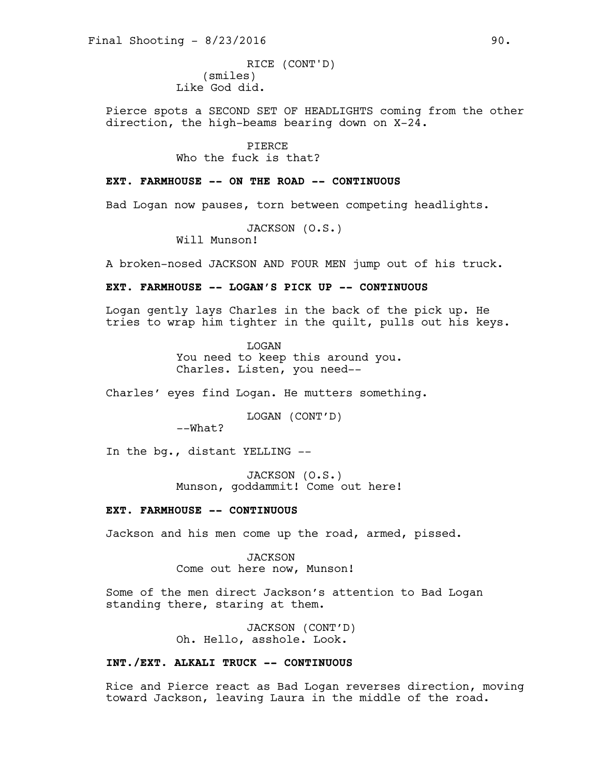(smiles) Like God did. RICE (CONT'D)

Pierce spots a SECOND SET OF HEADLIGHTS coming from the other direction, the high-beams bearing down on X-24.

> PIERCE Who the fuck is that?

#### **EXT. FARMHOUSE -- ON THE ROAD -- CONTINUOUS**

Bad Logan now pauses, torn between competing headlights.

JACKSON (O.S.)

Will Munson!

A broken-nosed JACKSON AND FOUR MEN jump out of his truck.

#### **EXT. FARMHOUSE -- LOGAN'S PICK UP -- CONTINUOUS**

Logan gently lays Charles in the back of the pick up. He tries to wrap him tighter in the quilt, pulls out his keys.

> LOGAN You need to keep this around you. Charles. Listen, you need--

Charles' eyes find Logan. He mutters something.

LOGAN (CONT'D)

--What?

In the bg., distant YELLING --

JACKSON (O.S.) Munson, goddammit! Come out here!

# **EXT. FARMHOUSE -- CONTINUOUS**

Jackson and his men come up the road, armed, pissed.

JACKSON Come out here now, Munson!

Some of the men direct Jackson's attention to Bad Logan standing there, staring at them.

> JACKSON (CONT'D) Oh. Hello, asshole. Look.

# **INT./EXT. ALKALI TRUCK -- CONTINUOUS**

Rice and Pierce react as Bad Logan reverses direction, moving toward Jackson, leaving Laura in the middle of the road.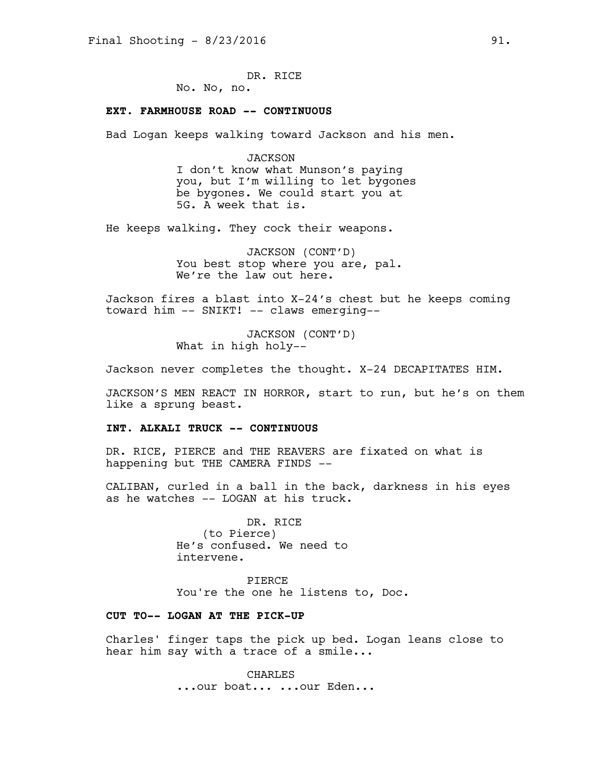DR. RICE No. No, no.

#### **EXT. FARMHOUSE ROAD -- CONTINUOUS**

Bad Logan keeps walking toward Jackson and his men.

JACKSON I don't know what Munson's paying you, but I'm willing to let bygones be bygones. We could start you at 5G. A week that is.

He keeps walking. They cock their weapons.

JACKSON (CONT'D) You best stop where you are, pal. We're the law out here.

Jackson fires a blast into X-24's chest but he keeps coming toward him -- SNIKT! -- claws emerging--

> JACKSON (CONT'D) What in high holy--

Jackson never completes the thought. X-24 DECAPITATES HIM.

JACKSON'S MEN REACT IN HORROR, start to run, but he's on them like a sprung beast.

### **INT. ALKALI TRUCK -- CONTINUOUS**

DR. RICE, PIERCE and THE REAVERS are fixated on what is happening but THE CAMERA FINDS --

CALIBAN, curled in a ball in the back, darkness in his eyes as he watches -- LOGAN at his truck.

> DR. RICE (to Pierce) He's confused. We need to intervene.

PIERCE You're the one he listens to, Doc.

# **CUT TO-- LOGAN AT THE PICK-UP**

Charles' finger taps the pick up bed. Logan leans close to hear him say with a trace of a smile...

> CHARLES ...our boat... ...our Eden...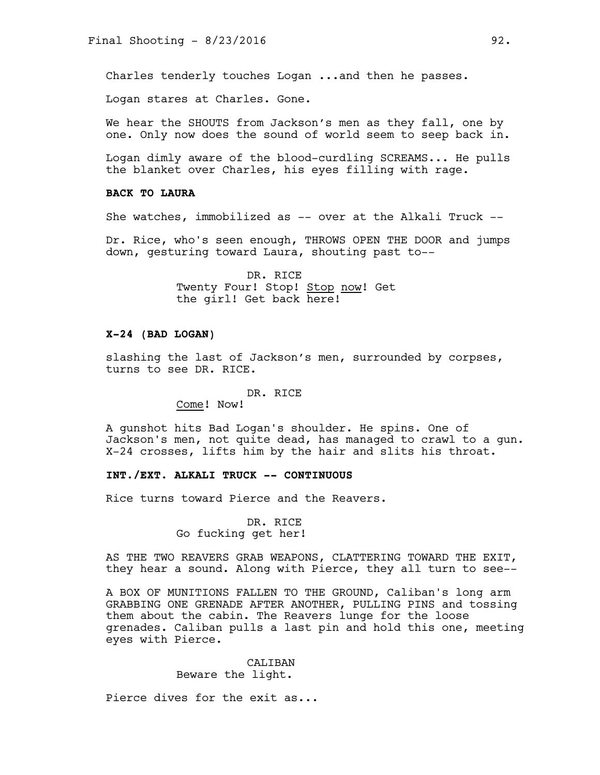Charles tenderly touches Logan ...and then he passes.

Logan stares at Charles. Gone.

We hear the SHOUTS from Jackson's men as they fall, one by one. Only now does the sound of world seem to seep back in.

Logan dimly aware of the blood-curdling SCREAMS... He pulls the blanket over Charles, his eyes filling with rage.

## **BACK TO LAURA**

She watches, immobilized as -- over at the Alkali Truck --

Dr. Rice, who's seen enough, THROWS OPEN THE DOOR and jumps down, gesturing toward Laura, shouting past to--

> DR. RICE Twenty Four! Stop! Stop now! Get the girl! Get back here!

# **X-24 (BAD LOGAN)**

slashing the last of Jackson's men, surrounded by corpses, turns to see DR. RICE.

#### DR. RICE

Come! Now!

A gunshot hits Bad Logan's shoulder. He spins. One of Jackson's men, not quite dead, has managed to crawl to a gun. X-24 crosses, lifts him by the hair and slits his throat.

### **INT./EXT. ALKALI TRUCK -- CONTINUOUS**

Rice turns toward Pierce and the Reavers.

DR. RICE Go fucking get her!

AS THE TWO REAVERS GRAB WEAPONS, CLATTERING TOWARD THE EXIT, they hear a sound. Along with Pierce, they all turn to see--

A BOX OF MUNITIONS FALLEN TO THE GROUND, Caliban's long arm GRABBING ONE GRENADE AFTER ANOTHER, PULLING PINS and tossing them about the cabin. The Reavers lunge for the loose grenades. Caliban pulls a last pin and hold this one, meeting eyes with Pierce.

> CALIBAN Beware the light.

Pierce dives for the exit as...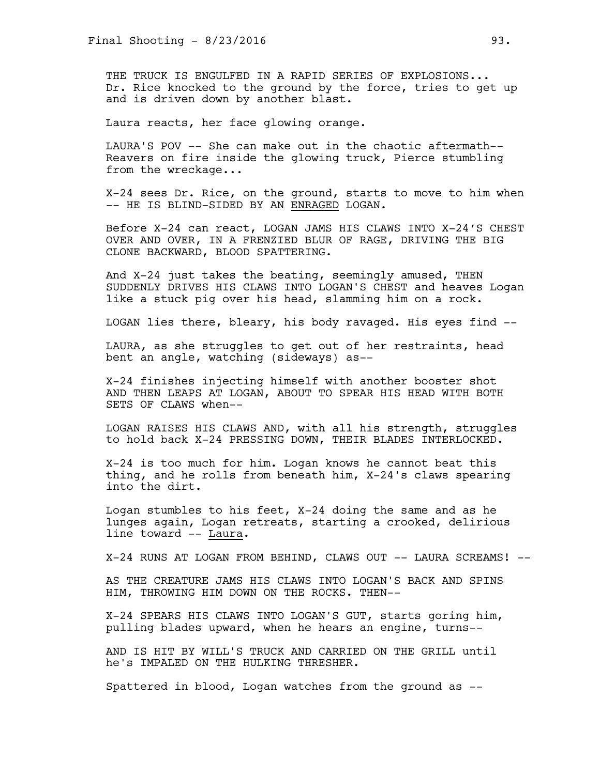THE TRUCK IS ENGULFED IN A RAPID SERIES OF EXPLOSIONS... Dr. Rice knocked to the ground by the force, tries to get up and is driven down by another blast.

Laura reacts, her face glowing orange.

LAURA'S POV -- She can make out in the chaotic aftermath-- Reavers on fire inside the glowing truck, Pierce stumbling from the wreckage...

X-24 sees Dr. Rice, on the ground, starts to move to him when -- HE IS BLIND-SIDED BY AN ENRAGED LOGAN.

Before X-24 can react, LOGAN JAMS HIS CLAWS INTO X-24'S CHEST OVER AND OVER, IN A FRENZIED BLUR OF RAGE, DRIVING THE BIG CLONE BACKWARD, BLOOD SPATTERING.

And X-24 just takes the beating, seemingly amused, THEN SUDDENLY DRIVES HIS CLAWS INTO LOGAN'S CHEST and heaves Logan like a stuck pig over his head, slamming him on a rock.

LOGAN lies there, bleary, his body ravaged. His eyes find --

LAURA, as she struggles to get out of her restraints, head bent an angle, watching (sideways) as--

X-24 finishes injecting himself with another booster shot AND THEN LEAPS AT LOGAN, ABOUT TO SPEAR HIS HEAD WITH BOTH SETS OF CLAWS when--

LOGAN RAISES HIS CLAWS AND, with all his strength, struggles to hold back X-24 PRESSING DOWN, THEIR BLADES INTERLOCKED.

X-24 is too much for him. Logan knows he cannot beat this thing, and he rolls from beneath him, X-24's claws spearing into the dirt.

Logan stumbles to his feet, X-24 doing the same and as he lunges again, Logan retreats, starting a crooked, delirious line toward -- Laura.

X-24 RUNS AT LOGAN FROM BEHIND, CLAWS OUT -- LAURA SCREAMS! --

AS THE CREATURE JAMS HIS CLAWS INTO LOGAN'S BACK AND SPINS HIM, THROWING HIM DOWN ON THE ROCKS. THEN--

X-24 SPEARS HIS CLAWS INTO LOGAN'S GUT, starts goring him, pulling blades upward, when he hears an engine, turns--

AND IS HIT BY WILL'S TRUCK AND CARRIED ON THE GRILL until he's IMPALED ON THE HULKING THRESHER.

Spattered in blood, Logan watches from the ground as --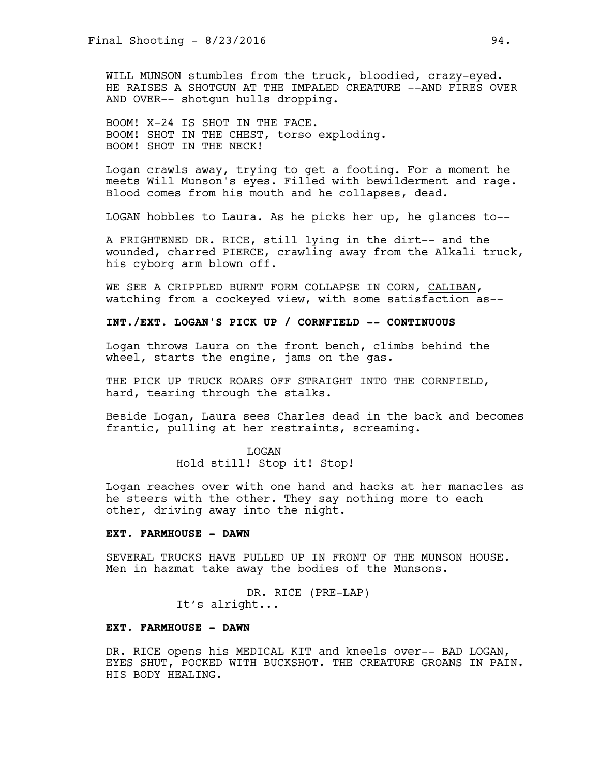WILL MUNSON stumbles from the truck, bloodied, crazy-eyed. HE RAISES A SHOTGUN AT THE IMPALED CREATURE --AND FIRES OVER AND OVER-- shotgun hulls dropping.

BOOM! X-24 IS SHOT IN THE FACE. BOOM! SHOT IN THE CHEST, torso exploding. BOOM! SHOT IN THE NECK!

Logan crawls away, trying to get a footing. For a moment he meets Will Munson's eyes. Filled with bewilderment and rage. Blood comes from his mouth and he collapses, dead.

LOGAN hobbles to Laura. As he picks her up, he glances to--

A FRIGHTENED DR. RICE, still lying in the dirt-- and the wounded, charred PIERCE, crawling away from the Alkali truck, his cyborg arm blown off.

WE SEE A CRIPPLED BURNT FORM COLLAPSE IN CORN, CALIBAN, watching from a cockeyed view, with some satisfaction as--

**INT./EXT. LOGAN'S PICK UP / CORNFIELD -- CONTINUOUS**

Logan throws Laura on the front bench, climbs behind the wheel, starts the engine, jams on the gas.

THE PICK UP TRUCK ROARS OFF STRAIGHT INTO THE CORNFIELD, hard, tearing through the stalks.

Beside Logan, Laura sees Charles dead in the back and becomes frantic, pulling at her restraints, screaming.

> LOGAN Hold still! Stop it! Stop!

Logan reaches over with one hand and hacks at her manacles as he steers with the other. They say nothing more to each other, driving away into the night.

# **EXT. FARMHOUSE - DAWN**

SEVERAL TRUCKS HAVE PULLED UP IN FRONT OF THE MUNSON HOUSE. Men in hazmat take away the bodies of the Munsons.

> DR. RICE (PRE-LAP) It's alright...

### **EXT. FARMHOUSE - DAWN**

DR. RICE opens his MEDICAL KIT and kneels over-- BAD LOGAN, EYES SHUT, POCKED WITH BUCKSHOT. THE CREATURE GROANS IN PAIN. HIS BODY HEALING.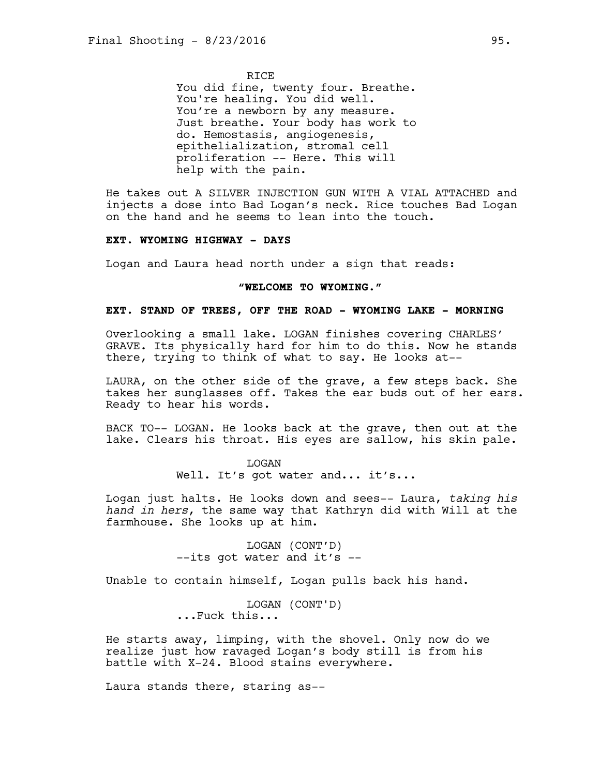**RTCE** 

You did fine, twenty four. Breathe. You're healing. You did well. You're a newborn by any measure. Just breathe. Your body has work to do. Hemostasis, angiogenesis, epithelialization, stromal cell proliferation -- Here. This will help with the pain.

He takes out A SILVER INJECTION GUN WITH A VIAL ATTACHED and injects a dose into Bad Logan's neck. Rice touches Bad Logan on the hand and he seems to lean into the touch.

#### **EXT. WYOMING HIGHWAY - DAYS**

Logan and Laura head north under a sign that reads:

### **"WELCOME TO WYOMING."**

### **EXT. STAND OF TREES, OFF THE ROAD - WYOMING LAKE - MORNING**

Overlooking a small lake. LOGAN finishes covering CHARLES' GRAVE. Its physically hard for him to do this. Now he stands there, trying to think of what to say. He looks at--

LAURA, on the other side of the grave, a few steps back. She takes her sunglasses off. Takes the ear buds out of her ears. Ready to hear his words.

BACK TO-- LOGAN. He looks back at the grave, then out at the lake. Clears his throat. His eyes are sallow, his skin pale.

> LOGAN Well. It's got water and... it's...

Logan just halts. He looks down and sees-- Laura, *taking his hand in hers*, the same way that Kathryn did with Will at the farmhouse. She looks up at him.

> LOGAN (CONT'D) --its got water and it's --

Unable to contain himself, Logan pulls back his hand.

LOGAN (CONT'D) ...Fuck this...

He starts away, limping, with the shovel. Only now do we realize just how ravaged Logan's body still is from his battle with X-24. Blood stains everywhere.

Laura stands there, staring as--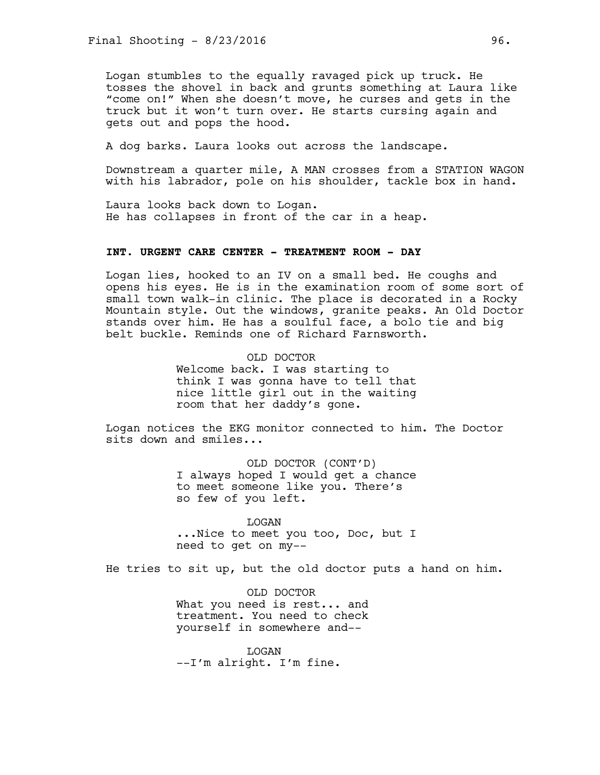Logan stumbles to the equally ravaged pick up truck. He tosses the shovel in back and grunts something at Laura like "come on!" When she doesn't move, he curses and gets in the truck but it won't turn over. He starts cursing again and gets out and pops the hood.

A dog barks. Laura looks out across the landscape.

Downstream a quarter mile, A MAN crosses from a STATION WAGON with his labrador, pole on his shoulder, tackle box in hand.

Laura looks back down to Logan. He has collapses in front of the car in a heap.

#### **INT. URGENT CARE CENTER - TREATMENT ROOM - DAY**

Logan lies, hooked to an IV on a small bed. He coughs and opens his eyes. He is in the examination room of some sort of small town walk-in clinic. The place is decorated in a Rocky Mountain style. Out the windows, granite peaks. An Old Doctor stands over him. He has a soulful face, a bolo tie and big belt buckle. Reminds one of Richard Farnsworth.

> OLD DOCTOR Welcome back. I was starting to think I was gonna have to tell that nice little girl out in the waiting room that her daddy's gone.

Logan notices the EKG monitor connected to him. The Doctor sits down and smiles...

> OLD DOCTOR (CONT'D) I always hoped I would get a chance to meet someone like you. There's so few of you left.

> LOGAN ...Nice to meet you too, Doc, but I need to get on my--

He tries to sit up, but the old doctor puts a hand on him.

OLD DOCTOR What you need is rest... and treatment. You need to check yourself in somewhere and--

LOGAN --I'm alright. I'm fine.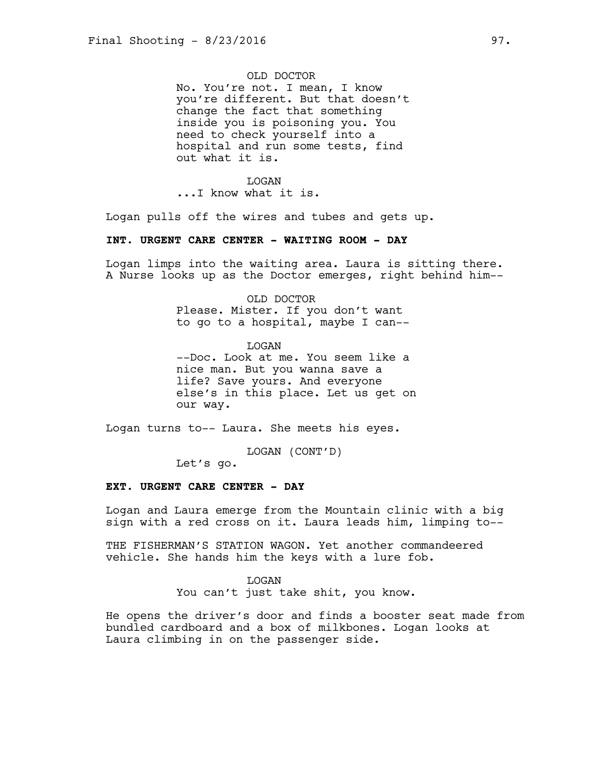## OLD DOCTOR

No. You're not. I mean, I know you're different. But that doesn't change the fact that something inside you is poisoning you. You need to check yourself into a hospital and run some tests, find out what it is.

#### **T<sub>I</sub>OGAN**

...I know what it is.

Logan pulls off the wires and tubes and gets up.

#### **INT. URGENT CARE CENTER - WAITING ROOM - DAY**

Logan limps into the waiting area. Laura is sitting there. A Nurse looks up as the Doctor emerges, right behind him--

> OLD DOCTOR Please. Mister. If you don't want to go to a hospital, maybe I can--

LOGAN --Doc. Look at me. You seem like a nice man. But you wanna save a life? Save yours. And everyone else's in this place. Let us get on our way.

Logan turns to-- Laura. She meets his eyes.

LOGAN (CONT'D)

Let's go.

### **EXT. URGENT CARE CENTER - DAY**

Logan and Laura emerge from the Mountain clinic with a big sign with a red cross on it. Laura leads him, limping to--

THE FISHERMAN'S STATION WAGON. Yet another commandeered vehicle. She hands him the keys with a lure fob.

#### LOGAN

You can't just take shit, you know.

He opens the driver's door and finds a booster seat made from bundled cardboard and a box of milkbones. Logan looks at Laura climbing in on the passenger side.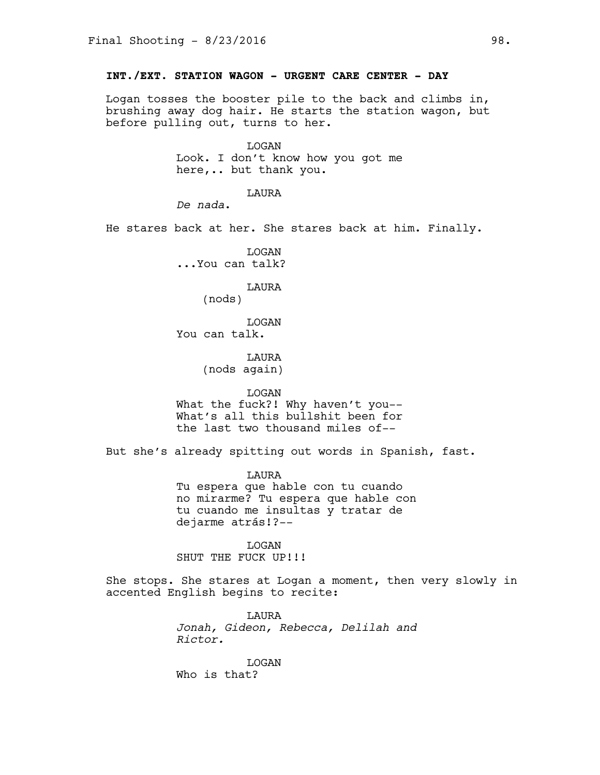# **INT./EXT. STATION WAGON - URGENT CARE CENTER - DAY**

Logan tosses the booster pile to the back and climbs in, brushing away dog hair. He starts the station wagon, but before pulling out, turns to her.

> LOGAN Look. I don't know how you got me here,.. but thank you.

> > LAURA

*De nada*.

He stares back at her. She stares back at him. Finally.

LOGAN ...You can talk?

LAURA

(nods)

LOGAN You can talk.

> **T.AURA** (nods again)

#### LOGAN

What the fuck?! Why haven't you-- What's all this bullshit been for the last two thousand miles of--

But she's already spitting out words in Spanish, fast.

LAURA Tu espera que hable con tu cuando no mirarme? Tu espera que hable con tu cuando me insultas y tratar de dejarme atrás!?--

LOGAN SHUT THE FUCK UP!!!

She stops. She stares at Logan a moment, then very slowly in accented English begins to recite:

> LAURA *Jonah, Gideon, Rebecca, Delilah and Rictor.*

LOGAN Who is that?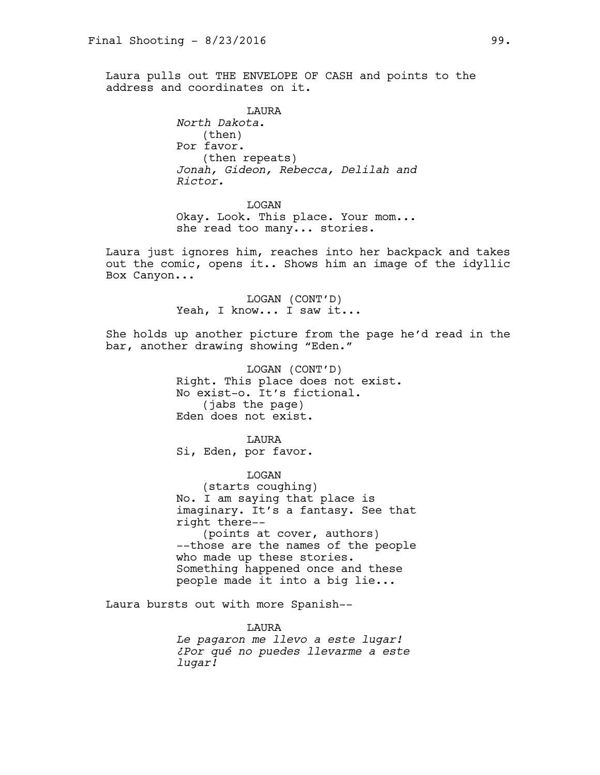Laura pulls out THE ENVELOPE OF CASH and points to the address and coordinates on it.

> LAURA *North Dakota*. (then) Por favor. (then repeats) *Jonah, Gideon, Rebecca, Delilah and Rictor.*

LOGAN Okay. Look. This place. Your mom... she read too many... stories.

Laura just ignores him, reaches into her backpack and takes out the comic, opens it.. Shows him an image of the idyllic Box Canyon...

> LOGAN (CONT'D) Yeah, I know... I saw it...

She holds up another picture from the page he'd read in the bar, another drawing showing "Eden."

> LOGAN (CONT'D) Right. This place does not exist. No exist-o. It's fictional. (jabs the page) Eden does not exist.

**T.AURA** Si, Eden, por favor.

LOGAN (starts coughing) No. I am saying that place is imaginary. It's a fantasy. See that right there-- (points at cover, authors) --those are the names of the people who made up these stories. Something happened once and these people made it into a big lie...

Laura bursts out with more Spanish--

#### LAURA

*Le pagaron me llevo a este lugar! ¿Por qué no puedes llevarme a este lugar!*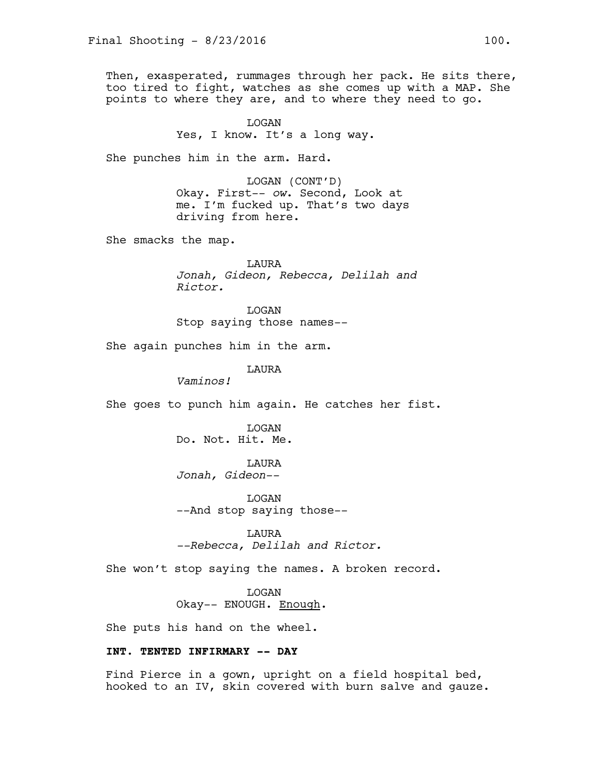Then, exasperated, rummages through her pack. He sits there, too tired to fight, watches as she comes up with a MAP. She points to where they are, and to where they need to go.

> LOGAN Yes, I know. It's a long way.

She punches him in the arm. Hard.

LOGAN (CONT'D) Okay. First-- *ow*. Second, Look at me. I'm fucked up. That's two days driving from here.

She smacks the map.

LAURA *Jonah, Gideon, Rebecca, Delilah and Rictor.*

LOGAN Stop saying those names--

She again punches him in the arm.

LAURA

*Vaminos!* 

She goes to punch him again. He catches her fist.

LOGAN Do. Not. Hit. Me.

LAURA *Jonah, Gideon--*

LOGAN --And stop saying those--

LAURA *--Rebecca, Delilah and Rictor.*

She won't stop saying the names. A broken record.

LOGAN Okay-- ENOUGH. Enough.

She puts his hand on the wheel.

# **INT. TENTED INFIRMARY -- DAY**

Find Pierce in a gown, upright on a field hospital bed, hooked to an IV, skin covered with burn salve and gauze.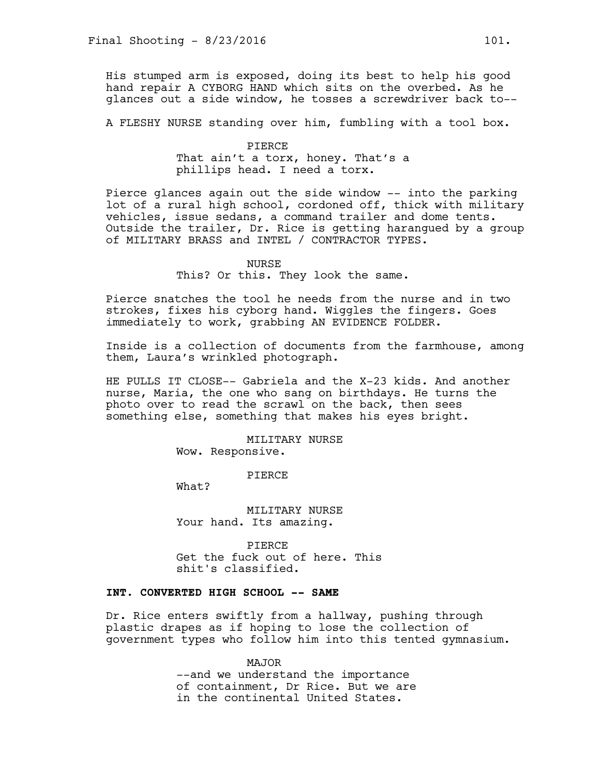His stumped arm is exposed, doing its best to help his good hand repair A CYBORG HAND which sits on the overbed. As he glances out a side window, he tosses a screwdriver back to--

A FLESHY NURSE standing over him, fumbling with a tool box.

### PIERCE

That ain't a torx, honey. That's a phillips head. I need a torx.

Pierce glances again out the side window -- into the parking lot of a rural high school, cordoned off, thick with military vehicles, issue sedans, a command trailer and dome tents. Outside the trailer, Dr. Rice is getting harangued by a group of MILITARY BRASS and INTEL / CONTRACTOR TYPES.

#### NURSE

This? Or this. They look the same.

Pierce snatches the tool he needs from the nurse and in two strokes, fixes his cyborg hand. Wiggles the fingers. Goes immediately to work, grabbing AN EVIDENCE FOLDER.

Inside is a collection of documents from the farmhouse, among them, Laura's wrinkled photograph.

HE PULLS IT CLOSE-- Gabriela and the X-23 kids. And another nurse, Maria, the one who sang on birthdays. He turns the photo over to read the scrawl on the back, then sees something else, something that makes his eyes bright.

> MILITARY NURSE Wow. Responsive.

> > PIERCE

What?

MILITARY NURSE Your hand. Its amazing.

PIERCE Get the fuck out of here. This shit's classified.

## **INT. CONVERTED HIGH SCHOOL -- SAME**

Dr. Rice enters swiftly from a hallway, pushing through plastic drapes as if hoping to lose the collection of government types who follow him into this tented gymnasium.

> MAJOR --and we understand the importance of containment, Dr Rice. But we are in the continental United States.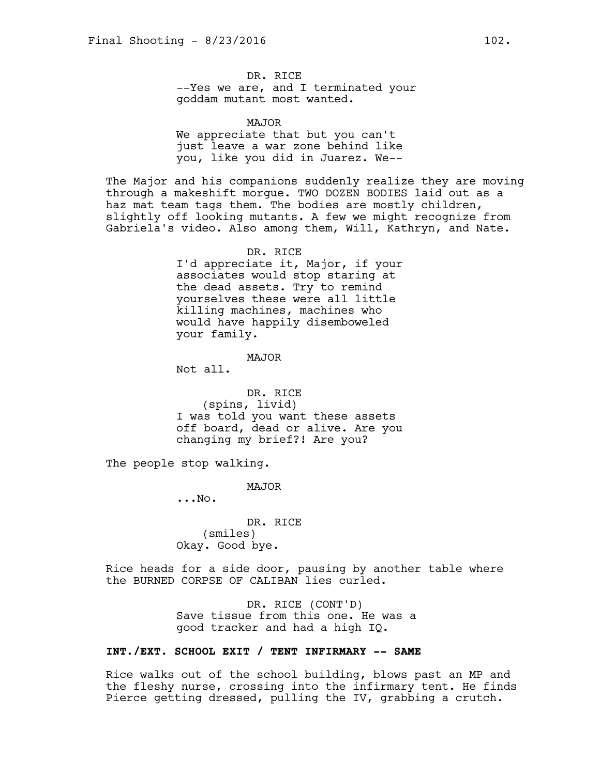DR. RICE --Yes we are, and I terminated your goddam mutant most wanted.

MAJOR We appreciate that but you can't just leave a war zone behind like you, like you did in Juarez. We--

The Major and his companions suddenly realize they are moving through a makeshift morgue. TWO DOZEN BODIES laid out as a haz mat team tags them. The bodies are mostly children, slightly off looking mutants. A few we might recognize from Gabriela's video. Also among them, Will, Kathryn, and Nate.

> DR. RICE I'd appreciate it, Major, if your associates would stop staring at the dead assets. Try to remind yourselves these were all little killing machines, machines who would have happily disemboweled your family.

#### MAJOR

Not all.

DR. RICE (spins, livid) I was told you want these assets off board, dead or alive. Are you changing my brief?! Are you?

The people stop walking.

MAJOR

...No.

DR. RICE (smiles) Okay. Good bye.

Rice heads for a side door, pausing by another table where the BURNED CORPSE OF CALIBAN lies curled.

> DR. RICE (CONT'D) Save tissue from this one. He was a good tracker and had a high IQ.

# **INT./EXT. SCHOOL EXIT / TENT INFIRMARY -- SAME**

Rice walks out of the school building, blows past an MP and the fleshy nurse, crossing into the infirmary tent. He finds Pierce getting dressed, pulling the IV, grabbing a crutch.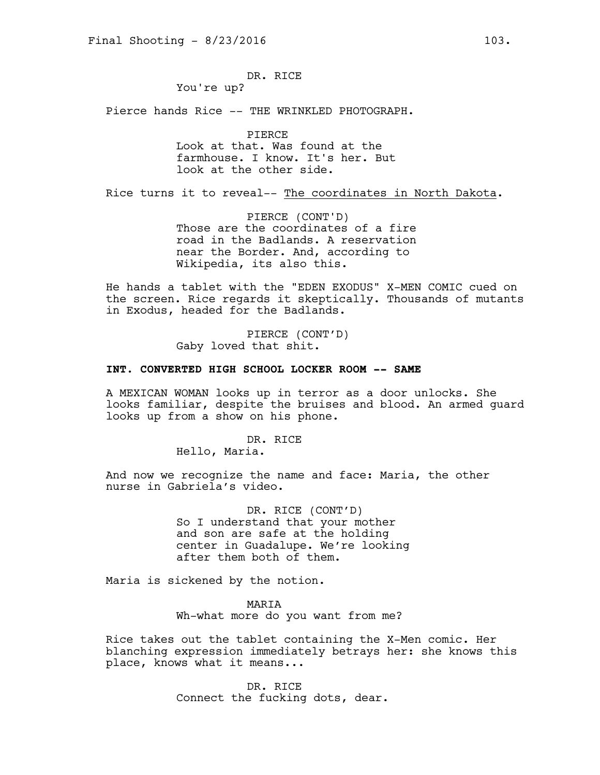DR. RICE

You're up?

Pierce hands Rice -- THE WRINKLED PHOTOGRAPH.

PIERCE Look at that. Was found at the farmhouse. I know. It's her. But look at the other side.

Rice turns it to reveal-- The coordinates in North Dakota.

PIERCE (CONT'D) Those are the coordinates of a fire road in the Badlands. A reservation near the Border. And, according to Wikipedia, its also this.

He hands a tablet with the "EDEN EXODUS" X-MEN COMIC cued on the screen. Rice regards it skeptically. Thousands of mutants in Exodus, headed for the Badlands.

> PIERCE (CONT'D) Gaby loved that shit.

## **INT. CONVERTED HIGH SCHOOL LOCKER ROOM -- SAME**

A MEXICAN WOMAN looks up in terror as a door unlocks. She looks familiar, despite the bruises and blood. An armed guard looks up from a show on his phone.

DR. RICE

Hello, Maria.

And now we recognize the name and face: Maria, the other nurse in Gabriela's video.

> DR. RICE (CONT'D) So I understand that your mother and son are safe at the holding center in Guadalupe. We're looking after them both of them.

Maria is sickened by the notion.

MARIA Wh-what more do you want from me?

Rice takes out the tablet containing the X-Men comic. Her blanching expression immediately betrays her: she knows this place, knows what it means...

> DR. RICE Connect the fucking dots, dear.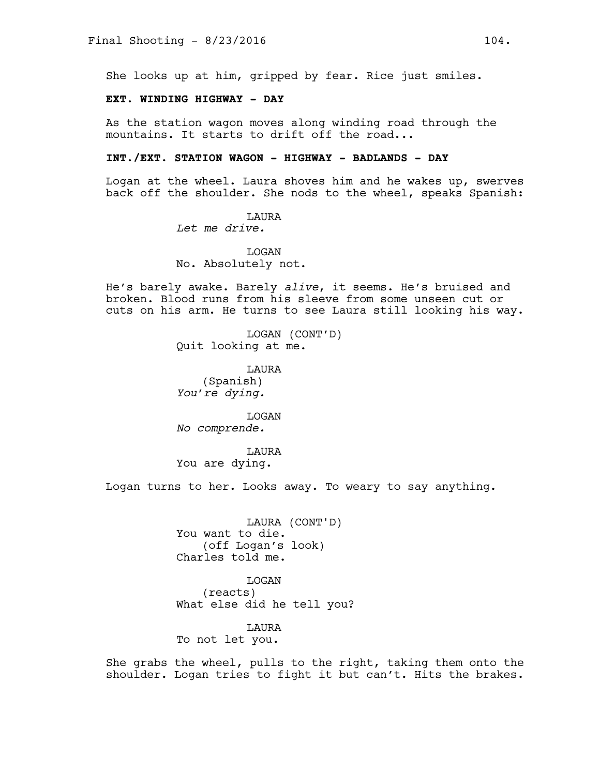She looks up at him, gripped by fear. Rice just smiles.

# **EXT. WINDING HIGHWAY - DAY**

As the station wagon moves along winding road through the mountains. It starts to drift off the road...

### **INT./EXT. STATION WAGON - HIGHWAY - BADLANDS - DAY**

Logan at the wheel. Laura shoves him and he wakes up, swerves back off the shoulder. She nods to the wheel, speaks Spanish:

> LAURA *Let me drive.*

LOGAN No. Absolutely not.

He's barely awake. Barely *alive*, it seems. He's bruised and broken. Blood runs from his sleeve from some unseen cut or cuts on his arm. He turns to see Laura still looking his way.

> LOGAN (CONT'D) Quit looking at me.

LAURA (Spanish) *You're dying.* 

LOGAN *No comprende.* 

LAURA You are dying.

Logan turns to her. Looks away. To weary to say anything.

LAURA (CONT'D) You want to die. (off Logan's look) Charles told me.

LOGAN (reacts) What else did he tell you?

LAURA To not let you.

She grabs the wheel, pulls to the right, taking them onto the shoulder. Logan tries to fight it but can't. Hits the brakes.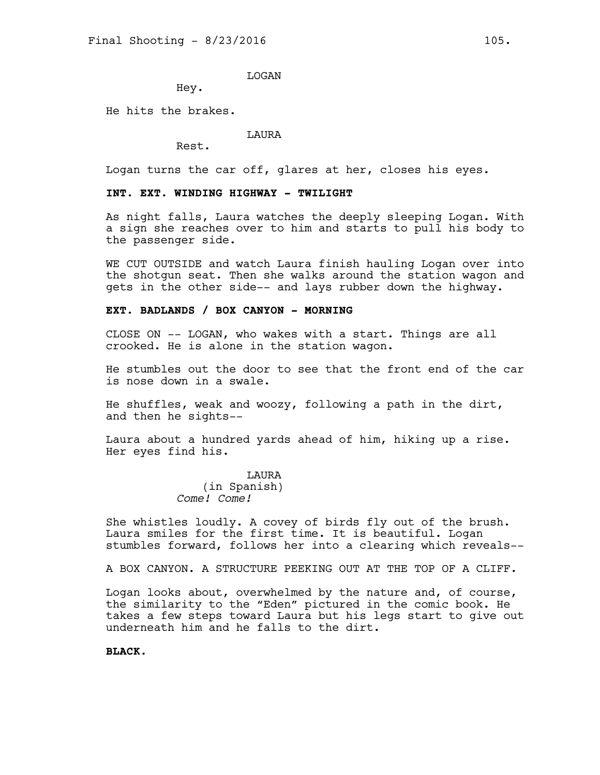LOGAN

Hey.

He hits the brakes.

LAURA

Rest.

Logan turns the car off, glares at her, closes his eyes.

# **INT. EXT. WINDING HIGHWAY - TWILIGHT**

As night falls, Laura watches the deeply sleeping Logan. With a sign she reaches over to him and starts to pull his body to the passenger side.

WE CUT OUTSIDE and watch Laura finish hauling Logan over into the shotgun seat. Then she walks around the station wagon and gets in the other side-- and lays rubber down the highway.

#### **EXT. BADLANDS / BOX CANYON - MORNING**

CLOSE ON -- LOGAN, who wakes with a start. Things are all crooked. He is alone in the station wagon.

He stumbles out the door to see that the front end of the car is nose down in a swale.

He shuffles, weak and woozy, following a path in the dirt, and then he sights--

Laura about a hundred yards ahead of him, hiking up a rise. Her eyes find his.

> LAURA (in Spanish) *Come! Come!*

She whistles loudly. A covey of birds fly out of the brush. Laura smiles for the first time. It is beautiful. Logan stumbles forward, follows her into a clearing which reveals--

A BOX CANYON. A STRUCTURE PEEKING OUT AT THE TOP OF A CLIFF.

Logan looks about, overwhelmed by the nature and, of course, the similarity to the "Eden" pictured in the comic book. He takes a few steps toward Laura but his legs start to give out underneath him and he falls to the dirt.

**BLACK.**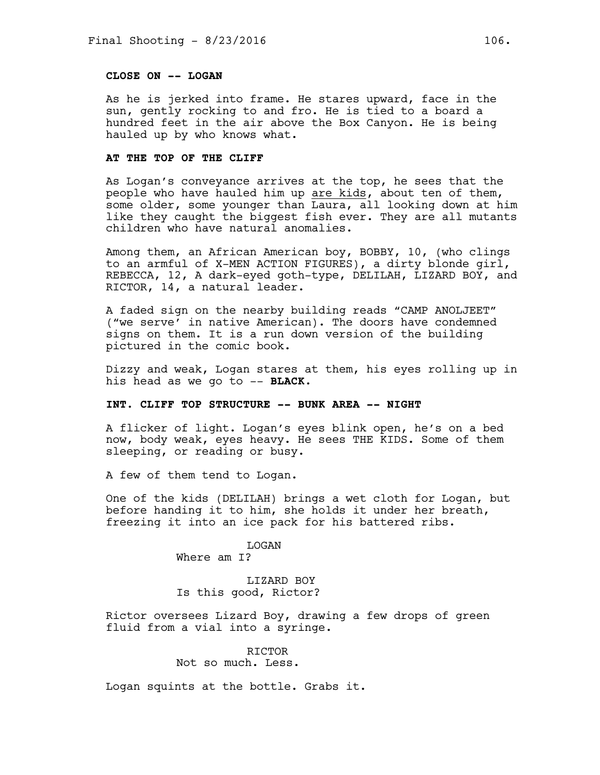# **CLOSE ON -- LOGAN**

As he is jerked into frame. He stares upward, face in the sun, gently rocking to and fro. He is tied to a board a hundred feet in the air above the Box Canyon. He is being hauled up by who knows what.

#### **AT THE TOP OF THE CLIFF**

As Logan's conveyance arrives at the top, he sees that the people who have hauled him up are kids, about ten of them, some older, some younger than Laura, all looking down at him like they caught the biggest fish ever. They are all mutants children who have natural anomalies.

Among them, an African American boy, BOBBY, 10, (who clings to an armful of X-MEN ACTION FIGURES), a dirty blonde girl, REBECCA, 12, A dark-eyed goth-type, DELILAH, LIZARD BOY, and RICTOR, 14, a natural leader.

A faded sign on the nearby building reads "CAMP ANOLJEET" ("we serve' in native American). The doors have condemned signs on them. It is a run down version of the building pictured in the comic book.

Dizzy and weak, Logan stares at them, his eyes rolling up in his head as we go to -- **BLACK.**

# **INT. CLIFF TOP STRUCTURE -- BUNK AREA -- NIGHT**

A flicker of light. Logan's eyes blink open, he's on a bed now, body weak, eyes heavy. He sees THE KIDS. Some of them sleeping, or reading or busy.

A few of them tend to Logan.

One of the kids (DELILAH) brings a wet cloth for Logan, but before handing it to him, she holds it under her breath, freezing it into an ice pack for his battered ribs.

> LOGAN Where am I?

LIZARD BOY Is this good, Rictor?

Rictor oversees Lizard Boy, drawing a few drops of green fluid from a vial into a syringe.

### RICTOR Not so much. Less.

Logan squints at the bottle. Grabs it.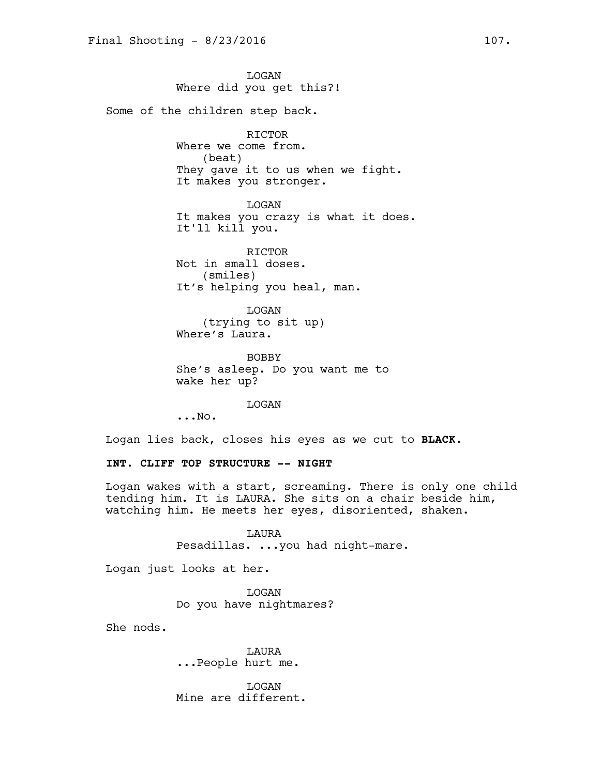LOGAN Where did you get this?! Some of the children step back. RICTOR Where we come from. (beat) They gave it to us when we fight. It makes you stronger. LOGAN It makes you crazy is what it does. It'll kill you. **RICTOR** Not in small doses. (smiles) It's helping you heal, man. LOGAN (trying to sit up) Where's Laura.

> BOBBY She's asleep. Do you want me to wake her up?

> > LOGAN

...No.

Logan lies back, closes his eyes as we cut to **BLACK.**

### **INT. CLIFF TOP STRUCTURE -- NIGHT**

Logan wakes with a start, screaming. There is only one child tending him. It is LAURA. She sits on a chair beside him, watching him. He meets her eyes, disoriented, shaken.

> LAURA Pesadillas. ...you had night-mare.

Logan just looks at her.

LOGAN Do you have nightmares?

She nods.

LAURA ...People hurt me.

LOGAN Mine are different.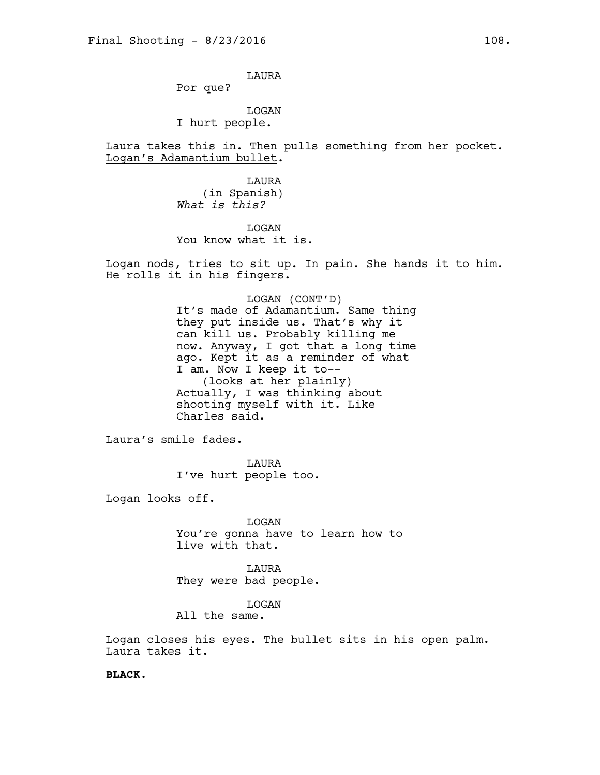LAURA

Por que?

LOGAN I hurt people.

Laura takes this in. Then pulls something from her pocket. Logan's Adamantium bullet.

> LAURA (in Spanish) *What is this?*

LOGAN You know what it is.

Logan nods, tries to sit up. In pain. She hands it to him. He rolls it in his fingers.

> LOGAN (CONT'D) It's made of Adamantium. Same thing they put inside us. That's why it can kill us. Probably killing me now. Anyway, I got that a long time ago. Kept it as a reminder of what I am. Now I keep it to-- (looks at her plainly) Actually, I was thinking about shooting myself with it. Like Charles said.

Laura's smile fades.

LAURA I've hurt people too.

Logan looks off.

LOGAN You're gonna have to learn how to live with that.

**T.AURA** They were bad people.

LOGAN

All the same.

Logan closes his eyes. The bullet sits in his open palm. Laura takes it.

**BLACK.**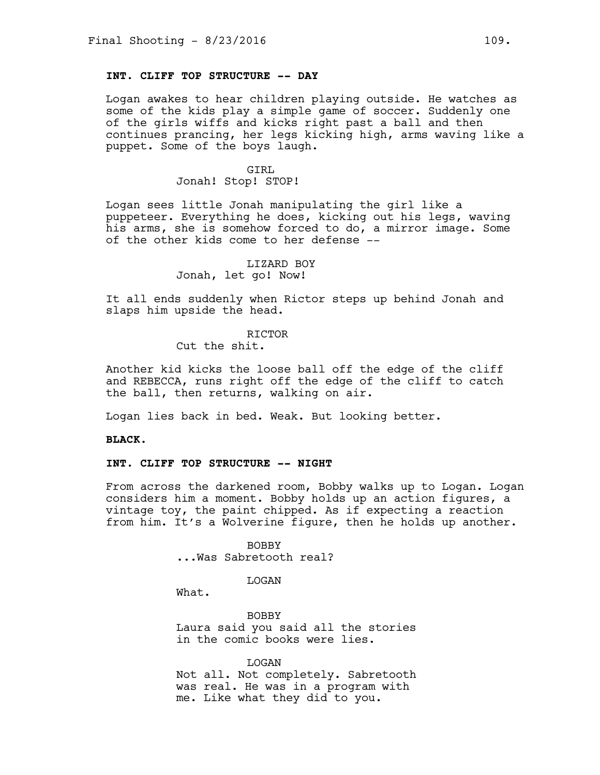# **INT. CLIFF TOP STRUCTURE -- DAY**

Logan awakes to hear children playing outside. He watches as some of the kids play a simple game of soccer. Suddenly one of the girls wiffs and kicks right past a ball and then continues prancing, her legs kicking high, arms waving like a puppet. Some of the boys laugh.

#### GIRL

#### Jonah! Stop! STOP!

Logan sees little Jonah manipulating the girl like a puppeteer. Everything he does, kicking out his legs, waving his arms, she is somehow forced to do, a mirror image. Some of the other kids come to her defense --

### LIZARD BOY Jonah, let go! Now!

It all ends suddenly when Rictor steps up behind Jonah and slaps him upside the head.

### **RICTOR**

Cut the shit.

Another kid kicks the loose ball off the edge of the cliff and REBECCA, runs right off the edge of the cliff to catch the ball, then returns, walking on air.

Logan lies back in bed. Weak. But looking better.

**BLACK.**

## **INT. CLIFF TOP STRUCTURE -- NIGHT**

From across the darkened room, Bobby walks up to Logan. Logan considers him a moment. Bobby holds up an action figures, a vintage toy, the paint chipped. As if expecting a reaction from him. It's a Wolverine figure, then he holds up another.

BOBBY

...Was Sabretooth real?

LOGAN

What.

BOBBY Laura said you said all the stories in the comic books were lies.

LOGAN

Not all. Not completely. Sabretooth was real. He was in a program with me. Like what they did to you.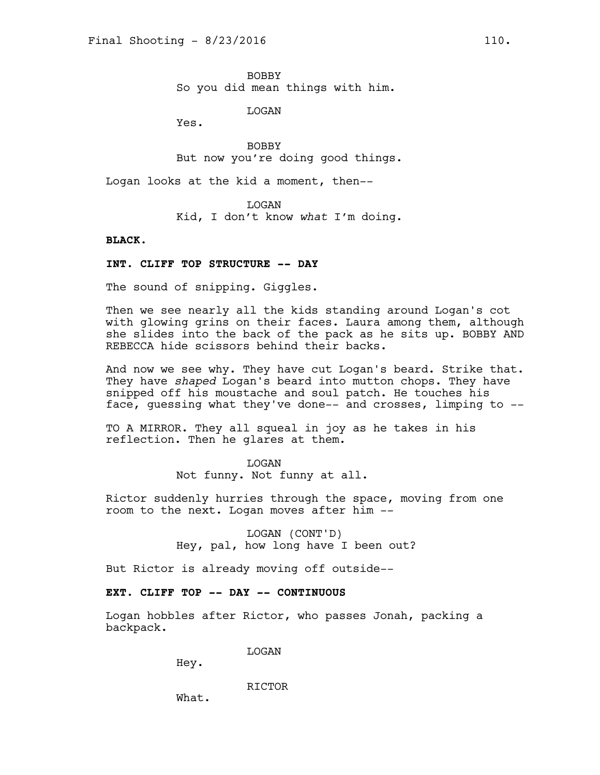BOBBY So you did mean things with him.

LOGAN

Yes.

BOBBY But now you're doing good things.

Logan looks at the kid a moment, then--

LOGAN Kid, I don't know *what* I'm doing.

### **BLACK.**

### **INT. CLIFF TOP STRUCTURE -- DAY**

The sound of snipping. Giggles.

Then we see nearly all the kids standing around Logan's cot with glowing grins on their faces. Laura among them, although she slides into the back of the pack as he sits up. BOBBY AND REBECCA hide scissors behind their backs.

And now we see why. They have cut Logan's beard. Strike that. They have *shaped* Logan's beard into mutton chops. They have snipped off his moustache and soul patch. He touches his face, guessing what they've done-- and crosses, limping to --

TO A MIRROR. They all squeal in joy as he takes in his reflection. Then he glares at them.

### LOGAN

Not funny. Not funny at all.

Rictor suddenly hurries through the space, moving from one room to the next. Logan moves after him --

> LOGAN (CONT'D) Hey, pal, how long have I been out?

But Rictor is already moving off outside--

### **EXT. CLIFF TOP -- DAY -- CONTINUOUS**

Logan hobbles after Rictor, who passes Jonah, packing a backpack.

LOGAN

Hey.

RICTOR

What.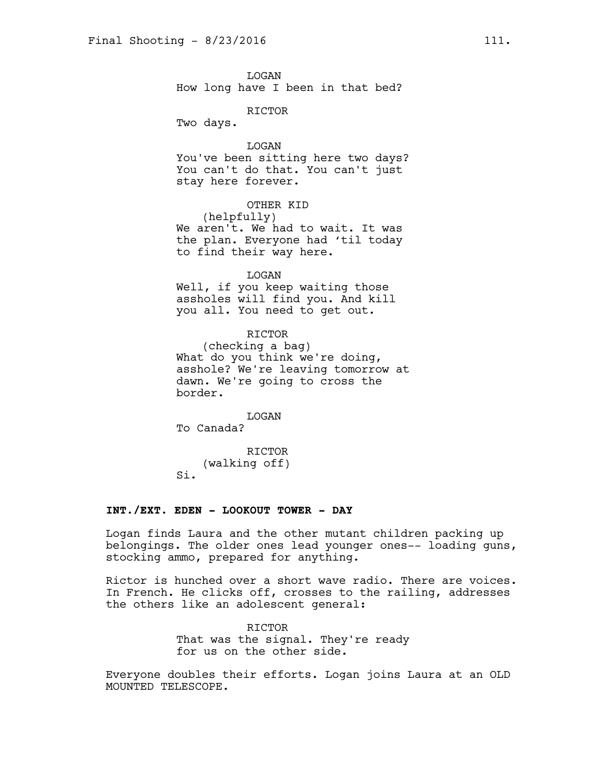LOGAN How long have I been in that bed?

RICTOR

Two days.

LOGAN You've been sitting here two days? You can't do that. You can't just stay here forever.

OTHER KID (helpfully) We aren't. We had to wait. It was the plan. Everyone had 'til today to find their way here.

LOGAN Well, if you keep waiting those assholes will find you. And kill you all. You need to get out.

RICTOR (checking a bag) What do you think we're doing, asshole? We're leaving tomorrow at dawn. We're going to cross the border.

LOGAN To Canada?

RICTOR (walking off) Si.

#### **INT./EXT. EDEN - LOOKOUT TOWER - DAY**

Logan finds Laura and the other mutant children packing up belongings. The older ones lead younger ones-- loading guns, stocking ammo, prepared for anything.

Rictor is hunched over a short wave radio. There are voices. In French. He clicks off, crosses to the railing, addresses the others like an adolescent general:

> RICTOR That was the signal. They're ready for us on the other side.

Everyone doubles their efforts. Logan joins Laura at an OLD MOUNTED TELESCOPE.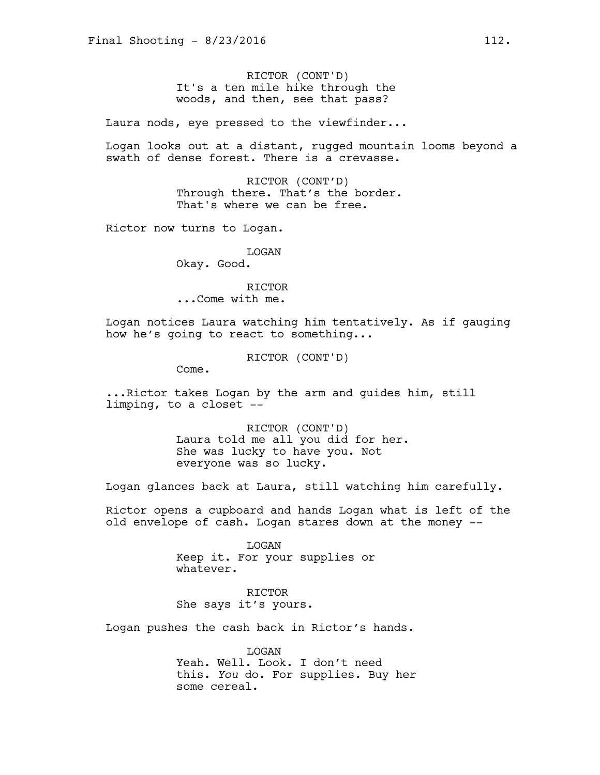RICTOR (CONT'D) It's a ten mile hike through the woods, and then, see that pass?

Laura nods, eye pressed to the viewfinder...

Logan looks out at a distant, rugged mountain looms beyond a swath of dense forest. There is a crevasse.

> RICTOR (CONT'D) Through there. That's the border. That's where we can be free.

Rictor now turns to Logan.

LOGAN Okay. Good.

RICTOR ...Come with me.

Logan notices Laura watching him tentatively. As if gauging how he's going to react to something...

RICTOR (CONT'D)

Come.

...Rictor takes Logan by the arm and guides him, still limping, to a closet --

> RICTOR (CONT'D) Laura told me all you did for her. She was lucky to have you. Not everyone was so lucky.

Logan glances back at Laura, still watching him carefully.

Rictor opens a cupboard and hands Logan what is left of the old envelope of cash. Logan stares down at the money --

> LOGAN Keep it. For your supplies or whatever.

RICTOR She says it's yours.

Logan pushes the cash back in Rictor's hands.

LOGAN Yeah. Well. Look. I don't need this. *You* do. For supplies. Buy her some cereal.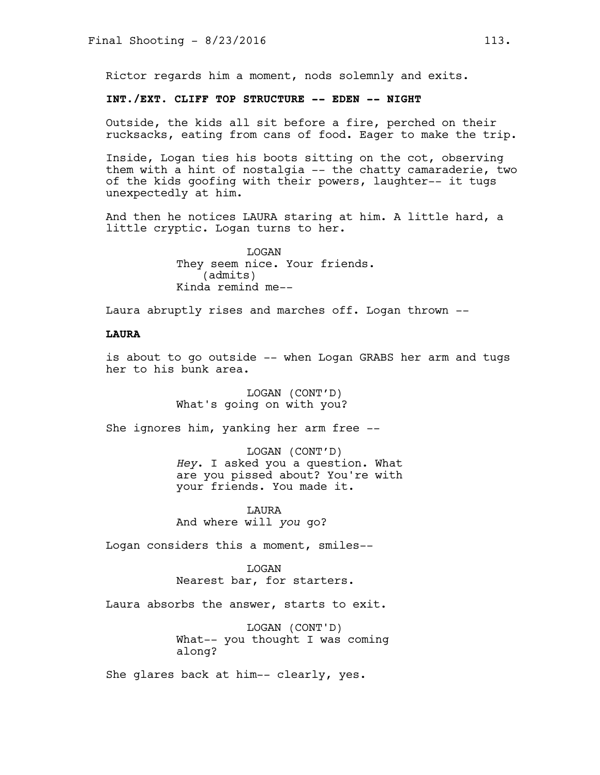Rictor regards him a moment, nods solemnly and exits.

# **INT./EXT. CLIFF TOP STRUCTURE -- EDEN -- NIGHT**

Outside, the kids all sit before a fire, perched on their rucksacks, eating from cans of food. Eager to make the trip.

Inside, Logan ties his boots sitting on the cot, observing them with a hint of nostalgia -- the chatty camaraderie, two of the kids goofing with their powers, laughter-- it tugs unexpectedly at him.

And then he notices LAURA staring at him. A little hard, a little cryptic. Logan turns to her.

> LOGAN They seem nice. Your friends. (admits) Kinda remind me--

Laura abruptly rises and marches off. Logan thrown --

# **LAURA**

is about to go outside -- when Logan GRABS her arm and tugs her to his bunk area.

> LOGAN (CONT'D) What's going on with you?

She ignores him, yanking her arm free --

LOGAN (CONT'D) *Hey*. I asked you a question. What are you pissed about? You're with your friends. You made it.

LAURA And where will *you* go?

Logan considers this a moment, smiles--

LOGAN Nearest bar, for starters.

Laura absorbs the answer, starts to exit.

LOGAN (CONT'D) What-- you thought I was coming along?

She glares back at him-- clearly, yes.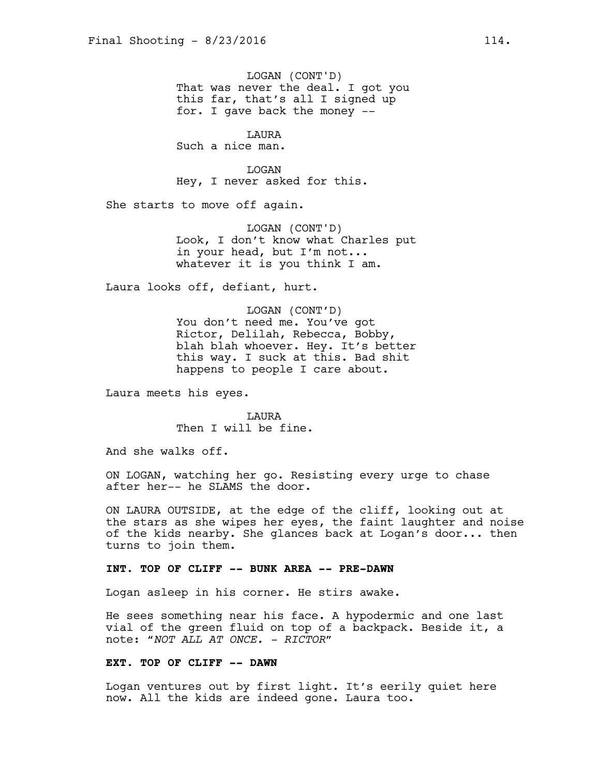LOGAN (CONT'D) That was never the deal. I got you this far, that's all I signed up for. I gave back the money --

LAURA

Such a nice man.

**T<sub>I</sub>OGAN** Hey, I never asked for this.

She starts to move off again.

LOGAN (CONT'D) Look, I don't know what Charles put in your head, but I'm not... whatever it is you think I am.

Laura looks off, defiant, hurt.

LOGAN (CONT'D) You don't need me. You've got Rictor, Delilah, Rebecca, Bobby, blah blah whoever. Hey. It's better this way. I suck at this. Bad shit happens to people I care about.

Laura meets his eyes.

LAURA Then I will be fine.

And she walks off.

ON LOGAN, watching her go. Resisting every urge to chase after her-- he SLAMS the door.

ON LAURA OUTSIDE, at the edge of the cliff, looking out at the stars as she wipes her eyes, the faint laughter and noise of the kids nearby. She glances back at Logan's door... then turns to join them.

#### **INT. TOP OF CLIFF -- BUNK AREA -- PRE-DAWN**

Logan asleep in his corner. He stirs awake.

He sees something near his face. A hypodermic and one last vial of the green fluid on top of a backpack. Beside it, a note: "*NOT ALL AT ONCE. - RICTOR*"

## **EXT. TOP OF CLIFF -- DAWN**

Logan ventures out by first light. It's eerily quiet here now. All the kids are indeed gone. Laura too.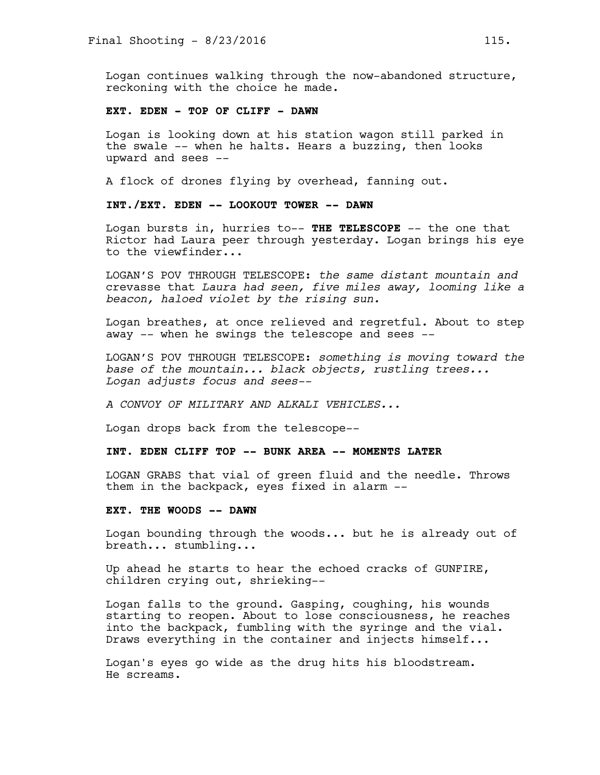Logan continues walking through the now-abandoned structure, reckoning with the choice he made.

### **EXT. EDEN - TOP OF CLIFF - DAWN**

Logan is looking down at his station wagon still parked in the swale -- when he halts. Hears a buzzing, then looks upward and sees --

A flock of drones flying by overhead, fanning out.

## **INT./EXT. EDEN -- LOOKOUT TOWER -- DAWN**

Logan bursts in, hurries to-- **THE TELESCOPE** -- the one that Rictor had Laura peer through yesterday. Logan brings his eye to the viewfinder...

LOGAN'S POV THROUGH TELESCOPE: *the same distant mountain and*  crevasse that *Laura had seen, five miles away, looming like a beacon, haloed violet by the rising sun.*

Logan breathes, at once relieved and regretful. About to step away -- when he swings the telescope and sees --

LOGAN'S POV THROUGH TELESCOPE: *something is moving toward the base of the mountain... black objects, rustling trees... Logan adjusts focus and sees--* 

*A CONVOY OF MILITARY AND ALKALI VEHICLES...*

Logan drops back from the telescope--

## **INT. EDEN CLIFF TOP -- BUNK AREA -- MOMENTS LATER**

LOGAN GRABS that vial of green fluid and the needle. Throws them in the backpack, eyes fixed in alarm --

#### **EXT. THE WOODS -- DAWN**

Logan bounding through the woods... but he is already out of breath... stumbling...

Up ahead he starts to hear the echoed cracks of GUNFIRE, children crying out, shrieking--

Logan falls to the ground. Gasping, coughing, his wounds starting to reopen. About to lose consciousness, he reaches into the backpack, fumbling with the syringe and the vial. Draws everything in the container and injects himself...

Logan's eyes go wide as the drug hits his bloodstream. He screams.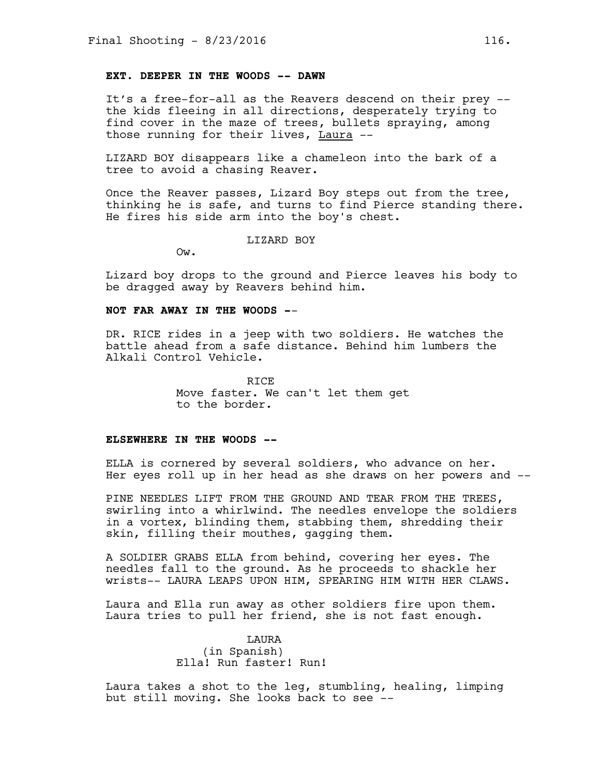## **EXT. DEEPER IN THE WOODS -- DAWN**

It's a free-for-all as the Reavers descend on their prey - the kids fleeing in all directions, desperately trying to find cover in the maze of trees, bullets spraying, among those running for their lives, Laura --

LIZARD BOY disappears like a chameleon into the bark of a tree to avoid a chasing Reaver.

Once the Reaver passes, Lizard Boy steps out from the tree, thinking he is safe, and turns to find Pierce standing there. He fires his side arm into the boy's chest.

#### LIZARD BOY

Ow.

Lizard boy drops to the ground and Pierce leaves his body to be dragged away by Reavers behind him.

#### **NOT FAR AWAY IN THE WOODS -**-

DR. RICE rides in a jeep with two soldiers. He watches the battle ahead from a safe distance. Behind him lumbers the Alkali Control Vehicle.

> RICE Move faster. We can't let them get to the border.

#### **ELSEWHERE IN THE WOODS --**

ELLA is cornered by several soldiers, who advance on her. Her eyes roll up in her head as she draws on her powers and --

PINE NEEDLES LIFT FROM THE GROUND AND TEAR FROM THE TREES, swirling into a whirlwind. The needles envelope the soldiers in a vortex, blinding them, stabbing them, shredding their skin, filling their mouthes, gagging them.

A SOLDIER GRABS ELLA from behind, covering her eyes. The needles fall to the ground. As he proceeds to shackle her wrists-- LAURA LEAPS UPON HIM, SPEARING HIM WITH HER CLAWS.

Laura and Ella run away as other soldiers fire upon them. Laura tries to pull her friend, she is not fast enough.

> LAURA (in Spanish) Ella! Run faster! Run!

Laura takes a shot to the leg, stumbling, healing, limping but still moving. She looks back to see --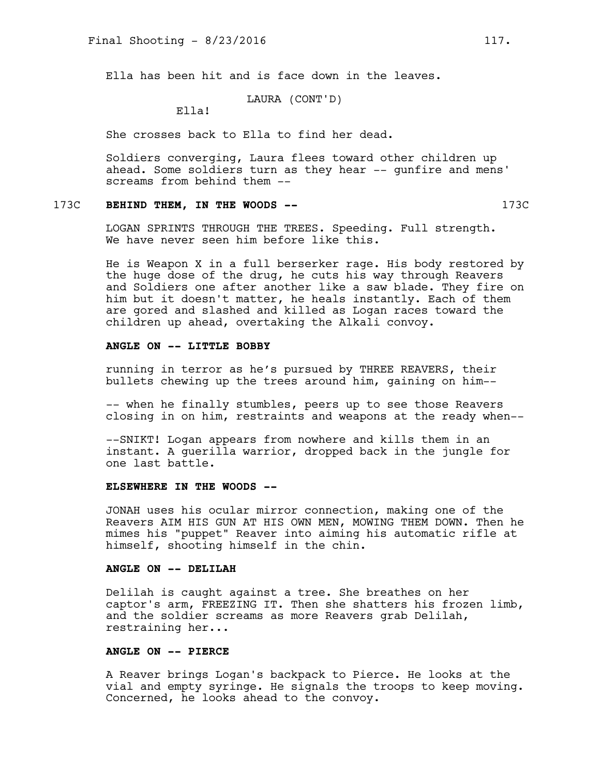Ella has been hit and is face down in the leaves.

# LAURA (CONT'D)

Ella!

She crosses back to Ella to find her dead.

Soldiers converging, Laura flees toward other children up ahead. Some soldiers turn as they hear -- gunfire and mens' screams from behind them --

# 173C **BEHIND THEM, IN THE WOODS --** 173C

LOGAN SPRINTS THROUGH THE TREES. Speeding. Full strength. We have never seen him before like this.

He is Weapon X in a full berserker rage. His body restored by the huge dose of the drug, he cuts his way through Reavers and Soldiers one after another like a saw blade. They fire on him but it doesn't matter, he heals instantly. Each of them are gored and slashed and killed as Logan races toward the children up ahead, overtaking the Alkali convoy.

## **ANGLE ON -- LITTLE BOBBY**

running in terror as he's pursued by THREE REAVERS, their bullets chewing up the trees around him, gaining on him--

-- when he finally stumbles, peers up to see those Reavers closing in on him, restraints and weapons at the ready when--

--SNIKT! Logan appears from nowhere and kills them in an instant. A guerilla warrior, dropped back in the jungle for one last battle.

## **ELSEWHERE IN THE WOODS --**

JONAH uses his ocular mirror connection, making one of the Reavers AIM HIS GUN AT HIS OWN MEN, MOWING THEM DOWN. Then he mimes his "puppet" Reaver into aiming his automatic rifle at himself, shooting himself in the chin.

#### **ANGLE ON -- DELILAH**

Delilah is caught against a tree. She breathes on her captor's arm, FREEZING IT. Then she shatters his frozen limb, and the soldier screams as more Reavers grab Delilah, restraining her...

# **ANGLE ON -- PIERCE**

A Reaver brings Logan's backpack to Pierce. He looks at the vial and empty syringe. He signals the troops to keep moving. Concerned, he looks ahead to the convoy.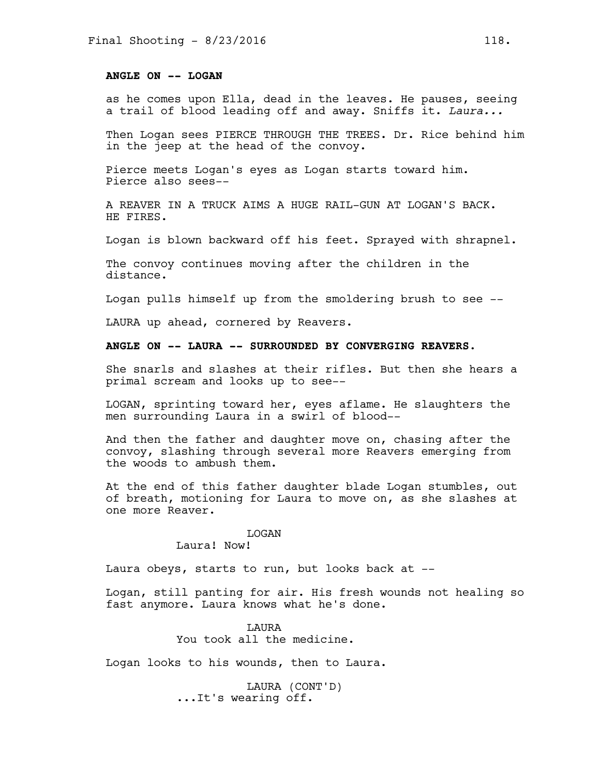## **ANGLE ON -- LOGAN**

as he comes upon Ella, dead in the leaves. He pauses, seeing a trail of blood leading off and away. Sniffs it. *Laura...*

Then Logan sees PIERCE THROUGH THE TREES. Dr. Rice behind him in the jeep at the head of the convoy.

Pierce meets Logan's eyes as Logan starts toward him. Pierce also sees--

A REAVER IN A TRUCK AIMS A HUGE RAIL-GUN AT LOGAN'S BACK. HE FIRES.

Logan is blown backward off his feet. Sprayed with shrapnel.

The convoy continues moving after the children in the distance.

Logan pulls himself up from the smoldering brush to see --

LAURA up ahead, cornered by Reavers.

## **ANGLE ON -- LAURA -- SURROUNDED BY CONVERGING REAVERS.**

She snarls and slashes at their rifles. But then she hears a primal scream and looks up to see--

LOGAN, sprinting toward her, eyes aflame. He slaughters the men surrounding Laura in a swirl of blood--

And then the father and daughter move on, chasing after the convoy, slashing through several more Reavers emerging from the woods to ambush them.

At the end of this father daughter blade Logan stumbles, out of breath, motioning for Laura to move on, as she slashes at one more Reaver.

#### LOGAN

Laura! Now!

Laura obeys, starts to run, but looks back at --

Logan, still panting for air. His fresh wounds not healing so fast anymore. Laura knows what he's done.

> LAURA You took all the medicine.

Logan looks to his wounds, then to Laura.

LAURA (CONT'D) ...It's wearing off.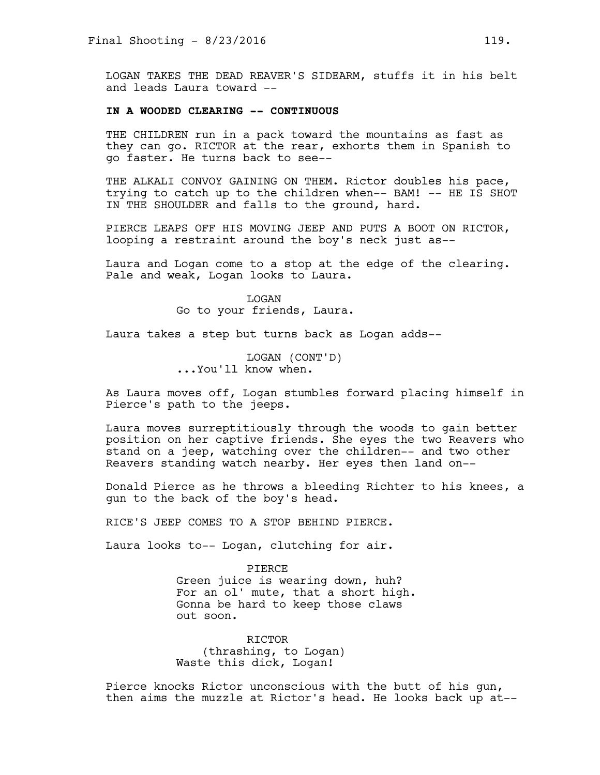LOGAN TAKES THE DEAD REAVER'S SIDEARM, stuffs it in his belt and leads Laura toward --

### **IN A WOODED CLEARING -- CONTINUOUS**

THE CHILDREN run in a pack toward the mountains as fast as they can go. RICTOR at the rear, exhorts them in Spanish to go faster. He turns back to see--

THE ALKALI CONVOY GAINING ON THEM. Rictor doubles his pace, trying to catch up to the children when-- BAM! -- HE IS SHOT IN THE SHOULDER and falls to the ground, hard.

PIERCE LEAPS OFF HIS MOVING JEEP AND PUTS A BOOT ON RICTOR, looping a restraint around the boy's neck just as--

Laura and Logan come to a stop at the edge of the clearing. Pale and weak, Logan looks to Laura.

> LOGAN Go to your friends, Laura.

Laura takes a step but turns back as Logan adds--

LOGAN (CONT'D) ...You'll know when.

As Laura moves off, Logan stumbles forward placing himself in Pierce's path to the jeeps.

Laura moves surreptitiously through the woods to gain better position on her captive friends. She eyes the two Reavers who stand on a jeep, watching over the children-- and two other Reavers standing watch nearby. Her eyes then land on--

Donald Pierce as he throws a bleeding Richter to his knees, a gun to the back of the boy's head.

RICE'S JEEP COMES TO A STOP BEHIND PIERCE.

Laura looks to-- Logan, clutching for air.

PIERCE Green juice is wearing down, huh? For an ol' mute, that a short high. Gonna be hard to keep those claws out soon.

RICTOR (thrashing, to Logan) Waste this dick, Logan!

Pierce knocks Rictor unconscious with the butt of his gun, then aims the muzzle at Rictor's head. He looks back up at--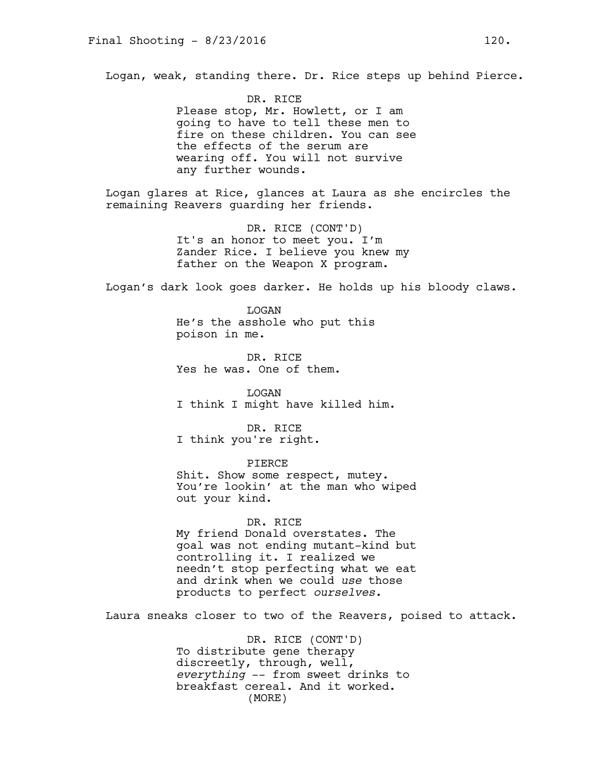Logan, weak, standing there. Dr. Rice steps up behind Pierce.

DR. RICE Please stop, Mr. Howlett, or I am going to have to tell these men to fire on these children. You can see the effects of the serum are wearing off. You will not survive any further wounds.

Logan glares at Rice, glances at Laura as she encircles the remaining Reavers guarding her friends.

> DR. RICE (CONT'D) It's an honor to meet you. I'm Zander Rice. I believe you knew my father on the Weapon X program.

Logan's dark look goes darker. He holds up his bloody claws.

LOGAN He's the asshole who put this poison in me.

DR. RICE Yes he was. One of them.

LOGAN I think I might have killed him.

DR. RICE I think you're right.

PIERCE Shit. Show some respect, mutey. You're lookin' at the man who wiped out your kind.

DR. RICE My friend Donald overstates. The goal was not ending mutant-kind but controlling it. I realized we needn't stop perfecting what we eat and drink when we could *use* those products to perfect *ourselves*.

Laura sneaks closer to two of the Reavers, poised to attack.

DR. RICE (CONT'D) To distribute gene therapy discreetly, through, well, *everything* -- from sweet drinks to breakfast cereal. And it worked. (MORE)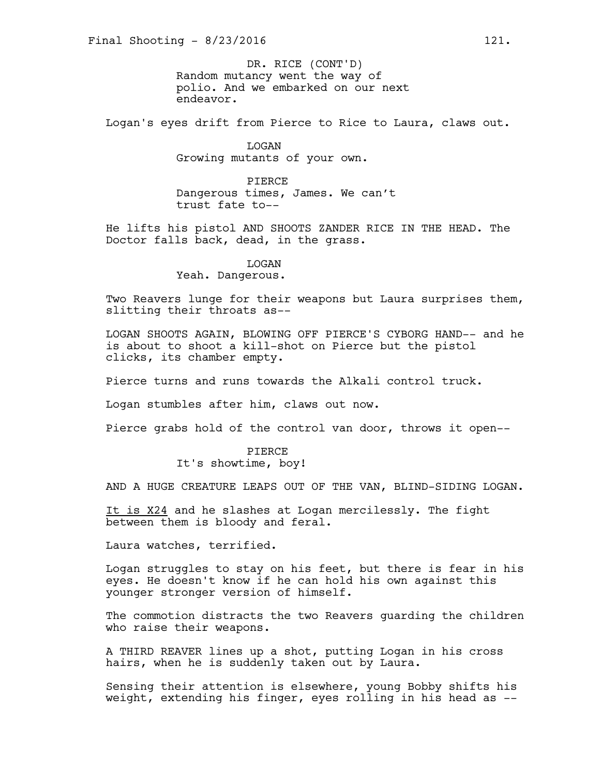Random mutancy went the way of polio. And we embarked on our next endeavor. DR. RICE (CONT'D)

Logan's eyes drift from Pierce to Rice to Laura, claws out.

LOGAN Growing mutants of your own.

PIERCE Dangerous times, James. We can't trust fate to--

He lifts his pistol AND SHOOTS ZANDER RICE IN THE HEAD. The Doctor falls back, dead, in the grass.

LOGAN

Yeah. Dangerous.

Two Reavers lunge for their weapons but Laura surprises them, slitting their throats as--

LOGAN SHOOTS AGAIN, BLOWING OFF PIERCE'S CYBORG HAND-- and he is about to shoot a kill-shot on Pierce but the pistol clicks, its chamber empty.

Pierce turns and runs towards the Alkali control truck.

Logan stumbles after him, claws out now.

Pierce grabs hold of the control van door, throws it open--

PIERCE It's showtime, boy!

AND A HUGE CREATURE LEAPS OUT OF THE VAN, BLIND-SIDING LOGAN.

It is X24 and he slashes at Logan mercilessly. The fight between them is bloody and feral.

Laura watches, terrified.

Logan struggles to stay on his feet, but there is fear in his eyes. He doesn't know if he can hold his own against this younger stronger version of himself.

The commotion distracts the two Reavers guarding the children who raise their weapons.

A THIRD REAVER lines up a shot, putting Logan in his cross hairs, when he is suddenly taken out by Laura.

Sensing their attention is elsewhere, young Bobby shifts his weight, extending his finger, eyes rolling in his head as --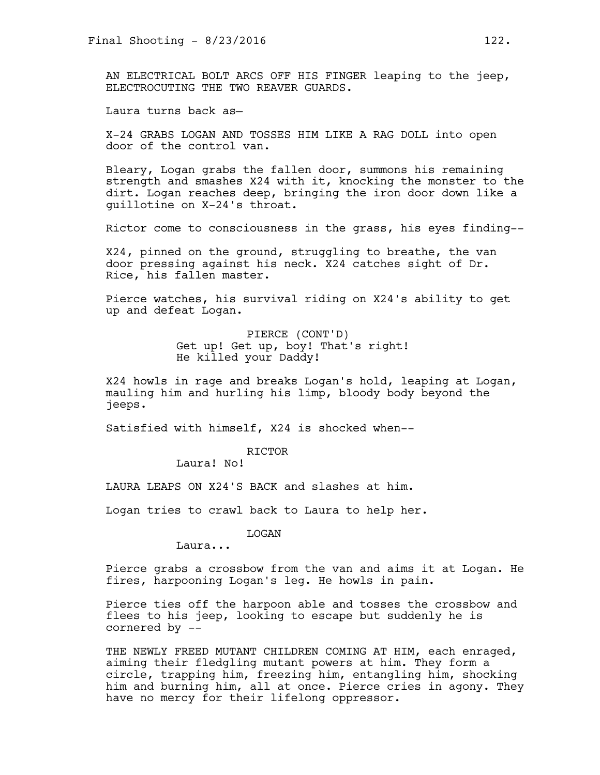AN ELECTRICAL BOLT ARCS OFF HIS FINGER leaping to the jeep, ELECTROCUTING THE TWO REAVER GUARDS.

Laura turns back as—

X-24 GRABS LOGAN AND TOSSES HIM LIKE A RAG DOLL into open door of the control van.

Bleary, Logan grabs the fallen door, summons his remaining strength and smashes X24 with it, knocking the monster to the dirt. Logan reaches deep, bringing the iron door down like a guillotine on X-24's throat.

Rictor come to consciousness in the grass, his eyes finding--

X24, pinned on the ground, struggling to breathe, the van door pressing against his neck. X24 catches sight of Dr. Rice, his fallen master.

Pierce watches, his survival riding on X24's ability to get up and defeat Logan.

> PIERCE (CONT'D) Get up! Get up, boy! That's right! He killed your Daddy!

X24 howls in rage and breaks Logan's hold, leaping at Logan, mauling him and hurling his limp, bloody body beyond the jeeps.

Satisfied with himself, X24 is shocked when--

RICTOR

Laura! No!

LAURA LEAPS ON X24'S BACK and slashes at him.

Logan tries to crawl back to Laura to help her.

LOGAN

Laura...

Pierce grabs a crossbow from the van and aims it at Logan. He fires, harpooning Logan's leg. He howls in pain.

Pierce ties off the harpoon able and tosses the crossbow and flees to his jeep, looking to escape but suddenly he is cornered by --

THE NEWLY FREED MUTANT CHILDREN COMING AT HIM, each enraged, aiming their fledgling mutant powers at him. They form a circle, trapping him, freezing him, entangling him, shocking him and burning him, all at once. Pierce cries in agony. They have no mercy for their lifelong oppressor.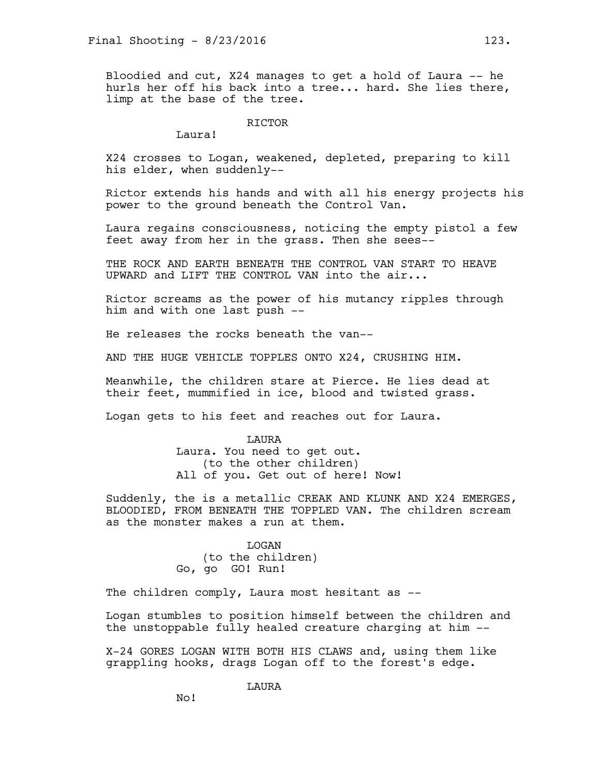Bloodied and cut, X24 manages to get a hold of Laura -- he hurls her off his back into a tree... hard. She lies there, limp at the base of the tree.

RICTOR

Laura!

X24 crosses to Logan, weakened, depleted, preparing to kill his elder, when suddenly--

Rictor extends his hands and with all his energy projects his power to the ground beneath the Control Van.

Laura regains consciousness, noticing the empty pistol a few feet away from her in the grass. Then she sees--

THE ROCK AND EARTH BENEATH THE CONTROL VAN START TO HEAVE UPWARD and LIFT THE CONTROL VAN into the air...

Rictor screams as the power of his mutancy ripples through him and with one last push --

He releases the rocks beneath the van--

AND THE HUGE VEHICLE TOPPLES ONTO X24, CRUSHING HIM.

Meanwhile, the children stare at Pierce. He lies dead at their feet, mummified in ice, blood and twisted grass.

Logan gets to his feet and reaches out for Laura.

**T.AURA** Laura. You need to get out. (to the other children) All of you. Get out of here! Now!

Suddenly, the is a metallic CREAK AND KLUNK AND X24 EMERGES, BLOODIED, FROM BENEATH THE TOPPLED VAN. The children scream as the monster makes a run at them.

> LOGAN (to the children) Go, go GO! Run!

The children comply, Laura most hesitant as --

Logan stumbles to position himself between the children and the unstoppable fully healed creature charging at him --

X-24 GORES LOGAN WITH BOTH HIS CLAWS and, using them like grappling hooks, drags Logan off to the forest's edge.

LAURA

No!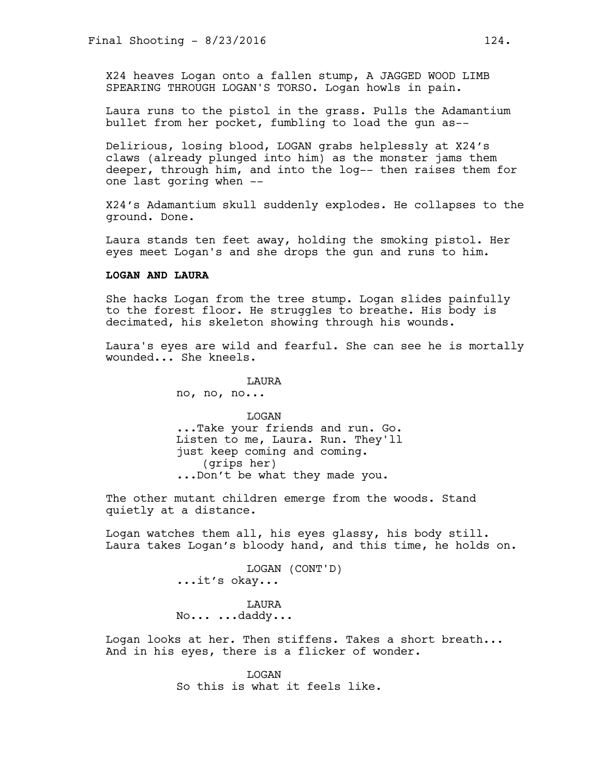X24 heaves Logan onto a fallen stump, A JAGGED WOOD LIMB SPEARING THROUGH LOGAN'S TORSO. Logan howls in pain.

Laura runs to the pistol in the grass. Pulls the Adamantium bullet from her pocket, fumbling to load the gun as--

Delirious, losing blood, LOGAN grabs helplessly at X24's claws (already plunged into him) as the monster jams them deeper, through him, and into the log-- then raises them for one last goring when --

X24's Adamantium skull suddenly explodes. He collapses to the ground. Done.

Laura stands ten feet away, holding the smoking pistol. Her eyes meet Logan's and she drops the gun and runs to him.

## **LOGAN AND LAURA**

She hacks Logan from the tree stump. Logan slides painfully to the forest floor. He struggles to breathe. His body is decimated, his skeleton showing through his wounds.

Laura's eyes are wild and fearful. She can see he is mortally wounded... She kneels.

LAURA

no, no, no...

LOGAN ...Take your friends and run. Go. Listen to me, Laura. Run. They'll just keep coming and coming. (grips her) ...Don't be what they made you.

The other mutant children emerge from the woods. Stand quietly at a distance.

Logan watches them all, his eyes glassy, his body still. Laura takes Logan's bloody hand, and this time, he holds on.

> LOGAN (CONT'D) ...it's okay...

LAURA No... ...daddy...

Logan looks at her. Then stiffens. Takes a short breath... And in his eyes, there is a flicker of wonder.

> LOGAN So this is what it feels like.